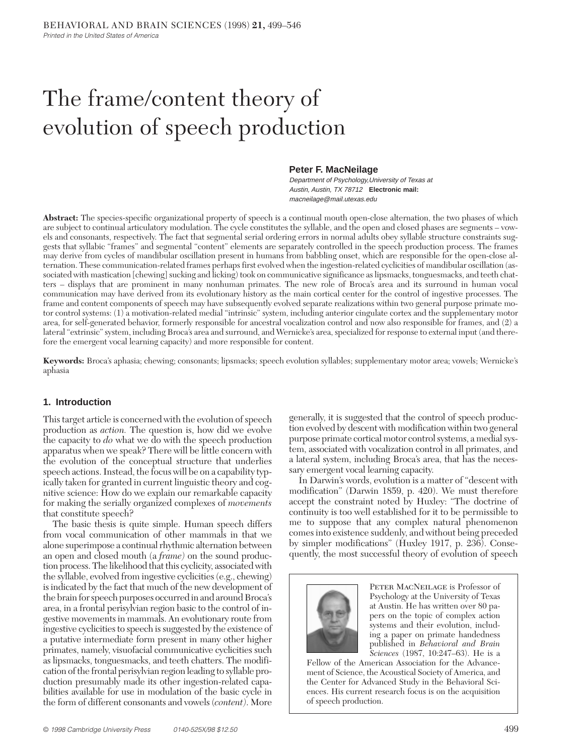# The frame/content theory of evolution of speech production

#### **Peter F. MacNeilage**

Department of Psychology,University of Texas at Austin, Austin, TX 78712 **Electronic mail:**  macneilage@mail.utexas.edu

**Abstract:** The species-specific organizational property of speech is a continual mouth open-close alternation, the two phases of which are subject to continual articulatory modulation. The cycle constitutes the syllable, and the open and closed phases are segments – vowels and consonants, respectively. The fact that segmental serial ordering errors in normal adults obey syllable structure constraints suggests that syllabic "frames" and segmental "content" elements are separately controlled in the speech production process. The frames may derive from cycles of mandibular oscillation present in humans from babbling onset, which are responsible for the open-close alternation. These communication-related frames perhaps first evolved when the ingestion-related cyclicities of mandibular oscillation (associated with mastication [chewing] sucking and licking) took on communicative significance as lipsmacks, tonguesmacks, and teeth chatters – displays that are prominent in many nonhuman primates. The new role of Broca's area and its surround in human vocal communication may have derived from its evolutionary history as the main cortical center for the control of ingestive processes. The frame and content components of speech may have subsequently evolved separate realizations within two general purpose primate motor control systems: (1) a motivation-related medial "intrinsic" system, including anterior cingulate cortex and the supplementary motor area, for self-generated behavior, formerly responsible for ancestral vocalization control and now also responsible for frames, and (2) a lateral "extrinsic" system, including Broca's area and surround, and Wernicke's area, specialized for response to external input (and therefore the emergent vocal learning capacity) and more responsible for content.

**Keywords:** Broca's aphasia; chewing; consonants; lipsmacks; speech evolution syllables; supplementary motor area; vowels; Wernicke's aphasia

## **1. Introduction**

This target article is concerned with the evolution of speech production as *action.* The question is, how did we evolve the capacity to *do* what we do with the speech production apparatus when we speak? There will be little concern with the evolution of the conceptual structure that underlies speech actions. Instead, the focus will be on a capability typically taken for granted in current linguistic theory and cognitive science: How do we explain our remarkable capacity for making the serially organized complexes of *movements* that constitute speech?

The basic thesis is quite simple. Human speech differs from vocal communication of other mammals in that we alone superimpose a continual rhythmic alternation between an open and closed mouth (a *frame)* on the sound production process. The likelihood that this cyclicity, associated with the syllable, evolved from ingestive cyclicities (e.g., chewing) is indicated by the fact that much of the new development of the brain for speech purposes occurred in and around Broca's area, in a frontal perisylvian region basic to the control of ingestive movements in mammals. An evolutionary route from ingestive cyclicities to speech is suggested by the existence of a putative intermediate form present in many other higher primates, namely, visuofacial communicative cyclicities such as lipsmacks, tonguesmacks, and teeth chatters. The modification of the frontal perisylvian region leading to syllable production presumably made its other ingestion-related capabilities available for use in modulation of the basic cycle in the form of different consonants and vowels (*content)*. More

generally, it is suggested that the control of speech production evolved by descent with modification within two general purpose primate cortical motor control systems, a medial system, associated with vocalization control in all primates, and a lateral system, including Broca's area, that has the necessary emergent vocal learning capacity.

In Darwin's words, evolution is a matter of "descent with modification" (Darwin 1859, p. 420). We must therefore accept the constraint noted by Huxley: "The doctrine of continuity is too well established for it to be permissible to me to suppose that any complex natural phenomenon comes into existence suddenly, and without being preceded by simpler modifications" (Huxley 1917, p. 236). Consequently, the most successful theory of evolution of speech



PETER MACNEILAGE is Professor of Psychology at the University of Texas at Austin. He has written over 80 papers on the topic of complex action systems and their evolution, including a paper on primate handedness published in *Behavioral and Brain Sciences* (1987, 10:247–63). He is a

Fellow of the American Association for the Advancement of Science, the Acoustical Society of America, and the Center for Advanced Study in the Behavioral Sciences. His current research focus is on the acquisition of speech production.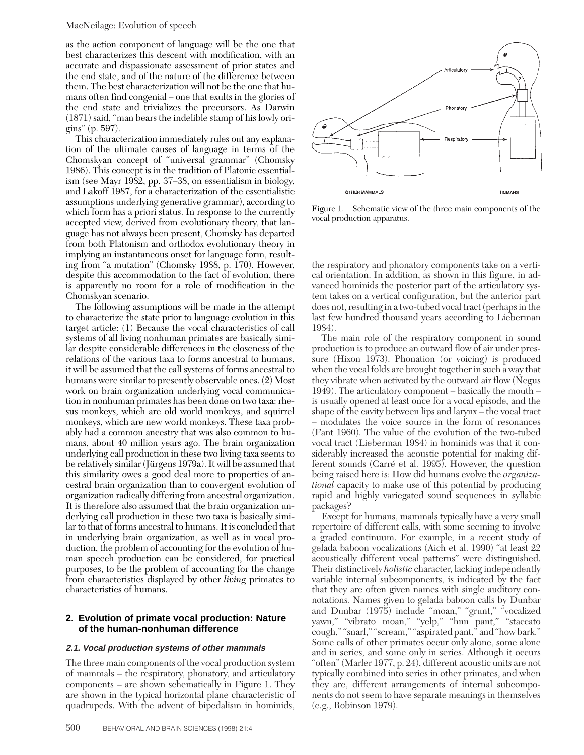#### MacNeilage: Evolution of speech

as the action component of language will be the one that best characterizes this descent with modification, with an accurate and dispassionate assessment of prior states and the end state, and of the nature of the difference between them. The best characterization will not be the one that humans often find congenial – one that exults in the glories of the end state and trivializes the precursors. As Darwin (1871) said, "man bears the indelible stamp of his lowly origins" (p. 597).

This characterization immediately rules out any explanation of the ultimate causes of language in terms of the Chomskyan concept of "universal grammar" (Chomsky 1986). This concept is in the tradition of Platonic essentialism (see Mayr 1982, pp. 37–38, on essentialism in biology, and Lakoff 1987, for a characterization of the essentialistic assumptions underlying generative grammar), according to which form has a priori status. In response to the currently accepted view, derived from evolutionary theory, that language has not always been present, Chomsky has departed from both Platonism and orthodox evolutionary theory in implying an instantaneous onset for language form, resulting from "a mutation" (Chomsky 1988, p. 170). However, despite this accommodation to the fact of evolution, there is apparently no room for a role of modification in the Chomskyan scenario.

The following assumptions will be made in the attempt to characterize the state prior to language evolution in this target article: (1) Because the vocal characteristics of call systems of all living nonhuman primates are basically similar despite considerable differences in the closeness of the relations of the various taxa to forms ancestral to humans, it will be assumed that the call systems of forms ancestral to humans were similar to presently observable ones. (2) Most work on brain organization underlying vocal communication in nonhuman primates has been done on two taxa: rhesus monkeys, which are old world monkeys, and squirrel monkeys, which are new world monkeys. These taxa probably had a common ancestry that was also common to humans, about 40 million years ago. The brain organization underlying call production in these two living taxa seems to be relatively similar (Jürgens 1979a). It will be assumed that this similarity owes a good deal more to properties of ancestral brain organization than to convergent evolution of organization radically differing from ancestral organization. It is therefore also assumed that the brain organization underlying call production in these two taxa is basically similar to that of forms ancestral to humans. It is concluded that in underlying brain organization, as well as in vocal production, the problem of accounting for the evolution of human speech production can be considered, for practical purposes, to be the problem of accounting for the change from characteristics displayed by other *living* primates to characteristics of humans.

#### **2. Evolution of primate vocal production: Nature of the human-nonhuman difference**

#### **2.1. Vocal production systems of other mammals**

The three main components of the vocal production system of mammals – the respiratory, phonatory, and articulatory components – are shown schematically in Figure 1. They are shown in the typical horizontal plane characteristic of quadrupeds. With the advent of bipedalism in hominids,



Figure 1. Schematic view of the three main components of the vocal production apparatus.

the respiratory and phonatory components take on a vertical orientation. In addition, as shown in this figure, in advanced hominids the posterior part of the articulatory system takes on a vertical configuration, but the anterior part does not, resulting in a two-tubed vocal tract (perhaps in the last few hundred thousand years according to Lieberman 1984).

The main role of the respiratory component in sound production is to produce an outward flow of air under pressure (Hixon 1973). Phonation (or voicing) is produced when the vocal folds are brought together in such a way that they vibrate when activated by the outward air flow (Negus 1949). The articulatory component – basically the mouth – is usually opened at least once for a vocal episode, and the shape of the cavity between lips and larynx – the vocal tract – modulates the voice source in the form of resonances (Fant 1960). The value of the evolution of the two-tubed vocal tract (Lieberman 1984) in hominids was that it considerably increased the acoustic potential for making different sounds (Carré et al. 1995). However, the question being raised here is: How did humans evolve the *organizational* capacity to make use of this potential by producing rapid and highly variegated sound sequences in syllabic packages?

Except for humans, mammals typically have a very small repertoire of different calls, with some seeming to involve a graded continuum. For example, in a recent study of gelada baboon vocalizations (Aich et al. 1990) "at least 22 acoustically different vocal patterns" were distinguished. Their distinctively *holistic* character, lacking independently variable internal subcomponents, is indicated by the fact that they are often given names with single auditory connotations. Names given to gelada baboon calls by Dunbar and Dunbar (1975) include "moan," "grunt," "vocalized yawn," "vibrato moan," "yelp," "hnn pant," "staccato cough," "snarl," "scream," "aspirated pant," and "how bark." Some calls of other primates occur only alone, some alone and in series, and some only in series. Although it occurs "often" (Marler 1977, p. 24), different acoustic units are not typically combined into series in other primates, and when they are, different arrangements of internal subcomponents do not seem to have separate meanings in themselves (e.g., Robinson 1979).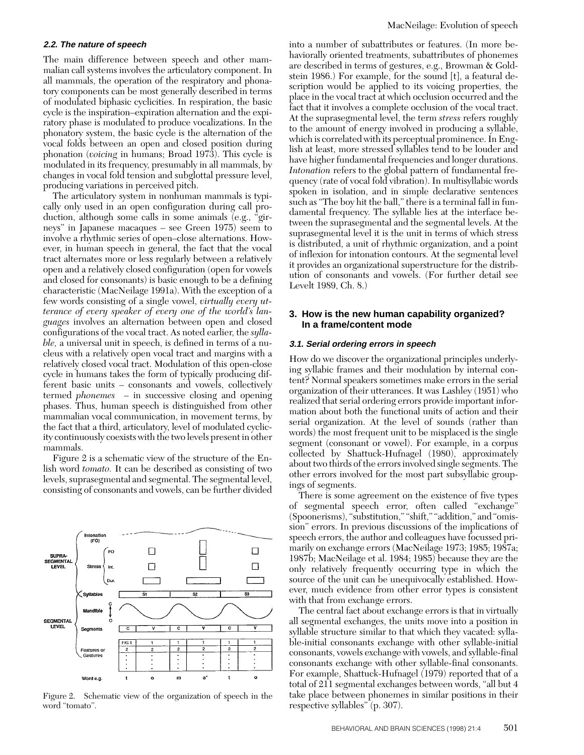#### **2.2. The nature of speech**

The main difference between speech and other mammalian call systems involves the articulatory component. In all mammals, the operation of the respiratory and phonatory components can be most generally described in terms of modulated biphasic cyclicities. In respiration, the basic cycle is the inspiration–expiration alternation and the expiratory phase is modulated to produce vocalizations. In the phonatory system, the basic cycle is the alternation of the vocal folds between an open and closed position during phonation (*voicing* in humans; Broad 1973). This cycle is modulated in its frequency, presumably in all mammals, by changes in vocal fold tension and subglottal pressure level, producing variations in perceived pitch.

The articulatory system in nonhuman mammals is typically only used in an open configuration during call production, although some calls in some animals (e.g., "girneys" in Japanese macaques – see Green 1975) seem to involve a rhythmic series of open–close alternations. However, in human speech in general, the fact that the vocal tract alternates more or less regularly between a relatively open and a relatively closed configuration (open for vowels and closed for consonants) is basic enough to be a defining characteristic (MacNeilage 1991a). With the exception of a few words consisting of a single vowel, *virtually every utterance of every speaker of every one of the world's languages* involves an alternation between open and closed configurations of the vocal tract. As noted earlier, the *syllable,* a universal unit in speech, is defined in terms of a nucleus with a relatively open vocal tract and margins with a relatively closed vocal tract. Modulation of this open-close cycle in humans takes the form of typically producing different basic units – consonants and vowels, collectively termed *phonemes* – in successive closing and opening phases. Thus, human speech is distinguished from other mammalian vocal communication, in movement terms, by the fact that a third, articulatory, level of modulated cyclicity continuously coexists with the two levels present in other mammals.

Figure 2 is a schematic view of the structure of the Enlish word *tomato.* It can be described as consisting of two levels, suprasegmental and segmental. The segmental level, consisting of consonants and vowels, can be further divided



Figure 2. Schematic view of the organization of speech in the word "tomato".

into a number of subattributes or features. (In more behaviorally oriented treatments, subattributes of phonemes are described in terms of gestures, e.g., Browman & Goldstein 1986.) For example, for the sound [t], a featural description would be applied to its voicing properties, the place in the vocal tract at which occlusion occurred and the fact that it involves a complete occlusion of the vocal tract. At the suprasegmental level, the term *stress* refers roughly to the amount of energy involved in producing a syllable, which is correlated with its perceptual prominence. In English at least, more stressed syllables tend to be louder and have higher fundamental frequencies and longer durations. *Intonation* refers to the global pattern of fundamental frequency (rate of vocal fold vibration). In multisyllabic words spoken in isolation, and in simple declarative sentences such as "The boy hit the ball," there is a terminal fall in fundamental frequency. The syllable lies at the interface between the suprasegmental and the segmental levels. At the suprasegmental level it is the unit in terms of which stress is distributed, a unit of rhythmic organization, and a point of inflexion for intonation contours. At the segmental level it provides an organizational superstructure for the distribution of consonants and vowels. (For further detail see Levelt 1989, Ch. 8.)

## **3. How is the new human capability organized? In a frame/content mode**

#### **3.1. Serial ordering errors in speech**

How do we discover the organizational principles underlying syllabic frames and their modulation by internal content? Normal speakers sometimes make errors in the serial organization of their utterances. It was Lashley (1951) who realized that serial ordering errors provide important information about both the functional units of action and their serial organization. At the level of sounds (rather than words) the most frequent unit to be misplaced is the single segment (consonant or vowel). For example, in a corpus collected by Shattuck-Hufnagel (1980), approximately about two thirds of the errors involved single segments. The other errors involved for the most part subsyllabic groupings of segments.

There is some agreement on the existence of five types of segmental speech error, often called "exchange" (Spoonerisms), "substitution," "shift," "addition," and "omission" errors. In previous discussions of the implications of speech errors, the author and colleagues have focussed primarily on exchange errors (MacNeilage 1973; 1985; 1987a; 1987b; MacNeilage et al. 1984; 1985) because they are the only relatively frequently occurring type in which the source of the unit can be unequivocally established. However, much evidence from other error types is consistent with that from exchange errors.

The central fact about exchange errors is that in virtually all segmental exchanges, the units move into a position in syllable structure similar to that which they vacated: syllable-initial consonants exchange with other syllable-initial consonants, vowels exchange with vowels, and syllable-final consonants exchange with other syllable-final consonants. For example, Shattuck-Hufnagel (1979) reported that of a total of 211 segmental exchanges between words, "all but 4 take place between phonemes in similar positions in their respective syllables" (p. 307).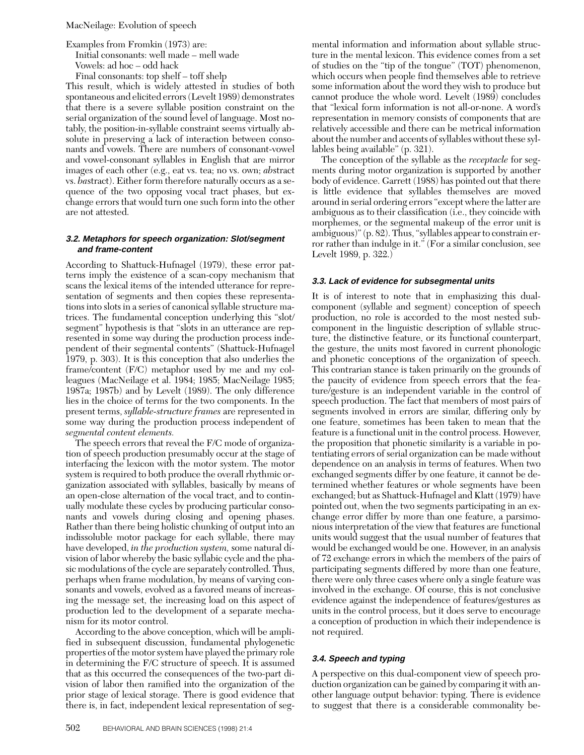Examples from Fromkin (1973) are: Initial consonants: well made – mell wade Vowels: ad hoc – odd hack Final consonants: top shelf – toff shelp

This result, which is widely attested in studies of both spontaneous and elicited errors (Levelt 1989) demonstrates that there is a severe syllable position constraint on the serial organization of the sound level of language. Most notably, the position-in-syllable constraint seems virtually absolute in preserving a lack of interaction between consonants and vowels. There are numbers of consonant-vowel and vowel-consonant syllables in English that are mirror images of each other (e.g., eat vs. tea; no vs. own; *ab*stract vs. *ba*stract). Either form therefore naturally occurs as a sequence of the two opposing vocal tract phases, but exchange errors that would turn one such form into the other are not attested.

#### **3.2. Metaphors for speech organization: Slot/segment and frame-content**

According to Shattuck-Hufnagel (1979), these error patterns imply the existence of a scan-copy mechanism that scans the lexical items of the intended utterance for representation of segments and then copies these representations into slots in a series of canonical syllable structure matrices. The fundamental conception underlying this "slot/ segment" hypothesis is that "slots in an utterance are represented in some way during the production process independent of their segmental contents" (Shattuck-Hufnagel 1979, p. 303). It is this conception that also underlies the frame/content (F/C) metaphor used by me and my colleagues (MacNeilage et al. 1984; 1985; MacNeilage 1985; 1987a; 1987b) and by Levelt (1989). The only difference lies in the choice of terms for the two components. In the present terms, *syllable-structure frames* are represented in some way during the production process independent of *segmental content elements.*

The speech errors that reveal the F/C mode of organization of speech production presumably occur at the stage of interfacing the lexicon with the motor system. The motor system is required to both produce the overall rhythmic organization associated with syllables, basically by means of an open-close alternation of the vocal tract, and to continually modulate these cycles by producing particular consonants and vowels during closing and opening phases. Rather than there being holistic chunking of output into an indissoluble motor package for each syllable, there may have developed, *in the production system,* some natural division of labor whereby the basic syllabic cycle and the phasic modulations of the cycle are separately controlled. Thus, perhaps when frame modulation, by means of varying consonants and vowels, evolved as a favored means of increasing the message set, the increasing load on this aspect of production led to the development of a separate mechanism for its motor control.

According to the above conception, which will be amplified in subsequent discussion, fundamental phylogenetic properties of the motor system have played the primary role in determining the F/C structure of speech. It is assumed that as this occurred the consequences of the two-part division of labor then ramified into the organization of the prior stage of lexical storage. There is good evidence that there is, in fact, independent lexical representation of segmental information and information about syllable structure in the mental lexicon. This evidence comes from a set of studies on the "tip of the tongue" (TOT) phenomenon, which occurs when people find themselves able to retrieve some information about the word they wish to produce but cannot produce the whole word. Levelt (1989) concludes that "lexical form information is not all-or-none. A word's representation in memory consists of components that are relatively accessible and there can be metrical information about the number and accents of syllables without these syllables being available" (p. 321).

The conception of the syllable as the *receptacle* for segments during motor organization is supported by another body of evidence. Garrett (1988) has pointed out that there is little evidence that syllables themselves are moved around in serial ordering errors "except where the latter are ambiguous as to their classification (i.e., they coincide with morphemes, or the segmental makeup of the error unit is ambiguous)" (p. 82). Thus, "syllables appear to constrain error rather than indulge in it." (For a similar conclusion, see Levelt 1989, p. 322.)

## **3.3. Lack of evidence for subsegmental units**

It is of interest to note that in emphasizing this dualcomponent (syllable and segment) conception of speech production, no role is accorded to the most nested subcomponent in the linguistic description of syllable structure, the distinctive feature, or its functional counterpart, the gesture, the units most favored in current phonologic and phonetic conceptions of the organization of speech. This contrarian stance is taken primarily on the grounds of the paucity of evidence from speech errors that the feature/gesture is an independent variable in the control of speech production. The fact that members of most pairs of segments involved in errors are similar, differing only by one feature, sometimes has been taken to mean that the feature is a functional unit in the control process. However, the proposition that phonetic similarity is a variable in potentiating errors of serial organization can be made without dependence on an analysis in terms of features. When two exchanged segments differ by one feature, it cannot be determined whether features or whole segments have been exchanged; but as Shattuck-Hufnagel and Klatt (1979) have pointed out, when the two segments participating in an exchange error differ by more than one feature, a parsimonious interpretation of the view that features are functional units would suggest that the usual number of features that would be exchanged would be one. However, in an analysis of 72 exchange errors in which the members of the pairs of participating segments differed by more than one feature, there were only three cases where only a single feature was involved in the exchange. Of course, this is not conclusive evidence against the independence of features/gestures as units in the control process, but it does serve to encourage a conception of production in which their independence is not required.

## **3.4. Speech and typing**

A perspective on this dual-component view of speech production organization can be gained by comparing it with another language output behavior: typing. There is evidence to suggest that there is a considerable commonality be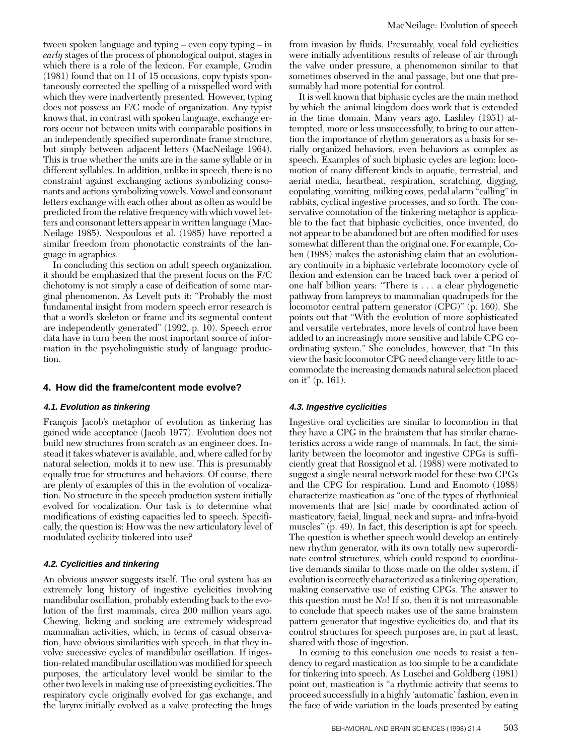tween spoken language and typing – even copy typing – in *early* stages of the process of phonological output, stages in which there is a role of the lexicon. For example, Grudin (1981) found that on 11 of 15 occasions, copy typists spontaneously corrected the spelling of a misspelled word with which they were inadvertently presented. However, typing does not possess an F/C mode of organization. Any typist knows that, in contrast with spoken language, exchange errors occur not between units with comparable positions in an independently specified superordinate frame structure, but simply between adjacent letters (MacNeilage 1964). This is true whether the units are in the same syllable or in different syllables. In addition, unlike in speech, there is no constraint against exchanging actions symbolizing consonants and actions symbolizing vowels. Vowel and consonant letters exchange with each other about as often as would be predicted from the relative frequency with which vowel letters and consonant letters appear in written language (Mac-Neilage 1985). Nespoulous et al. (1985) have reported a similar freedom from phonotactic constraints of the language in agraphics.

In concluding this section on adult speech organization, it should be emphasized that the present focus on the F/C dichotomy is not simply a case of deification of some marginal phenomenon. As Levelt puts it: "Probably the most fundamental insight from modern speech error research is that a word's skeleton or frame and its segmental content are independently generated" (1992, p. 10). Speech error data have in turn been the most important source of information in the psycholinguistic study of language production.

## **4. How did the frame/content mode evolve?**

#### **4.1. Evolution as tinkering**

François Jacob's metaphor of evolution as tinkering has gained wide acceptance (Jacob 1977). Evolution does not build new structures from scratch as an engineer does. Instead it takes whatever is available, and, where called for by natural selection, molds it to new use. This is presumably equally true for structures and behaviors. Of course, there are plenty of examples of this in the evolution of vocalization. No structure in the speech production system initially evolved for vocalization. Our task is to determine what modifications of existing capacities led to speech. Specifically, the question is: How was the new articulatory level of modulated cyclicity tinkered into use?

#### **4.2. Cyclicities and tinkering**

An obvious answer suggests itself. The oral system has an extremely long history of ingestive cyclicities involving mandibular oscillation, probably extending back to the evolution of the first mammals, circa 200 million years ago. Chewing, licking and sucking are extremely widespread mammalian activities, which, in terms of casual observation, have obvious similarities with speech, in that they involve successive cycles of mandibular oscillation. If ingestion-related mandibular oscillation was modified for speech purposes, the articulatory level would be similar to the other two levels in making use of preexisting cyclicities. The respiratory cycle originally evolved for gas exchange, and the larynx initially evolved as a valve protecting the lungs

from invasion by fluids. Presumably, vocal fold cyclicities were initially adventitious results of release of air through the valve under pressure, a phenomenon similar to that sometimes observed in the anal passage, but one that presumably had more potential for control.

It is well known that biphasic cycles are the main method by which the animal kingdom does work that is extended in the time domain. Many years ago, Lashley (1951) attempted, more or less unsuccessfully, to bring to our attention the importance of rhythm generators as a basis for serially organized behaviors, even behaviors as complex as speech. Examples of such biphasic cycles are legion: locomotion of many different kinds in aquatic, terrestrial, and aerial media, heartbeat, respiration, scratching, digging, copulating, vomiting, milking cows, pedal alarm "calling" in rabbits, cyclical ingestive processes, and so forth. The conservative connotation of the tinkering metaphor is applicable to the fact that biphasic cyclicities, once invented, do not appear to be abandoned but are often modified for uses somewhat different than the original one. For example, Cohen (1988) makes the astonishing claim that an evolutionary continuity in a biphasic vertebrate locomotory cycle of flexion and extension can be traced back over a period of one half billion years: "There is . . . a clear phylogenetic pathway from lampreys to mammalian quadrupeds for the locomotor central pattern generator (CPG)" (p. 160). She points out that "With the evolution of more sophisticated and versatile vertebrates, more levels of control have been added to an increasingly more sensitive and labile CPG coordinating system." She concludes, however, that "In this view the basic locomotor CPG need change very little to accommodate the increasing demands natural selection placed on it" (p. 161).

#### **4.3. Ingestive cyclicities**

Ingestive oral cyclicities are similar to locomotion in that they have a CPG in the brainstem that has similar characteristics across a wide range of mammals. In fact, the similarity between the locomotor and ingestive CPGs is sufficiently great that Rossignol et al. (1988) were motivated to suggest a single neural network model for these two CPGs and the CPG for respiration. Lund and Enomoto (1988) characterize mastication as "one of the types of rhythmical movements that are [sic] made by coordinated action of masticatory, facial, lingual, neck and supra- and infra-hyoid muscles" (p. 49). In fact, this description is apt for speech. The question is whether speech would develop an entirely new rhythm generator, with its own totally new superordinate control structures, which could respond to coordinative demands similar to those made on the older system, if evolution is correctly characterized as a tinkering operation, making conservative use of existing CPGs. The answer to this question must be *No*! If so, then it is not unreasonable to conclude that speech makes use of the same brainstem pattern generator that ingestive cyclicities do, and that its control structures for speech purposes are, in part at least, shared with those of ingestion.

In coming to this conclusion one needs to resist a tendency to regard mastication as too simple to be a candidate for tinkering into speech. As Luschei and Goldberg (1981) point out, mastication is "a rhythmic activity that seems to proceed successfully in a highly 'automatic' fashion, even in the face of wide variation in the loads presented by eating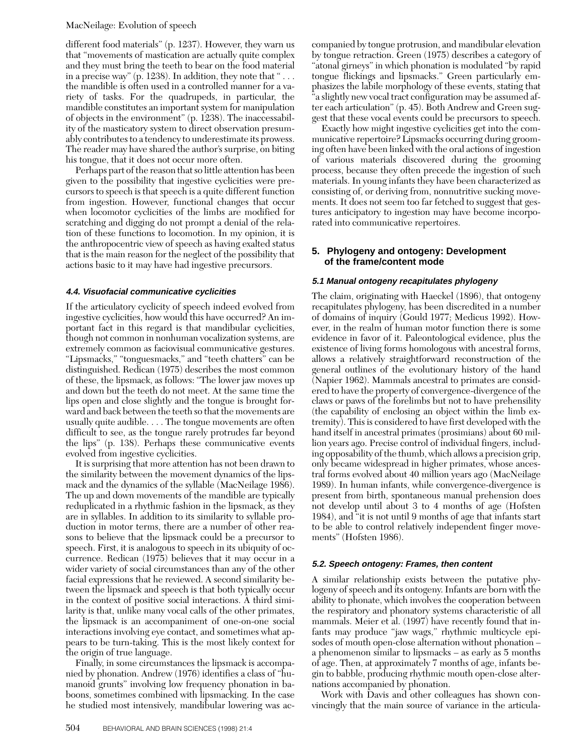## MacNeilage: Evolution of speech

different food materials" (p. 1237). However, they warn us that "movements of mastication are actually quite complex and they must bring the teeth to bear on the food material in a precise way" (p. 1238). In addition, they note that " . . . the mandible is often used in a controlled manner for a variety of tasks. For the quadrupeds, in particular, the mandible constitutes an important system for manipulation of objects in the environment" (p. 1238). The inaccessability of the masticatory system to direct observation presumably contributes to a tendency to underestimate its prowess. The reader may have shared the author's surprise, on biting his tongue, that it does not occur more often.

Perhaps part of the reason that so little attention has been given to the possibility that ingestive cyclicities were precursors to speech is that speech is a quite different function from ingestion. However, functional changes that occur when locomotor cyclicities of the limbs are modified for scratching and digging do not prompt a denial of the relation of these functions to locomotion. In my opinion, it is the anthropocentric view of speech as having exalted status that is the main reason for the neglect of the possibility that actions basic to it may have had ingestive precursors.

#### **4.4. Visuofacial communicative cyclicities**

If the articulatory cyclicity of speech indeed evolved from ingestive cyclicities, how would this have occurred? An important fact in this regard is that mandibular cyclicities, though not common in nonhuman vocalization systems, are extremely common as faciovisual communicative gestures. "Lipsmacks," "tonguesmacks," and "teeth chatters" can be distinguished. Redican (1975) describes the most common of these, the lipsmack, as follows: "The lower jaw moves up and down but the teeth do not meet. At the same time the lips open and close slightly and the tongue is brought forward and back between the teeth so that the movements are usually quite audible. . . . The tongue movements are often difficult to see, as the tongue rarely protrudes far beyond the lips" (p. 138). Perhaps these communicative events evolved from ingestive cyclicities.

It is surprising that more attention has not been drawn to the similarity between the movement dynamics of the lipsmack and the dynamics of the syllable (MacNeilage 1986). The up and down movements of the mandible are typically reduplicated in a rhythmic fashion in the lipsmack, as they are in syllables. In addition to its similarity to syllable production in motor terms, there are a number of other reasons to believe that the lipsmack could be a precursor to speech. First, it is analogous to speech in its ubiquity of occurrence. Redican (1975) believes that it may occur in a wider variety of social circumstances than any of the other facial expressions that he reviewed. A second similarity between the lipsmack and speech is that both typically occur in the context of positive social interactions. A third similarity is that, unlike many vocal calls of the other primates, the lipsmack is an accompaniment of one-on-one social interactions involving eye contact, and sometimes what appears to be turn-taking. This is the most likely context for the origin of true language.

Finally, in some circumstances the lipsmack is accompanied by phonation. Andrew (1976) identifies a class of "humanoid grunts" involving low frequency phonation in baboons, sometimes combined with lipsmacking. In the case he studied most intensively, mandibular lowering was ac-

504 BEHAVIORAL AND BRAIN SCIENCES (1998) 21:4

companied by tongue protrusion, and mandibular elevation by tongue retraction. Green (1975) describes a category of "atonal girneys" in which phonation is modulated "by rapid tongue flickings and lipsmacks." Green particularly emphasizes the labile morphology of these events, stating that "a slightly new vocal tract configuration may be assumed after each articulation" (p. 45). Both Andrew and Green suggest that these vocal events could be precursors to speech.

Exactly how might ingestive cyclicities get into the communicative repertoire? Lipsmacks occurring during grooming often have been linked with the oral actions of ingestion of various materials discovered during the grooming process, because they often precede the ingestion of such materials. In young infants they have been characterized as consisting of, or deriving from, nonnutritive sucking movements. It does not seem too far fetched to suggest that gestures anticipatory to ingestion may have become incorporated into communicative repertoires.

## **5. Phylogeny and ontogeny: Development of the frame/content mode**

#### **5.1 Manual ontogeny recapitulates phylogeny**

The claim, originating with Haeckel (1896), that ontogeny recapitulates phylogeny, has been discredited in a number of domains of inquiry (Gould 1977; Medicus 1992). However, in the realm of human motor function there is some evidence in favor of it. Paleontological evidence, plus the existence of living forms homologous with ancestral forms, allows a relatively straightforward reconstruction of the general outlines of the evolutionary history of the hand (Napier 1962). Mammals ancestral to primates are considered to have the property of convergence-divergence of the claws or paws of the forelimbs but not to have prehensility (the capability of enclosing an object within the limb extremity). This is considered to have first developed with the hand itself in ancestral primates (prosimians) about 60 million years ago. Precise control of individual fingers, including opposability of the thumb, which allows a precision grip, only became widespread in higher primates, whose ancestral forms evolved about 40 million years ago (MacNeilage 1989). In human infants, while convergence-divergence is present from birth, spontaneous manual prehension does not develop until about 3 to 4 months of age (Hofsten 1984), and "it is not until 9 months of age that infants start to be able to control relatively independent finger movements" (Hofsten 1986).

## **5.2. Speech ontogeny: Frames, then content**

A similar relationship exists between the putative phylogeny of speech and its ontogeny. Infants are born with the ability to phonate, which involves the cooperation between the respiratory and phonatory systems characteristic of all mammals. Meier et al. (1997) have recently found that infants may produce "jaw wags," rhythmic multicycle episodes of mouth open-close alternation without phonation – a phenomenon similar to lipsmacks – as early as 5 months of age. Then, at approximately 7 months of age, infants begin to babble, producing rhythmic mouth open-close alternations accompanied by phonation.

Work with Davis and other colleagues has shown convincingly that the main source of variance in the articula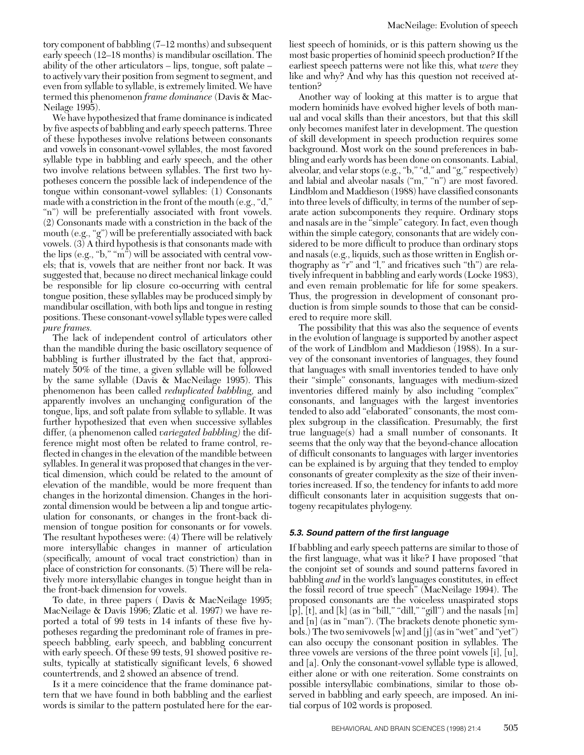tory component of babbling (7–12 months) and subsequent early speech (12–18 months) is mandibular oscillation. The ability of the other articulators – lips, tongue, soft palate – to actively vary their position from segment to segment, and even from syllable to syllable, is extremely limited. We have termed this phenomenon *frame dominance* (Davis & Mac-Neilage 1995).

We have hypothesized that frame dominance is indicated by five aspects of babbling and early speech patterns. Three of these hypotheses involve relations between consonants and vowels in consonant-vowel syllables, the most favored syllable type in babbling and early speech, and the other two involve relations between syllables. The first two hypotheses concern the possible lack of independence of the tongue within consonant-vowel syllables: (1) Consonants made with a constriction in the front of the mouth (e.g., "d," "n") will be preferentially associated with front vowels. (2) Consonants made with a constriction in the back of the mouth (e.g., "g") will be preferentially associated with back vowels.  $(3)$  A third hypothesis is that consonants made with the lips (e.g., "b," "m") will be associated with central vowels; that is, vowels that are neither front nor back. It was suggested that, because no direct mechanical linkage could be responsible for lip closure co-occurring with central tongue position, these syllables may be produced simply by mandibular oscillation, with both lips and tongue in resting positions. These consonant-vowel syllable types were called *pure frames.*

The lack of independent control of articulators other than the mandible during the basic oscillatory sequence of babbling is further illustrated by the fact that, approximately 50% of the time, a given syllable will be followed by the same syllable (Davis & MacNeilage 1995). This phenomenon has been called *reduplicated babbling,* and apparently involves an unchanging configuration of the tongue, lips, and soft palate from syllable to syllable. It was further hypothesized that even when successive syllables differ, (a phenomenon called *variegated babbling)* the difference might most often be related to frame control, reflected in changes in the elevation of the mandible between syllables. In general it was proposed that changes in the vertical dimension, which could be related to the amount of elevation of the mandible, would be more frequent than changes in the horizontal dimension. Changes in the horizontal dimension would be between a lip and tongue articulation for consonants, or changes in the front-back dimension of tongue position for consonants or for vowels. The resultant hypotheses were: (4) There will be relatively more intersyllabic changes in manner of articulation (specifically, amount of vocal tract constriction) than in place of constriction for consonants. (5) There will be relatively more intersyllabic changes in tongue height than in the front-back dimension for vowels.

To date, in three papers ( Davis & MacNeilage 1995; MacNeilage & Davis 1996; Zlatic et al. 1997) we have reported a total of 99 tests in 14 infants of these five hypotheses regarding the predominant role of frames in prespeech babbling, early speech, and babbling concurrent with early speech. Of these 99 tests, 91 showed positive results, typically at statistically significant levels, 6 showed countertrends, and 2 showed an absence of trend.

Is it a mere coincidence that the frame dominance pattern that we have found in both babbling and the earliest words is similar to the pattern postulated here for the earliest speech of hominids, or is this pattern showing us the most basic properties of hominid speech production? If the earliest speech patterns were not like this, what *were* they like and why? And why has this question not received attention?

Another way of looking at this matter is to argue that modern hominids have evolved higher levels of both manual and vocal skills than their ancestors, but that this skill only becomes manifest later in development. The question of skill development in speech production requires some background. Most work on the sound preferences in babbling and early words has been done on consonants. Labial, alveolar, and velar stops (e.g., "b," "d," and "g," respectively) and labial and alveolar nasals ("m," "n") are most favored. Lindblom and Maddieson (1988) have classified consonants into three levels of difficulty, in terms of the number of separate action subcomponents they require. Ordinary stops and nasals are in the "simple" category. In fact, even though within the simple category, consonants that are widely considered to be more difficult to produce than ordinary stops and nasals (e.g., liquids, such as those written in English orthography as "r" and "l," and fricatives such "th") are relatively infrequent in babbling and early words (Locke 1983), and even remain problematic for life for some speakers. Thus, the progression in development of consonant production is from simple sounds to those that can be considered to require more skill.

The possibility that this was also the sequence of events in the evolution of language is supported by another aspect of the work of Lindblom and Maddieson (1988). In a survey of the consonant inventories of languages, they found that languages with small inventories tended to have only their "simple" consonants, languages with medium-sized inventories differed mainly by also including "complex" consonants, and languages with the largest inventories tended to also add "elaborated" consonants, the most complex subgroup in the classification. Presumably, the first true language(s) had a small number of consonants. It seems that the only way that the beyond-chance allocation of difficult consonants to languages with larger inventories can be explained is by arguing that they tended to employ consonants of greater complexity as the size of their inventories increased. If so, the tendency for infants to add more difficult consonants later in acquisition suggests that ontogeny recapitulates phylogeny.

## **5.3. Sound pattern of the first language**

If babbling and early speech patterns are similar to those of the first language, what was it like? I have proposed "that the conjoint set of sounds and sound patterns favored in babbling *and* in the world's languages constitutes, in effect the fossil record of true speech" (MacNeilage 1994). The proposed consonants are the voiceless unaspirated stops [p],  $[t]$ , and  $[k]$  (as in "bill," "dill," "gill") and the nasals  $[m]$ and [n] (as in "man"). (The brackets denote phonetic symbols.) The two semivowels [w] and [j] (as in "wet" and "yet") can also occupy the consonant position in syllables. The three vowels are versions of the three point vowels [i], [u], and [a]. Only the consonant-vowel syllable type is allowed, either alone or with one reiteration. Some constraints on possible intersyllabic combinations, similar to those observed in babbling and early speech, are imposed. An initial corpus of 102 words is proposed.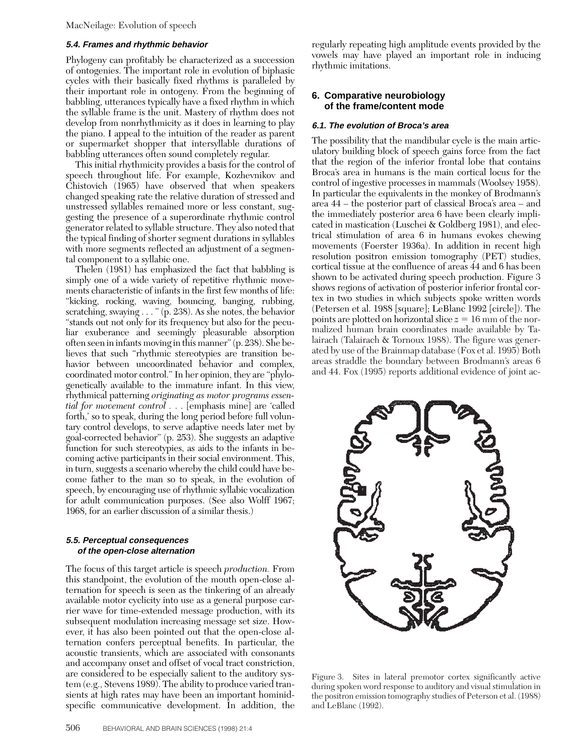#### **5.4. Frames and rhythmic behavior**

Phylogeny can profitably be characterized as a succession of ontogenies. The important role in evolution of biphasic cycles with their basically fixed rhythms is paralleled by their important role in ontogeny. From the beginning of babbling, utterances typically have a fixed rhythm in which the syllable frame is the unit. Mastery of rhythm does not develop from nonrhythmicity as it does in learning to play the piano. I appeal to the intuition of the reader as parent or supermarket shopper that intersyllable durations of babbling utterances often sound completely regular.

This initial rhythmicity provides a basis for the control of speech throughout life. For example, Kozhevnikov and Chistovich (1965) have observed that when speakers changed speaking rate the relative duration of stressed and unstressed syllables remained more or less constant, suggesting the presence of a superordinate rhythmic control generator related to syllable structure. They also noted that the typical finding of shorter segment durations in syllables with more segments reflected an adjustment of a segmental component to a syllabic one.

Thelen (1981) has emphasized the fact that babbling is simply one of a wide variety of repetitive rhythmic movements characteristic of infants in the first few months of life: "kicking, rocking, waving, bouncing, banging, rubbing, scratching, swaying . . . " (p. 238). As she notes, the behavior "stands out not only for its frequency but also for the peculiar exuberance and seemingly pleasurable absorption often seen in infants moving in this manner" (p. 238). She believes that such "rhythmic stereotypies are transition behavior between uncoordinated behavior and complex, coordinated motor control." In her opinion, they are "phylogenetically available to the immature infant. In this view, rhythmical patterning *originating as motor programs essential for movement control .* . . [emphasis mine] are 'called forth,' so to speak, during the long period before full voluntary control develops, to serve adaptive needs later met by goal-corrected behavior" (p. 253). She suggests an adaptive function for such stereotypies, as aids to the infants in becoming active participants in their social environment. This, in turn, suggests a scenario whereby the child could have become father to the man so to speak, in the evolution of speech, by encouraging use of rhythmic syllabic vocalization for adult communication purposes. (See also Wolff 1967; 1968, for an earlier discussion of a similar thesis.)

#### **5.5. Perceptual consequences of the open-close alternation**

The focus of this target article is speech *production.* From this standpoint, the evolution of the mouth open-close alternation for speech is seen as the tinkering of an already available motor cyclicity into use as a general purpose carrier wave for time-extended message production, with its subsequent modulation increasing message set size. However, it has also been pointed out that the open-close alternation confers perceptual benefits. In particular, the acoustic transients, which are associated with consonants and accompany onset and offset of vocal tract constriction, are considered to be especially salient to the auditory system (e.g., Stevens 1989). The ability to produce varied transients at high rates may have been an important hominidspecific communicative development. In addition, the

regularly repeating high amplitude events provided by the vowels may have played an important role in inducing rhythmic imitations.

#### **6. Comparative neurobiology of the frame/content mode**

#### **6.1. The evolution of Broca's area**

The possibility that the mandibular cycle is the main articulatory building block of speech gains force from the fact that the region of the inferior frontal lobe that contains Broca's area in humans is the main cortical locus for the control of ingestive processes in mammals (Woolsey 1958). In particular the equivalents in the monkey of Brodmann's area 44 – the posterior part of classical Broca's area – and the immediately posterior area 6 have been clearly implicated in mastication (Luschei & Goldberg 1981), and electrical stimulation of area 6 in humans evokes chewing movements (Foerster 1936a). In addition in recent high resolution positron emission tomography (PET) studies, cortical tissue at the confluence of areas 44 and 6 has been shown to be activated during speech production. Figure 3 shows regions of activation of posterior inferior frontal cortex in two studies in which subjects spoke written words (Petersen et al. 1988 [square]; LeBlanc 1992 [circle]). The points are plotted on horizontal slice  $z = 16$  mm of the normalized human brain coordinates made available by Talairach (Talairach & Tornoux 1988). The figure was generated by use of the Brainmap database (Fox et al. 1995) Both areas straddle the boundary between Brodmann's areas 6 and 44. Fox (1995) reports additional evidence of joint ac-



Figure 3. Sites in lateral premotor cortex significantly active during spoken word response to auditory and visual stimulation in the positron emission tomography studies of Peterson et al. (1988) and LeBlanc (1992).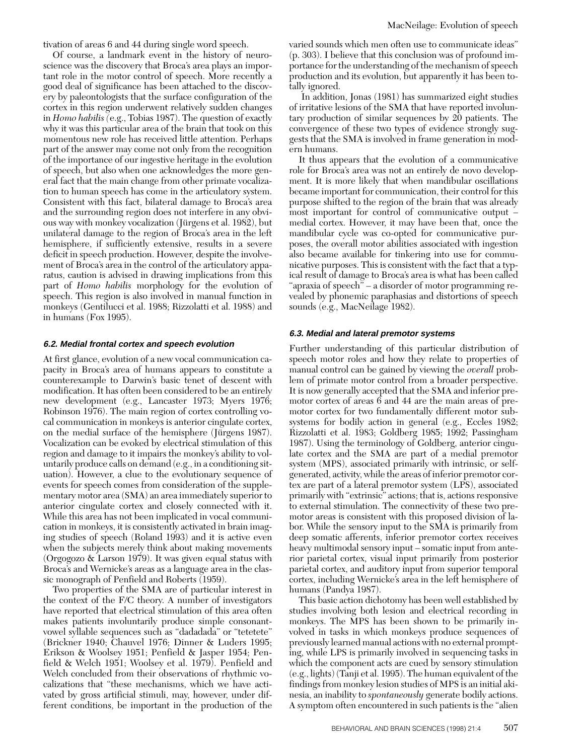tivation of areas 6 and 44 during single word speech.

Of course, a landmark event in the history of neuroscience was the discovery that Broca's area plays an important role in the motor control of speech. More recently a good deal of significance has been attached to the discovery by paleontologists that the surface configuration of the cortex in this region underwent relatively sudden changes in *Homo habilis (*e.g., Tobias 1987). The question of exactly why it was this particular area of the brain that took on this momentous new role has received little attention. Perhaps part of the answer may come not only from the recognition of the importance of our ingestive heritage in the evolution of speech, but also when one acknowledges the more general fact that the main change from other primate vocalization to human speech has come in the articulatory system. Consistent with this fact, bilateral damage to Broca's area and the surrounding region does not interfere in any obvious way with monkey vocalization (Jürgens et al. 1982), but unilateral damage to the region of Broca's area in the left hemisphere, if sufficiently extensive, results in a severe deficit in speech production. However, despite the involvement of Broca's area in the control of the articulatory apparatus, caution is advised in drawing implications from this part of *Homo habilis* morphology for the evolution of speech. This region is also involved in manual function in monkeys (Gentilucci et al. 1988; Rizzolatti et al. 1988) and in humans (Fox 1995).

#### **6.2. Medial frontal cortex and speech evolution**

At first glance, evolution of a new vocal communication capacity in Broca's area of humans appears to constitute a counterexample to Darwin's basic tenet of descent with modification. It has often been considered to be an entirely new development (e.g., Lancaster 1973; Myers 1976; Robinson 1976). The main region of cortex controlling vocal communication in monkeys is anterior cingulate cortex, on the medial surface of the hemisphere (Jürgens 1987). Vocalization can be evoked by electrical stimulation of this region and damage to it impairs the monkey's ability to voluntarily produce calls on demand (e.g., in a conditioning situation). However, a clue to the evolutionary sequence of events for speech comes from consideration of the supplementary motor area (SMA) an area immediately superior to anterior cingulate cortex and closely connected with it. While this area has not been implicated in vocal communication in monkeys, it is consistently activated in brain imaging studies of speech (Roland 1993) and it is active even when the subjects merely think about making movements (Orgogozo & Larson 1979). It was given equal status with Broca's and Wernicke's areas as a language area in the classic monograph of Penfield and Roberts (1959).

Two properties of the SMA are of particular interest in the context of the F/C theory. A number of investigators have reported that electrical stimulation of this area often makes patients involuntarily produce simple consonantvowel syllable sequences such as "dadadada" or "tetetete" (Brickner 1940; Chauvel 1976; Dinner & Luders 1995; Erikson & Woolsey 1951; Penfield & Jasper 1954; Penfield & Welch 1951; Woolsey et al. 1979). Penfield and Welch concluded from their observations of rhythmic vocalizations that "these mechanisms, which we have activated by gross artificial stimuli, may, however, under different conditions, be important in the production of the

varied sounds which men often use to communicate ideas" (p. 303). I believe that this conclusion was of profound importance for the understanding of the mechanism of speech production and its evolution, but apparently it has been totally ignored.

In addition, Jonas (1981) has summarized eight studies of irritative lesions of the SMA that have reported involuntary production of similar sequences by 20 patients. The convergence of these two types of evidence strongly suggests that the SMA is involved in frame generation in modern humans.

It thus appears that the evolution of a communicative role for Broca's area was not an entirely de novo development. It is more likely that when mandibular oscillations became important for communication, their control for this purpose shifted to the region of the brain that was already most important for control of communicative output – medial cortex. However, it may have been that, once the mandibular cycle was co-opted for communicative purposes, the overall motor abilities associated with ingestion also became available for tinkering into use for communicative purposes. This is consistent with the fact that a typical result of damage to Broca's area is what has been called "apraxia of speech" – a disorder of motor programming revealed by phonemic paraphasias and distortions of speech sounds (e.g., MacNeilage 1982).

#### **6.3. Medial and lateral premotor systems**

Further understanding of this particular distribution of speech motor roles and how they relate to properties of manual control can be gained by viewing the *overall* problem of primate motor control from a broader perspective. It is now generally accepted that the SMA and inferior premotor cortex of areas 6 and 44 are the main areas of premotor cortex for two fundamentally different motor subsystems for bodily action in general (e.g., Eccles 1982; Rizzolatti et al. 1983; Goldberg 1985; 1992; Passingham 1987). Using the terminology of Goldberg, anterior cingulate cortex and the SMA are part of a medial premotor system (MPS), associated primarily with intrinsic, or selfgenerated, activity, while the areas of inferior premotor cortex are part of a lateral premotor system (LPS), associated primarily with "extrinsic" actions; that is, actions responsive to external stimulation. The connectivity of these two premotor areas is consistent with this proposed division of labor. While the sensory input to the SMA is primarily from deep somatic afferents, inferior premotor cortex receives heavy multimodal sensory input – somatic input from anterior parietal cortex, visual input primarily from posterior parietal cortex, and auditory input from superior temporal cortex, including Wernicke's area in the left hemisphere of humans (Pandya 1987).

This basic action dichotomy has been well established by studies involving both lesion and electrical recording in monkeys. The MPS has been shown to be primarily involved in tasks in which monkeys produce sequences of previously learned manual actions with no external prompting, while LPS is primarily involved in sequencing tasks in which the component acts are cued by sensory stimulation (e.g., lights) (Tanji et al. 1995). The human equivalent of the findings from monkey lesion studies of MPS is an initial akinesia, an inability to *spontaneously* generate bodily actions. A symptom often encountered in such patients is the "alien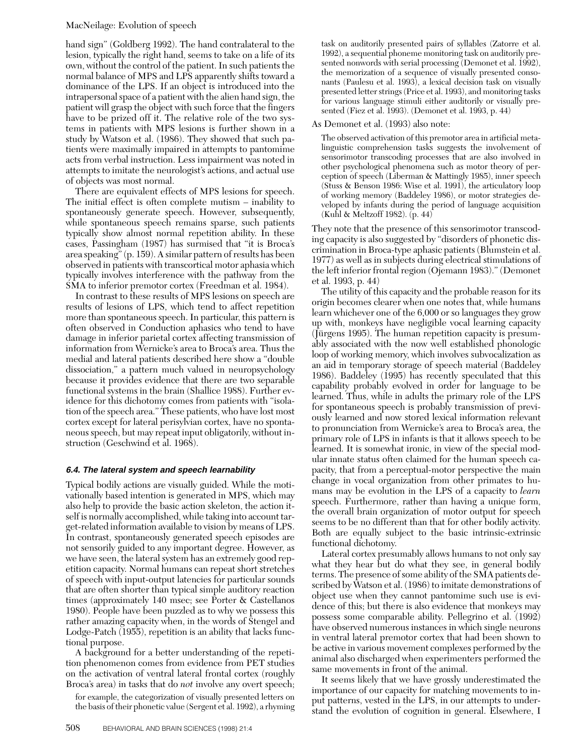## MacNeilage: Evolution of speech

hand sign" (Goldberg 1992). The hand contralateral to the lesion, typically the right hand, seems to take on a life of its own, without the control of the patient. In such patients the normal balance of MPS and LPS apparently shifts toward a dominance of the LPS. If an object is introduced into the intrapersonal space of a patient with the alien hand sign, the patient will grasp the object with such force that the fingers have to be prized off it. The relative role of the two systems in patients with MPS lesions is further shown in a study by Watson et al. (1986). They showed that such patients were maximally impaired in attempts to pantomime acts from verbal instruction. Less impairment was noted in attempts to imitate the neurologist's actions, and actual use of objects was most normal.

There are equivalent effects of MPS lesions for speech. The initial effect is often complete mutism – inability to spontaneously generate speech. However, subsequently, while spontaneous speech remains sparse, such patients typically show almost normal repetition ability. In these cases, Passingham (1987) has surmised that "it is Broca's area speaking" (p. 159). A similar pattern of results has been observed in patients with transcortical motor aphasia which typically involves interference with the pathway from the SMA to inferior premotor cortex (Freedman et al. 1984).

In contrast to these results of MPS lesions on speech are results of lesions of LPS, which tend to affect repetition more than spontaneous speech. In particular, this pattern is often observed in Conduction aphasics who tend to have damage in inferior parietal cortex affecting transmission of information from Wernicke's area to Broca's area. Thus the medial and lateral patients described here show a "double dissociation," a pattern much valued in neuropsychology because it provides evidence that there are two separable functional systems in the brain (Shallice 1988). Further evidence for this dichotomy comes from patients with "isolation of the speech area." These patients, who have lost most cortex except for lateral perisylvian cortex, have no spontaneous speech, but may repeat input obligatorily, without instruction (Geschwind et al. 1968).

## **6.4. The lateral system and speech learnability**

Typical bodily actions are visually guided. While the motivationally based intention is generated in MPS, which may also help to provide the basic action skeleton, the action itself is normally accomplished, while taking into account target-related information available to vision by means of LPS. In contrast, spontaneously generated speech episodes are not sensorily guided to any important degree. However, as we have seen, the lateral system has an extremely good repetition capacity. Normal humans can repeat short stretches of speech with input-output latencies for particular sounds that are often shorter than typical simple auditory reaction times (approximately 140 msec; see Porter & Castellanos 1980). People have been puzzled as to why we possess this rather amazing capacity when, in the words of Stengel and Lodge-Patch (1955), repetition is an ability that lacks functional purpose.

A background for a better understanding of the repetition phenomenon comes from evidence from PET studies on the activation of ventral lateral frontal cortex (roughly Broca's area) in tasks that do *not* involve any overt speech;

for example, the categorization of visually presented letters on the basis of their phonetic value (Sergent et al. 1992), a rhyming task on auditorily presented pairs of syllables (Zatorre et al. 1992), a sequential phoneme monitoring task on auditorily presented nonwords with serial processing (Demonet et al. 1992), the memorization of a sequence of visually presented consonants (Paulesu et al. 1993), a lexical decision task on visually presented letter strings (Price et al. 1993), and monitoring tasks for various language stimuli either auditorily or visually presented (Fiez et al. 1993). (Demonet et al. 1993, p. 44)

## As Demonet et al. (1993) also note:

The observed activation of this premotor area in artificial metalinguistic comprehension tasks suggests the involvement of sensorimotor transcoding processes that are also involved in other psychological phenomena such as motor theory of perception of speech (Liberman & Mattingly 1985), inner speech (Stuss & Benson 1986: Wise et al. 1991), the articulatory loop of working memory (Baddeley 1986), or motor strategies developed by infants during the period of language acquisition (Kuhl & Meltzoff 1982). (p. 44)

They note that the presence of this sensorimotor transcoding capacity is also suggested by "disorders of phonetic discrimination in Broca-type aphasic patients (Blumstein et al. 1977) as well as in subjects during electrical stimulations of the left inferior frontal region (Ojemann 1983)." (Demonet et al. 1993, p. 44)

The utility of this capacity and the probable reason for its origin becomes clearer when one notes that, while humans learn whichever one of the 6,000 or so languages they grow up with, monkeys have negligible vocal learning capacity (Jürgens 1995). The human repetition capacity is presumably associated with the now well established phonologic loop of working memory, which involves subvocalization as an aid in temporary storage of speech material (Baddeley 1986). Baddeley (1995) has recently speculated that this capability probably evolved in order for language to be learned. Thus, while in adults the primary role of the LPS for spontaneous speech is probably transmission of previously learned and now stored lexical information relevant to pronunciation from Wernicke's area to Broca's area, the primary role of LPS in infants is that it allows speech to be learned. It is somewhat ironic, in view of the special modular innate status often claimed for the human speech capacity, that from a perceptual-motor perspective the main change in vocal organization from other primates to humans may be evolution in the LPS of a capacity to *learn* speech. Furthermore, rather than having a unique form, the overall brain organization of motor output for speech seems to be no different than that for other bodily activity. Both are equally subject to the basic intrinsic-extrinsic functional dichotomy.

Lateral cortex presumably allows humans to not only say what they hear but do what they see, in general bodily terms. The presence of some ability of the SMA patients described by Watson et al. (1986) to imitate demonstrations of object use when they cannot pantomime such use is evidence of this; but there is also evidence that monkeys may possess some comparable ability. Pellegrino et al. (1992) have observed numerous instances in which single neurons in ventral lateral premotor cortex that had been shown to be active in various movement complexes performed by the animal also discharged when experimenters performed the same movements in front of the animal.

It seems likely that we have grossly underestimated the importance of our capacity for matching movements to input patterns, vested in the LPS, in our attempts to understand the evolution of cognition in general. Elsewhere, I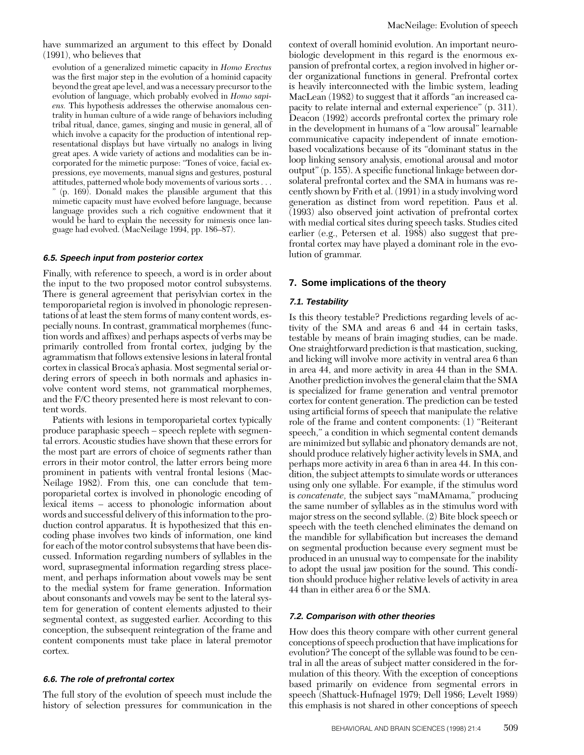have summarized an argument to this effect by Donald (1991), who believes that

evolution of a generalized mimetic capacity in *Homo Erectus* was the first major step in the evolution of a hominid capacity beyond the great ape level, and was a necessary precursor to the evolution of language, which probably evolved in *Homo sapiens.* This hypothesis addresses the otherwise anomalous centrality in human culture of a wide range of behaviors including tribal ritual, dance, games, singing and music in general, all of which involve a capacity for the production of intentional representational displays but have virtually no analogs in living great apes. A wide variety of actions and modalities can be incorporated for the mimetic purpose: "Tones of voice, facial expressions, eye movements, manual signs and gestures, postural attitudes, patterned whole body movements of various sorts . . . " (p. 169). Donald makes the plausible argument that this mimetic capacity must have evolved before language, because language provides such a rich cognitive endowment that it would be hard to explain the necessity for mimesis once language had evolved. (MacNeilage 1994, pp. 186–87).

#### **6.5. Speech input from posterior cortex**

Finally, with reference to speech, a word is in order about the input to the two proposed motor control subsystems. There is general agreement that perisylvian cortex in the temporoparietal region is involved in phonologic representations of at least the stem forms of many content words, especially nouns. In contrast, grammatical morphemes (function words and affixes) and perhaps aspects of verbs may be primarily controlled from frontal cortex, judging by the agrammatism that follows extensive lesions in lateral frontal cortex in classical Broca's aphasia. Most segmental serial ordering errors of speech in both normals and aphasics involve content word stems, not grammatical morphemes, and the F/C theory presented here is most relevant to content words.

Patients with lesions in temporoparietal cortex typically produce paraphasic speech – speech replete with segmental errors. Acoustic studies have shown that these errors for the most part are errors of choice of segments rather than errors in their motor control, the latter errors being more prominent in patients with ventral frontal lesions (Mac-Neilage 1982). From this, one can conclude that temporoparietal cortex is involved in phonologic encoding of lexical items – access to phonologic information about words and successful delivery of this information to the production control apparatus. It is hypothesized that this encoding phase involves two kinds of information, one kind for each of the motor control subsystems that have been discussed. Information regarding numbers of syllables in the word, suprasegmental information regarding stress placement, and perhaps information about vowels may be sent to the medial system for frame generation. Information about consonants and vowels may be sent to the lateral system for generation of content elements adjusted to their segmental context, as suggested earlier. According to this conception, the subsequent reintegration of the frame and content components must take place in lateral premotor cortex.

#### **6.6. The role of prefrontal cortex**

The full story of the evolution of speech must include the history of selection pressures for communication in the

context of overall hominid evolution. An important neurobiologic development in this regard is the enormous expansion of prefrontal cortex, a region involved in higher order organizational functions in general. Prefrontal cortex is heavily interconnected with the limbic system, leading MacLean (1982) to suggest that it affords "an increased capacity to relate internal and external experience" (p. 311). Deacon (1992) accords prefrontal cortex the primary role in the development in humans of a "low arousal" learnable communicative capacity independent of innate emotionbased vocalizations because of its "dominant status in the loop linking sensory analysis, emotional arousal and motor output" (p. 155). A specific functional linkage between dorsolateral prefrontal cortex and the SMA in humans was recently shown by Frith et al. (1991) in a study involving word generation as distinct from word repetition. Paus et al. (1993) also observed joint activation of prefrontal cortex with medial cortical sites during speech tasks. Studies cited earlier (e.g., Petersen et al. 1988) also suggest that prefrontal cortex may have played a dominant role in the evolution of grammar.

#### **7. Some implications of the theory**

#### **7.1. Testability**

Is this theory testable? Predictions regarding levels of activity of the SMA and areas 6 and 44 in certain tasks, testable by means of brain imaging studies, can be made. One straightforward prediction is that mastication, sucking, and licking will involve more activity in ventral area 6 than in area 44, and more activity in area 44 than in the SMA. Another prediction involves the general claim that the SMA is specialized for frame generation and ventral premotor cortex for content generation. The prediction can be tested using artificial forms of speech that manipulate the relative role of the frame and content components: (1) "Reiterant speech," a condition in which segmental content demands are minimized but syllabic and phonatory demands are not, should produce relatively higher activity levels in SMA, and perhaps more activity in area 6 than in area 44. In this condition, the subject attempts to simulate words or utterances using only one syllable. For example, if the stimulus word is *concatenate,* the subject says "maMAmama," producing the same number of syllables as in the stimulus word with major stress on the second syllable. (2) Bite block speech or speech with the teeth clenched eliminates the demand on the mandible for syllabification but increases the demand on segmental production because every segment must be produced in an unusual way to compensate for the inability to adopt the usual jaw position for the sound. This condition should produce higher relative levels of activity in area 44 than in either area 6 or the SMA.

#### **7.2. Comparison with other theories**

How does this theory compare with other current general conceptions of speech production that have implications for evolution? The concept of the syllable was found to be central in all the areas of subject matter considered in the formulation of this theory. With the exception of conceptions based primarily on evidence from segmental errors in speech (Shattuck-Hufnagel 1979; Dell 1986; Levelt 1989) this emphasis is not shared in other conceptions of speech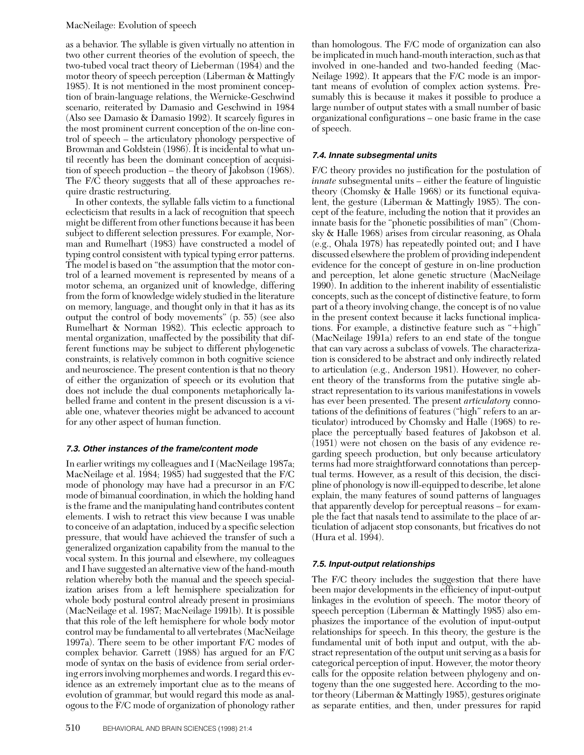## MacNeilage: Evolution of speech

as a behavior. The syllable is given virtually no attention in two other current theories of the evolution of speech, the two-tubed vocal tract theory of Lieberman (1984) and the motor theory of speech perception (Liberman & Mattingly 1985). It is not mentioned in the most prominent conception of brain-language relations, the Wernicke-Geschwind scenario, reiterated by Damasio and Geschwind in 1984 (Also see Damasio & Damasio 1992). It scarcely figures in the most prominent current conception of the on-line control of speech – the articulatory phonology perspective of Browman and Goldstein (1986). It is incidental to what until recently has been the dominant conception of acquisition of speech production – the theory of Jakobson (1968). The F/C theory suggests that all of these approaches require drastic restructuring.

In other contexts, the syllable falls victim to a functional eclecticism that results in a lack of recognition that speech might be different from other functions because it has been subject to different selection pressures. For example, Norman and Rumelhart (1983) have constructed a model of typing control consistent with typical typing error patterns. The model is based on "the assumption that the motor control of a learned movement is represented by means of a motor schema, an organized unit of knowledge, differing from the form of knowledge widely studied in the literature on memory, language, and thought only in that it has as its output the control of body movements" (p. 55) (see also Rumelhart & Norman 1982). This eclectic approach to mental organization, unaffected by the possibility that different functions may be subject to different phylogenetic constraints, is relatively common in both cognitive science and neuroscience. The present contention is that no theory of either the organization of speech or its evolution that does not include the dual components metaphorically labelled frame and content in the present discussion is a viable one, whatever theories might be advanced to account for any other aspect of human function.

## **7.3. Other instances of the frame/content mode**

In earlier writings my colleagues and I (MacNeilage 1987a; MacNeilage et al. 1984; 1985) had suggested that the F/C mode of phonology may have had a precursor in an F/C mode of bimanual coordination, in which the holding hand is the frame and the manipulating hand contributes content elements. I wish to retract this view because I was unable to conceive of an adaptation, induced by a specific selection pressure, that would have achieved the transfer of such a generalized organization capability from the manual to the vocal system. In this journal and elsewhere, my colleagues and I have suggested an alternative view of the hand-mouth relation whereby both the manual and the speech specialization arises from a left hemisphere specialization for whole body postural control already present in prosimians (MacNeilage et al. 1987; MacNeilage 1991b). It is possible that this role of the left hemisphere for whole body motor control may be fundamental to all vertebrates (MacNeilage 1997a). There seem to be other important F/C modes of complex behavior. Garrett (1988) has argued for an F/C mode of syntax on the basis of evidence from serial ordering errors involving morphemes and words. I regard this evidence as an extremely important clue as to the means of evolution of grammar, but would regard this mode as analogous to the F/C mode of organization of phonology rather

than homologous. The F/C mode of organization can also be implicated in much hand-mouth interaction, such as that involved in one-handed and two-handed feeding (Mac-Neilage 1992). It appears that the F/C mode is an important means of evolution of complex action systems. Presumably this is because it makes it possible to produce a large number of output states with a small number of basic organizational configurations – one basic frame in the case of speech.

## **7.4. Innate subsegmental units**

F/C theory provides no justification for the postulation of *innate* subsegmental units – either the feature of linguistic theory (Chomsky & Halle 1968) or its functional equivalent, the gesture (Liberman & Mattingly 1985). The concept of the feature, including the notion that it provides an innate basis for the "phonetic possibilities of man" (Chomsky & Halle 1968) arises from circular reasoning, as Ohala (e.g., Ohala 1978) has repeatedly pointed out; and I have discussed elsewhere the problem of providing independent evidence for the concept of gesture in on-line production and perception, let alone genetic structure (MacNeilage 1990). In addition to the inherent inability of essentialistic concepts, such as the concept of distinctive feature, to form part of a theory involving change, the concept is of no value in the present context because it lacks functional implications. For example, a distinctive feature such as "+high" (MacNeilage 1991a) refers to an end state of the tongue that can vary across a subclass of vowels. The characterization is considered to be abstract and only indirectly related to articulation (e.g., Anderson 1981). However, no coherent theory of the transforms from the putative single abstract representation to its various manifestations in vowels has ever been presented. The present *articulatory* connotations of the definitions of features ("high" refers to an articulator) introduced by Chomsky and Halle (1968) to replace the perceptually based features of Jakobson et al.  $(1951)$  were not chosen on the basis of any evidence regarding speech production, but only because articulatory terms had more straightforward connotations than perceptual terms. However, as a result of this decision, the discipline of phonology is now ill-equipped to describe, let alone explain, the many features of sound patterns of languages that apparently develop for perceptual reasons – for example the fact that nasals tend to assimilate to the place of articulation of adjacent stop consonants, but fricatives do not (Hura et al. 1994).

## **7.5. Input-output relationships**

The F/C theory includes the suggestion that there have been major developments in the efficiency of input-output linkages in the evolution of speech. The motor theory of speech perception (Liberman & Mattingly 1985) also emphasizes the importance of the evolution of input-output relationships for speech. In this theory, the gesture is the fundamental unit of both input and output, with the abstract representation of the output unit serving as a basis for categorical perception of input. However, the motor theory calls for the opposite relation between phylogeny and ontogeny than the one suggested here. According to the motor theory (Liberman & Mattingly 1985), gestures originate as separate entities, and then, under pressures for rapid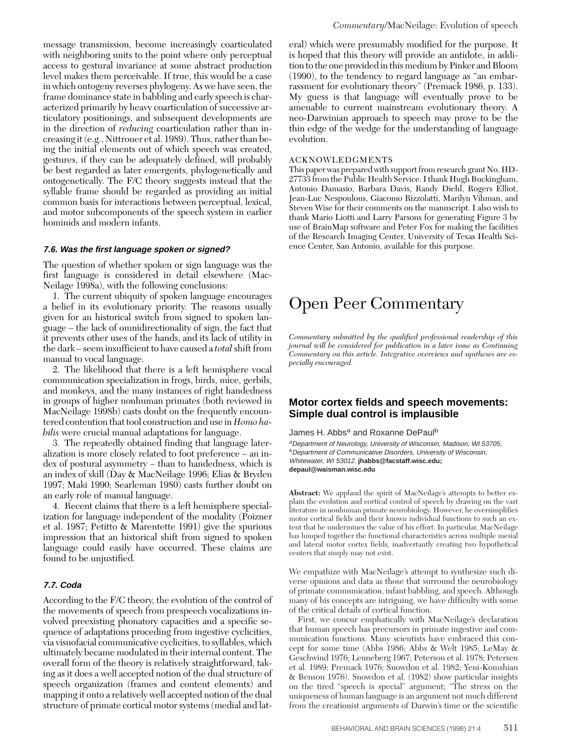message transmission, become increasingly coarticulated with neighboring units to the point where only perceptual access to gestural invariance at some abstract production level makes them perceivable. If true, this would be a case in which ontogeny reverses phylogeny. As we have seen, the frame dominance state in babbling and early speech is characterized primarily by heavy coarticulation of successive articulatory positionings, and subsequent developments are in the direction of *reducing* coarticulation rather than increasing it (e.g., Nittrouer et al. 1989). Thus, rather than being the initial elements out of which speech was created, gestures, if they can be adequately defined, will probably be best regarded as later emergents, phylogenetically and ontogenetically. The F/C theory suggests instead that the syllable frame should be regarded as providing an initial common basis for interactions between perceptual, lexical, and motor subcomponents of the speech system in earlier hominids and modern infants.

#### **7.6. Was the first language spoken or signed?**

The question of whether spoken or sign language was the first language is considered in detail elsewhere (Mac-Neilage 1998a), with the following conclusions:

1. The current ubiquity of spoken language encourages a belief in its evolutionary priority. The reasons usually given for an historical switch from signed to spoken language – the lack of omnidirectionality of sign, the fact that it prevents other uses of the hands, and its lack of utility in the dark – seem insufficient to have caused a *total* shift from manual to vocal language.

2. The likelihood that there is a left hemisphere vocal communication specialization in frogs, birds, mice, gerbils, and monkeys, and the many instances of right handedness in groups of higher nonhuman primates (both reviewed in MacNeilage 1998b) casts doubt on the frequently encountered contention that tool construction and use in *Homo habilis* were crucial manual adaptations for language.

3. The repeatedly obtained finding that language lateralization is more closely related to foot preference – an index of postural asymmetry – than to handedness, which is an index of skill (Day & MacNeilage 1996; Elias & Bryden 1997; Maki 1990; Searleman 1980) casts further doubt on an early role of manual language.

4. Recent claims that there is a left hemisphere specialization for language independent of the modality (Poizner et al. 1987; Petitto & Marentette 1991) give the spurious impression that an historical shift from signed to spoken language could easily have occurred. These claims are found to be unjustified.

#### **7.7. Coda**

According to the F/C theory, the evolution of the control of the movements of speech from prespeech vocalizations involved preexisting phonatory capacities and a specific sequence of adaptations proceding from ingestive cyclicities, via visuofacial communicative cyclicities, to syllables, which ultimately became modulated in their internal content. The overall form of the theory is relatively straightforward, taking as it does a well accepted notion of the dual structure of speech organization (frames and content elements) and mapping it onto a relatively well accepted notion of the dual structure of primate cortical motor systems (medial and lat-

eral) which were presumably modified for the purpose. It is hoped that this theory will provide an antidote, in addition to the one provided in this medium by Pinker and Bloom (1990), to the tendency to regard language as "an embarrassment for evolutionary theory" (Premack 1986, p. 133). My guess is that language will eventually prove to be amenable to current mainstream evolutionary theory. A neo-Darwinian approach to speech may prove to be the thin edge of the wedge for the understanding of language evolution.

#### ACKNOWLEDGMENTS

This paper was prepared with support from research grant No. HD-27733 from the Public Health Service. I thank Hugh Buckingham, Antonio Damasio, Barbara Davis, Randy Diehl, Rogers Elliot, Jean-Luc Nespoulous, Giacomo Rizzolatti, Marilyn Vihman, and Steven Wise for their comments on the manuscript. I also wish to thank Mario Liotti and Larry Parsons for generating Figure 3 by use of BrainMap software and Peter Fox for making the facilities of the Research Imaging Center, University of Texas Health Science Center, San Antonio, available for this purpose.

## Open Peer Commentary

*Commentary submitted by the qualified professional readership of this journal will be considered for publication in a later issue as Continuing Commentary on this article. Integrative overviews and syntheses are especially encouraged.*

## **Motor cortex fields and speech movements: Simple dual control is implausible**

James H. Abbs<sup>a</sup> and Roxanne DePaul<sup>b</sup>

<sup>a</sup>Department of Neurology, University of Wisconsin, Madison, WI 53705; <sup>b</sup>Department of Communicative Disorders, University of Wisconsin, Whitewater, WI 53012. **jhabbs@facstaff.wisc.edu; depaul@waisman.wisc.edu**

**Abstract:** We applaud the spirit of MacNeilage's attempts to better explain the evolution and cortical control of speech by drawing on the vast literature in nonhuman primate neurobiology. However, he oversimplifies motor cortical fields and their known individual functions to such an extent that he undermines the value of his effort. In particular, MacNeilage has lumped together the functional characteristics across multiple mesial and lateral motor cortex fields, inadvertantly creating two hypothetical centers that simply may not exist.

We empathize with MacNeilage's attempt to synthesize such diverse opinions and data as those that surround the neurobiology of primate communication, infant babbling, and speech. Although many of his concepts are intriguing, we have difficulty with some of the critical details of cortical function.

First, we concur emphatically with MacNeilage's declaration that human speech has precursors in primate ingestive and communication functions. Many scientists have embraced this concept for some time (Abbs 1986; Abbs & Welt 1985; LeMay & Geschwind 1976; Lenneberg 1967; Peterson et al. 1978; Petersen et al. 1989; Premack 1976; Snowdon et al. 1982; Yeni-Komshian & Benson 1976). Snowdon et al. (1982) show particular insights on the tired "speech is special" argument; "The stress on the uniqueness of human language is an argument not much different from the creationist arguments of Darwin's time or the scientific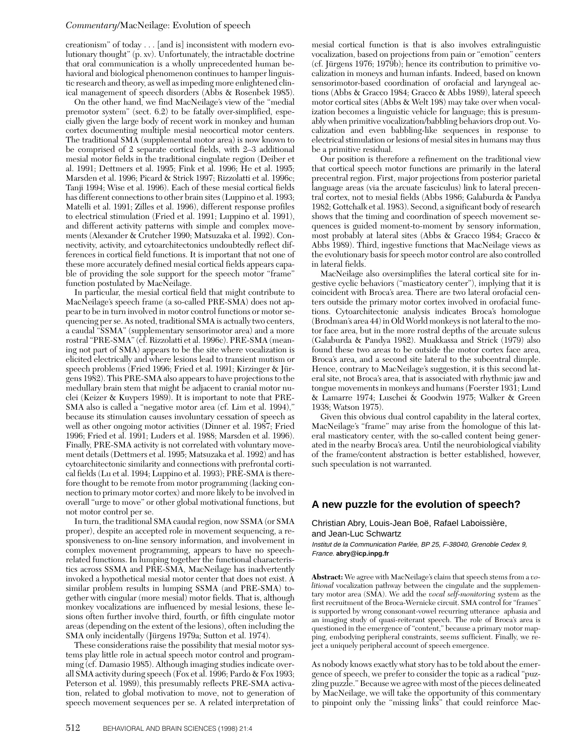#### *Commentary/*MacNeilage: Evolution of speech

 $\,$  creationism" of today  $\ldots$  [and is] inconsistent with modern evolutionary thought" (p. xv). Unfortunately, the intractable doctrine that oral communication is a wholly unprecedented human behavioral and biological phenomenon continues to hamper linguistic research and theory, as well as impeding more enlightened clinical management of speech disorders (Abbs & Rosenbek 1985).

On the other hand, we find MacNeilage's view of the "medial premotor system" (sect. 6.2) to be fatally over-simplified, especially given the large body of recent work in monkey and human cortex documenting multiple mesial neocortical motor centers. The traditional SMA (supplemental motor area) is now known to be comprised of 2 separate cortical fields, with 2–3 additional mesial motor fields in the traditional cingulate region (Deiber et al. 1991; Dettmers et al. 1995; Fink et al. 1996; He et al. 1995; Marsden et al. 1996; Picard & Strick 1997; Rizzolatti et al. 1996c; Tanji 1994; Wise et al. 1996). Each of these mesial cortical fields has different connections to other brain sites (Luppino et al. 1993; Matelli et al. 1991; Zilles et al. 1996), different response profiles to electrical stimulation (Fried et al. 1991; Luppino et al. 1991), and different activity patterns with simple and complex movements (Alexander & Crutcher 1990; Matsuzaka et al. 1992). Connectivity, activity, and cytoarchitectonics undoubtedly reflect differences in cortical field functions. It is important that not one of these more accurately defined mesial cortical fields appears capable of providing the sole support for the speech motor "frame" function postulated by MacNeilage.

In particular, the mesial cortical field that might contribute to MacNeilage's speech frame (a so-called PRE-SMA) does not appear to be in turn involved in motor control functions or motor sequencing per se. As noted, traditional SMA is actually two centers, a caudal "SSMA" (supplementary sensorimotor area) and a more rostral "PRE-SMA" (cf. Rizzolatti et al. 1996c). PRE-SMA (meaning not part of SMA) appears to be the site where vocalization is elicited electrically and where lesions lead to transient mutism or speech problems (Fried 1996; Fried et al. 1991; Kirzinger & Jürgens 1982). This PRE-SMA also appears to have projections to the medullary brain stem that might be adjacent to cranial motor nuclei (Keizer & Kuypers 1989). It is important to note that PRE-SMA also is called a "negative motor area (cf. Lim et al. 1994)," because its stimulation causes involuntary cessation of speech as well as other ongoing motor activities (Dinner et al. 1987; Fried 1996; Fried et al. 1991; Luders et al. 1988; Marsden et al. 1996). Finally, PRE-SMA activity is not correlated with voluntary movement details (Dettmers et al. 1995; Matsuzaka et al. 1992) and has cytoarchitectonic similarity and connections with prefrontal cortical fields (Lu et al. 1994; Luppino et al. 1993); PRE-SMA is therefore thought to be remote from motor programming (lacking connection to primary motor cortex) and more likely to be involved in overall "urge to move" or other global motivational functions, but not motor control per se.

In turn, the traditional SMA caudal region, now SSMA (or SMA proper), despite an accepted role in movement sequencing, a responsiveness to on-line sensory information, and involvement in complex movement programming, appears to have no speechrelated functions. In lumping together the functional characteristics across SSMA and PRE-SMA, MacNeilage has inadvertently invoked a hypothetical mesial motor center that does not exist. A similar problem results in lumping SSMA (and PRE-SMA) together with cingular (more mesial) motor fields. That is, although monkey vocalizations are influenced by mesial lesions, these lesions often further involve third, fourth, or fifth cingulate motor areas (depending on the extent of the lesions), often including the SMA only incidentally (Jürgens 1979a; Sutton et al. 1974).

These considerations raise the possibility that mesial motor systems play little role in actual speech motor control and programming (cf. Damasio 1985). Although imaging studies indicate overall SMA activity during speech (Fox et al. 1996; Pardo & Fox 1993; Peterson et al. 1989), this presumably reflects PRE-SMA activation, related to global motivation to move, not to generation of speech movement sequences per se. A related interpretation of mesial cortical function is that is also involves extralinguistic vocalization, based on projections from pain or "emotion" centers (cf. Jürgens 1976; 1979b); hence its contribution to primitive vocalization in moneys and human infants. Indeed, based on known sensorimotor-based coordination of orofacial and laryngeal actions (Abbs & Gracco 1984; Gracco & Abbs 1989), lateral speech motor cortical sites (Abbs & Welt 198) may take over when vocalization becomes a linguistic vehicle for language; this is presumably when primitive vocalization/babbling behaviors drop out. Vocalization and even babbling-like sequences in response to electrical stimulation or lesions of mesial sites in humans may thus be a primitive residual.

Our position is therefore a refinement on the traditional view that cortical speech motor functions are primarily in the lateral precentral region. First, major projections from posterior parietal language areas (via the arcuate fasciculus) link to lateral precentral cortex, not to mesial fields (Abbs 1986; Galaburda & Pandya 1982; Gottchalk et al. 1983). Second, a significant body of research shows that the timing and coordination of speech movement sequences is guided moment-to-moment by sensory information, most probably at lateral sites (Abbs & Gracco 1984; Gracco & Abbs 1989). Third, ingestive functions that MacNeilage views as the evolutionary basis for speech motor control are also controlled in lateral fields.

MacNeilage also oversimplifies the lateral cortical site for ingestive cyclic behaviors ("masticatory center"), implying that it is coincident with Broca's area. There are two lateral orofacial centers outside the primary motor cortex involved in orofacial functions. Cytoarchitectonic analysis indicates Broca's homologue (Brodman's area 44) in Old World monkeys is not lateral to the motor face area, but in the more rostral depths of the arcuate sulcus (Galaburda & Pandya 1982). Muakkassa and Strick (1979) also found these two areas to be outside the motor cortex face area, Broca's area, and a second site lateral to the subcentral dimple. Hence, contrary to MacNeilage's suggestion, it is this second lateral site, not Broca's area, that is associated with rhythmic jaw and tongue movements in monkeys and humans (Foerster 1931; Lund & Lamarre 1974; Luschei & Goodwin 1975; Walker & Green 1938; Watson 1975).

Given this obvious dual control capability in the lateral cortex, MacNeilage's "frame" may arise from the homologue of this lateral masticatory center, with the so-called content being generated in the nearby Broca's area. Until the neurobiological viability of the frame/content abstraction is better established, however, such speculation is not warranted.

## **A new puzzle for the evolution of speech?**

Christian Abry, Louis-Jean Boë, Rafael Laboissière, and Jean-Luc Schwartz

Institut de la Communication Parlée, BP 25, F-38040, Grenoble Cedex 9, France. **abry@icp.inpg.fr**

**Abstract:** We agree with MacNeilage's claim that speech stems from a *volitional* vocalization pathway between the cingulate and the supplementary motor area (SMA). We add the *vocal self-monitoring* system as the first recruitment of the Broca-Wernicke circuit. SMA control for "frames" is supported by wrong consonant-vowel recurring utterance aphasia and an imaging study of quasi-reiterant speech. The role of Broca's area is questioned in the emergence of "content," because a primary motor mapping, embodying peripheral constraints, seems sufficient. Finally, we reject a uniquely peripheral account of speech emergence.

As nobody knows exactly what story has to be told about the emergence of speech, we prefer to consider the topic as a radical "puzzling puzzle." Because we agree with most of the pieces delineated by MacNeilage, we will take the opportunity of this commentary to pinpoint only the "missing links" that could reinforce Mac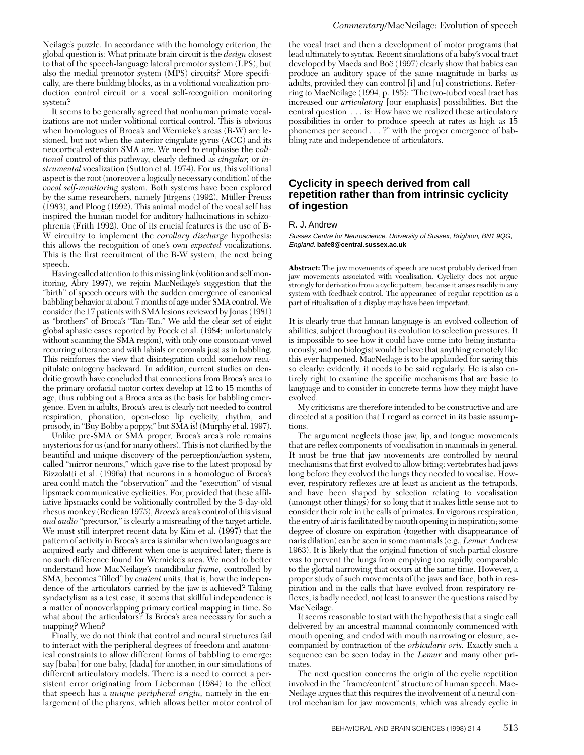Neilage's puzzle. In accordance with the homology criterion, the global question is: What primate brain circuit is the *design* closest to that of the speech-language lateral premotor system (LPS), but also the medial premotor system (MPS) circuits? More specifically, are there building blocks, as in a volitional vocalization production control circuit or a vocal self-recognition monitoring system?

It seems to be generally agreed that nonhuman primate vocalizations are not under volitional cortical control. This is obvious when homologues of Broca's and Wernicke's areas (B-W) are lesioned, but not when the anterior cingulate gyrus (ACG) and its neocortical extension SMA are. We need to emphasise the *volitional* control of this pathway, clearly defined as *cingular,* or *instrumental* vocalization (Sutton et al. 1974). For us, this volitional aspect is the root (moreover a logically necessary condition) of the *vocal self-monitoring* system. Both systems have been explored by the same researchers, namely Jürgens (1992), Müller-Preuss (1983), and Ploog (1992). This animal model of the vocal self has inspired the human model for auditory hallucinations in schizophrenia (Frith 1992). One of its crucial features is the use of B-W circuitry to implement the *corollary discharge* hypothesis: this allows the recognition of one's own *expected* vocalizations. This is the first recruitment of the B-W system, the next being speech.

Having called attention to this missing link (volition and self monitoring, Abry 1997), we rejoin MacNeilage's suggestion that the "birth" of speech occurs with the sudden emergence of canonical babbling behavior at about 7 months of age under SMA control. We consider the 17 patients with SMA lesions reviewed by Jonas (1981) as "brothers" of Broca's "Tan-Tan." We add the clear set of eight global aphasic cases reported by Poeck et al. (1984; unfortunately without scanning the SMA region), with only one consonant-vowel recurring utterance and with labials or coronals just as in babbling. This reinforces the view that disintegration could somehow recapitulate ontogeny backward. In addition, current studies on dendritic growth have concluded that connections from Broca's area to the primary orofacial motor cortex develop at 12 to 15 months of age, thus rubbing out a Broca area as the basis for babbling emergence. Even in adults, Broca's area is clearly not needed to control respiration, phonation, open-close lip cyclicity, rhythm, and prosody, in "Buy Bobby a poppy," but SMA is! (Murphy et al. 1997).

Unlike pre-SMA or SMA proper, Broca's area's role remains mysterious for us (and for many others). This is not clarified by the beautiful and unique discovery of the perception/action system, called "mirror neurons," which gave rise to the latest proposal by Rizzolatti et al. (1996a) that neurons in a homologue of Broca's area could match the "observation" and the "execution" of visual lipsmack communicative cyclicities. For, provided that these affiliative lipsmacks could be volitionally controlled by the 3-day-old rhesus monkey (Redican 1975), *Broca's* area's control of this visual *and audio* "precursor," is clearly a misreading of the target article. We must still interpret recent data by Kim et al. (1997) that the pattern of activity in Broca's area is similar when two languages are acquired early and different when one is acquired later; there is no such difference found for Wernicke's area. We need to better understand how MacNeilage's mandibular *frame,* controlled by SMA, becomes "filled" by *content* units, that is, how the independence of the articulators carried by the jaw is achieved? Taking syndactylism as a test case, it seems that skillful independence is a matter of nonoverlapping primary cortical mapping in time. So what about the articulators? Is Broca's area necessary for such a mapping? When?

Finally, we do not think that control and neural structures fail to interact with the peripheral degrees of freedom and anatomical constraints to allow different forms of babbling to emerge: say [baba] for one baby, [dada] for another, in our simulations of different articulatory models. There is a need to correct a persistent error originating from Lieberman (1984) to the effect that speech has a *unique peripheral origin,* namely in the enlargement of the pharynx, which allows better motor control of

the vocal tract and then a development of motor programs that lead ultimately to syntax. Recent simulations of a baby's vocal tract developed by Maeda and Boë (1997) clearly show that babies can produce an auditory space of the same magnitude in barks as adults, provided they can control [i] and [u] constrictions. Referring to MacNeilage (1994, p. 185): "The two-tubed vocal tract has increased our *articulatory* [our emphasis] possibilities. But the central question . . . is: How have we realized these articulatory possibilities in order to produce speech at rates as high as 15 phonemes per second . . . ?" with the proper emergence of babbling rate and independence of articulators.

## **Cyclicity in speech derived from call repetition rather than from intrinsic cyclicity of ingestion**

#### R. J. Andrew

Sussex Centre for Neuroscience, University of Sussex, Brighton, BN1 9QG, England. **bafe8@central.sussex.ac.uk**

**Abstract:** The jaw movements of speech are most probably derived from jaw movements associated with vocalisation. Cyclicity does not argue strongly for derivation from a cyclic pattern, because it arises readily in any system with feedback control. The appearance of regular repetition as a part of ritualisation of a display may have been important.

It is clearly true that human language is an evolved collection of abilities, subject throughout its evolution to selection pressures. It is impossible to see how it could have come into being instantaneously, and no biologist would believe that anything remotely like this ever happened. MacNeilage is to be applauded for saying this so clearly: evidently, it needs to be said regularly. He is also entirely right to examine the specific mechanisms that are basic to language and to consider in concrete terms how they might have evolved.

My criticisms are therefore intended to be constructive and are directed at a position that I regard as correct in its basic assumptions.

The argument neglects those jaw, lip, and tongue movements that are reflex components of vocalisation in mammals in general. It must be true that jaw movements are controlled by neural mechanisms that first evolved to allow biting: vertebrates had jaws long before they evolved the lungs they needed to vocalise. However, respiratory reflexes are at least as ancient as the tetrapods, and have been shaped by selection relating to vocalisation (amongst other things) for so long that it makes little sense not to consider their role in the calls of primates. In vigorous respiration, the entry of air is facilitated by mouth opening in inspiration; some degree of closure on expiration (together with disappearance of naris dilation) can be seen in some mammals (e.g., *Lemur,* Andrew 1963). It is likely that the original function of such partial closure was to prevent the lungs from emptying too rapidly, comparable to the glottal narrowing that occurs at the same time. However, a proper study of such movements of the jaws and face, both in respiration and in the calls that have evolved from respiratory reflexes, is badly needed, not least to answer the questions raised by MacNeilage.

It seems reasonable to start with the hypothesis that a single call delivered by an ancestral mammal commonly commenced with mouth opening, and ended with mouth narrowing or closure, accompanied by contraction of the *orbicularis oris.* Exactly such a sequence can be seen today in the *Lemur* and many other primates.

The next question concerns the origin of the cyclic repetition involved in the "frame/content" structure of human speech. Mac-Neilage argues that this requires the involvement of a neural control mechanism for jaw movements, which was already cyclic in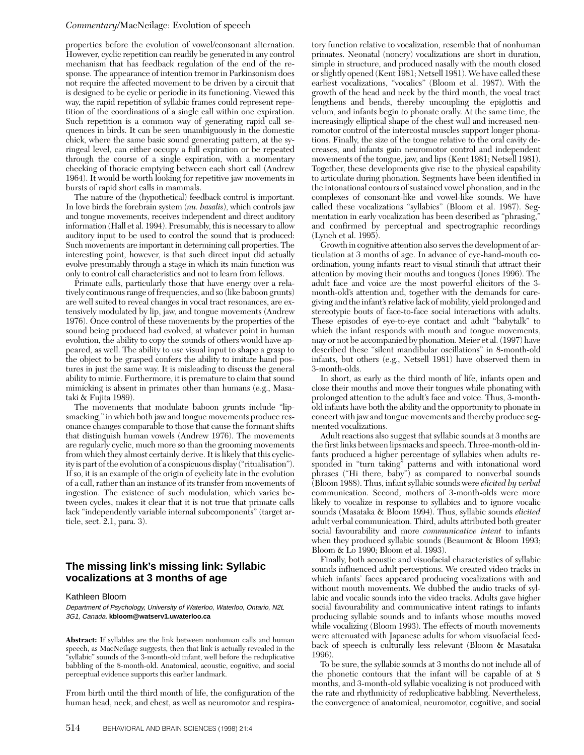#### *Commentary/*MacNeilage: Evolution of speech

properties before the evolution of vowel/consonant alternation. However, cyclic repetition can readily be generated in any control mechanism that has feedback regulation of the end of the response. The appearance of intention tremor in Parkinsonism does not require the affected movement to be driven by a circuit that is designed to be cyclic or periodic in its functioning. Viewed this way, the rapid repetition of syllabic frames could represent repetition of the coordinations of a single call within one expiration. Such repetition is a common way of generating rapid call sequences in birds. It can be seen unambiguously in the domestic chick, where the same basic sound generating pattern, at the syringeal level, can either occupy a full expiration or be repeated through the course of a single expiration, with a momentary checking of thoracic emptying between each short call (Andrew 1964). It would be worth looking for repetitive jaw movements in bursts of rapid short calls in mammals.

The nature of the (hypothetical) feedback control is important. In love birds the forebrain system (*nu. basalis*), which controls jaw and tongue movements, receives independent and direct auditory information (Hall et al. 1994). Presumably, this is necessary to allow auditory input to be used to control the sound that is produced: Such movements are important in determining call properties. The interesting point, however, is that such direct input did actually evolve presumably through a stage in which its main function was only to control call characteristics and not to learn from fellows.

Primate calls, particularly those that have energy over a relatively continuous range of frequencies, and so (like baboon grunts) are well suited to reveal changes in vocal tract resonances, are extensively modulated by lip, jaw, and tongue movements (Andrew 1976). Once control of these movements by the properties of the sound being produced had evolved, at whatever point in human evolution, the ability to copy the sounds of others would have appeared, as well. The ability to use visual input to shape a grasp to the object to be grasped confers the ability to imitate hand postures in just the same way. It is misleading to discuss the general ability to mimic. Furthermore, it is premature to claim that sound mimicking is absent in primates other than humans (e.g., Masataki & Fujita 1989).

The movements that modulate baboon grunts include "lipsmacking," in which both jaw and tongue movements produce resonance changes comparable to those that cause the formant shifts that distinguish human vowels (Andrew 1976). The movements are regularly cyclic, much more so than the grooming movements from which they almost certainly derive. It is likely that this cyclicity is part of the evolution of a conspicuous display ("ritualisation"). If so, it is an example of the origin of cyclicity late in the evolution of a call, rather than an instance of its transfer from movements of ingestion. The existence of such modulation, which varies between cycles, makes it clear that it is not true that primate calls lack "independently variable internal subcomponents" (target article, sect. 2.1, para. 3).

## **The missing link's missing link: Syllabic vocalizations at 3 months of age**

#### Kathleen Bloom

Department of Psychology, University of Waterloo, Waterloo, Ontario, N2L 3G1, Canada. **kbloom@watserv1.uwaterloo.ca**

**Abstract:** If syllables are the link between nonhuman calls and human speech, as MacNeilage suggests, then that link is actually revealed in the "syllabic" sounds of the 3-month-old infant, well before the reduplicative babbling of the 8-month-old. Anatomical, acoustic, cognitive, and social perceptual evidence supports this earlier landmark.

From birth until the third month of life, the configuration of the human head, neck, and chest, as well as neuromotor and respiratory function relative to vocalization, resemble that of nonhuman primates. Neonatal (noncry) vocalizations are short in duration, simple in structure, and produced nasally with the mouth closed or slightly opened (Kent 1981; Netsell 1981). We have called these earliest vocalizations, "vocalics" (Bloom et al. 1987). With the growth of the head and neck by the third month, the vocal tract lengthens and bends, thereby uncoupling the epiglottis and velum, and infants begin to phonate orally. At the same time, the increasingly elliptical shape of the chest wall and increased neuromotor control of the intercostal muscles support longer phonations. Finally, the size of the tongue relative to the oral cavity decreases, and infants gain neuromotor control and independent movements of the tongue, jaw, and lips (Kent 1981; Netsell 1981). Together, these developments give rise to the physical capability to articulate during phonation. Segments have been identified in the intonational contours of sustained vowel phonation, and in the complexes of consonant-like and vowel-like sounds. We have called these vocalizations "syllabics" (Bloom et al. 1987). Segmentation in early vocalization has been described as "phrasing," and confirmed by perceptual and spectrographic recordings (Lynch et al. 1995).

Growth in cognitive attention also serves the development of articulation at 3 months of age. In advance of eye-hand-mouth coordination, young infants react to visual stimuli that attract their attention by moving their mouths and tongues (Jones 1996). The adult face and voice are the most powerful elicitors of the 3 month-old's attention and, together with the demands for caregiving and the infant's relative lack of mobility, yield prolonged and stereotypic bouts of face-to-face social interactions with adults. These episodes of eye-to-eye contact and adult "babytalk" to which the infant responds with mouth and tongue movements, may or not be accompanied by phonation. Meier et al. (1997) have described these "silent mandibular oscillations" in 8-month-old infants, but others (e.g., Netsell 1981) have observed them in 3-month-olds.

In short, as early as the third month of life, infants open and close their mouths and move their tongues while phonating with prolonged attention to the adult's face and voice. Thus, 3-monthold infants have both the ability and the opportunity to phonate in concert with jaw and tongue movements and thereby produce segmented vocalizations.

Adult reactions also suggest that syllabic sounds at 3 months are the first links between lipsmacks and speech. Three-month-old infants produced a higher percentage of syllabics when adults responded in "turn taking" patterns and with intonational word phrases ("Hi there, baby") as compared to nonverbal sounds (Bloom 1988). Thus, infant syllabic sounds were *elicited by verbal* communication. Second, mothers of 3-month-olds were more likely to vocalize in response to syllabics and to ignore vocalic sounds (Masataka & Bloom 1994). Thus, syllabic sounds *elicited* adult verbal communication. Third, adults attributed both greater social favourability and more *communicative intent* to infants when they produced syllabic sounds (Beaumont & Bloom 1993; Bloom & Lo 1990; Bloom et al. 1993).

Finally, both acoustic and visuofacial characteristics of syllabic sounds influenced adult perceptions. We created video tracks in which infants' faces appeared producing vocalizations with and without mouth movements. We dubbed the audio tracks of syllabic and vocalic sounds into the video tracks. Adults gave higher social favourability and communicative intent ratings to infants producing syllabic sounds and to infants whose mouths moved while vocalizing (Bloom 1993). The effects of mouth movements were attenuated with Japanese adults for whom visuofacial feedback of speech is culturally less relevant (Bloom & Masataka 1996).

To be sure, the syllabic sounds at 3 months do not include all of the phonetic contours that the infant will be capable of at 8 months, and 3-month-old syllabic vocalizing is not produced with the rate and rhythmicity of reduplicative babbling. Nevertheless, the convergence of anatomical, neuromotor, cognitive, and social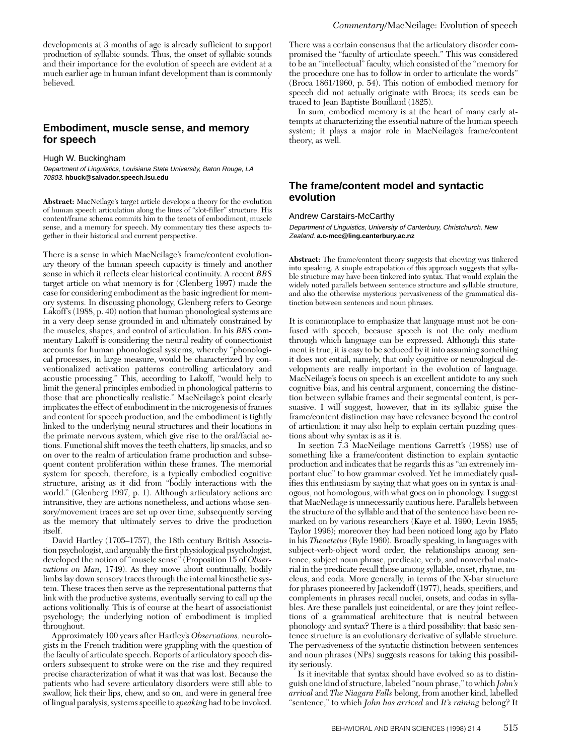developments at 3 months of age is already sufficient to support production of syllabic sounds. Thus, the onset of syllabic sounds and their importance for the evolution of speech are evident at a much earlier age in human infant development than is commonly believed.

## **Embodiment, muscle sense, and memory for speech**

#### Hugh W. Buckingham

Department of Linguistics, Louisiana State University, Baton Rouge, LA 70803. **hbuck@salvador.speech.lsu.edu**

**Abstract:** MacNeilage's target article develops a theory for the evolution of human speech articulation along the lines of "slot-filler" structure. His content/frame schema commits him to the tenets of embodiment, muscle sense, and a memory for speech. My commentary ties these aspects together in their historical and current perspective.

There is a sense in which MacNeilage's frame/content evolutionary theory of the human speech capacity is timely and another sense in which it reflects clear historical continuity. A recent *BBS* target article on what memory is for (Glenberg 1997) made the case for considering embodiment as the basic ingredient for memory systems. In discussing phonology, Glenberg refers to George Lakoff's (1988, p. 40) notion that human phonological systems are in a very deep sense grounded in and ultimately constrained by the muscles, shapes, and control of articulation. In his *BBS* commentary Lakoff is considering the neural reality of connectionist accounts for human phonological systems, whereby "phonological processes, in large measure, would be characterized by conventionalized activation patterns controlling articulatory and acoustic processing." This, according to Lakoff, "would help to limit the general principles embodied in phonological patterns to those that are phonetically realistic." MacNeilage's point clearly implicates the effect of embodiment in the microgenesis of frames and content for speech production, and the embodiment is tightly linked to the underlying neural structures and their locations in the primate nervous system, which give rise to the oral/facial actions. Functional shift moves the teeth chatters, lip smacks, and so on over to the realm of articulation frame production and subsequent content proliferation within these frames. The memorial system for speech, therefore, is a typically embodied cognitive structure, arising as it did from "bodily interactions with the world." (Glenberg 1997, p. 1). Although articulatory actions are intransitive, they are actions nonetheless, and actions whose sensory/movement traces are set up over time, subsequently serving as the memory that ultimately serves to drive the production itself.

David Hartley (1705–1757), the 18th century British Association psychologist, and arguably the first physiological psychologist, developed the notion of "muscle sense" (Proposition 15 of *Observations on Man,* 1749). As they move about continually, bodily limbs lay down sensory traces through the internal kinesthetic system. These traces then serve as the representational patterns that link with the productive systems, eventually serving to call up the actions volitionally. This is of course at the heart of associationist psychology; the underlying notion of embodiment is implied throughout.

Approximately 100 years after Hartley's *Observations,* neurologists in the French tradition were grappling with the question of the faculty of articulate speech. Reports of articulatory speech disorders subsequent to stroke were on the rise and they required precise characterization of what it was that was lost. Because the patients who had severe articulatory disorders were still able to swallow, lick their lips, chew, and so on, and were in general free of lingual paralysis, systems specific to *speaking* had to be invoked.

There was a certain consensus that the articulatory disorder compromised the "faculty of articulate speech." This was considered to be an "intellectual" faculty, which consisted of the "memory for the procedure one has to follow in order to articulate the words" (Broca 1861/1960, p. 54). This notion of embodied memory for speech did not actually originate with Broca; its seeds can be traced to Jean Baptiste Bouillaud (1825).

In sum, embodied memory is at the heart of many early attempts at characterizing the essential nature of the human speech system; it plays a major role in MacNeilage's frame/content theory, as well.

## **The frame/content model and syntactic evolution**

Andrew Carstairs-McCarthy

Department of Linguistics, University of Canterbury, Christchurch, New Zealand. **a.c-mcc@ling.canterbury.ac.nz**

**Abstract:** The frame/content theory suggests that chewing was tinkered into speaking. A simple extrapolation of this approach suggests that syllable structure may have been tinkered into syntax. That would explain the widely noted parallels between sentence structure and syllable structure, and also the otherwise mysterious pervasiveness of the grammatical distinction between sentences and noun phrases.

It is commonplace to emphasize that language must not be confused with speech, because speech is not the only medium through which language can be expressed. Although this statement is true, it is easy to be seduced by it into assuming something it does not entail, namely, that only cognitive or neurological developments are really important in the evolution of language. MacNeilage's focus on speech is an excellent antidote to any such cognitive bias, and his central argument, concerning the distinction between syllabic frames and their segmental content, is persuasive. I will suggest, however, that in its syllabic guise the frame/content distinction may have relevance beyond the control of articulation: it may also help to explain certain puzzling questions about why syntax is as it is.

In section 7.3 MacNeilage mentions Garrett's (1988) use of something like a frame/content distinction to explain syntactic production and indicates that he regards this as "an extremely important clue" to how grammar evolved. Yet he immediately qualifies this enthusiasm by saying that what goes on in syntax is analogous, not homologous, with what goes on in phonology. I suggest that MacNeilage is unnecessarily cautious here. Parallels between the structure of the syllable and that of the sentence have been remarked on by various researchers (Kaye et al. 1990; Levin 1985; Taylor 1996); moreover they had been noticed long ago by Plato in his *Theaetetus* (Ryle 1960). Broadly speaking, in languages with subject-verb-object word order, the relationships among sentence, subject noun phrase, predicate, verb, and nonverbal material in the predicate recall those among syllable, onset, rhyme, nucleus, and coda. More generally, in terms of the X-bar structure for phrases pioneered by Jackendoff (1977), heads, specifiers, and complements in phrases recall nuclei, onsets, and codas in syllables. Are these parallels just coincidental, or are they joint reflections of a grammatical architecture that is neutral between phonology and syntax? There is a third possibility: that basic sentence structure is an evolutionary derivative of syllable structure. The pervasiveness of the syntactic distinction between sentences and noun phrases (NPs) suggests reasons for taking this possibility seriously.

Is it inevitable that syntax should have evolved so as to distinguish one kind of structure, labeled "noun phrase," to which *John's arrival* and *The Niagara Falls* belong, from another kind, labelled "sentence," to which *John has arrived* and *It's raining* belong? It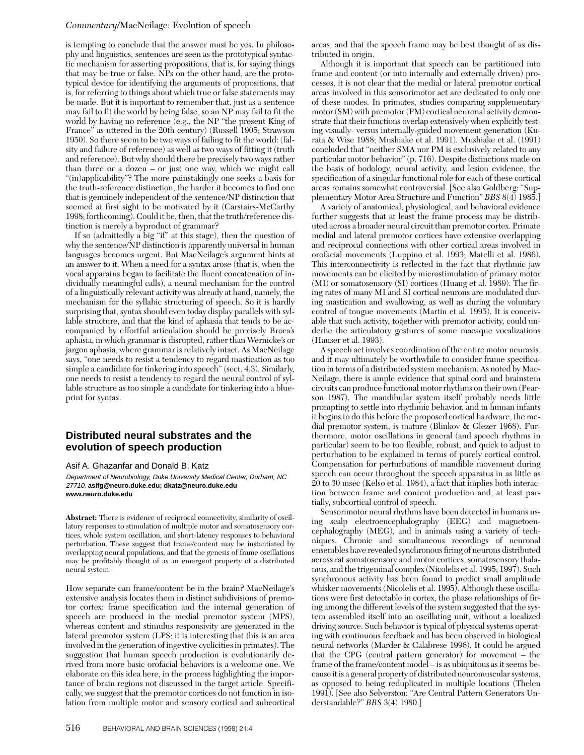#### *Commentary/*MacNeilage: Evolution of speech

is tempting to conclude that the answer must be yes. In philosophy and linguistics, sentences are seen as the prototypical syntactic mechanism for asserting propositions, that is, for saying things that may be true or false. NPs on the other hand, are the prototypical device for identifying the arguments of propositions, that is, for referring to things about which true or false statements may be made. But it is important to remember that, just as a sentence may fail to fit the world by being false, so an NP may fail to fit the world by having no reference (e.g., the NP "the present King of France" as uttered in the 20th century) (Russell 1905; Strawson 1950). So there seem to be two ways of failing to fit the world: (falsity and failure of reference) as well as two ways of fitting it (truth and reference). But why should there be precisely two ways rather than three or a dozen – or just one way, which we might call "(in)applicability"? The more painstakingly one seeks a basis for the truth-reference distinction, the harder it becomes to find one that is genuinely independent of the sentence/NP distinction that seemed at first sight to be motivated by it (Carstairs-McCarthy 1998; forthcoming). Could it be, then, that the truth/reference distinction is merely a byproduct of grammar?

If so (admittedly a big "if" at this stage), then the question of why the sentence/NP distinction is apparently universal in human languages becomes urgent. But MacNeilage's argument hints at an answer to it. When a need for a syntax arose (that is, when the vocal apparatus began to facilitate the fluent concatenation of individually meaningful calls), a neural mechanism for the control of a linguistically relevant activity was already at hand, namely, the mechanism for the syllabic structuring of speech. So it is hardly surprising that, syntax should even today display parallels with syllable structure, and that the kind of aphasia that tends to be accompanied by effortful articulation should be precisely Broca's aphasia, in which grammar is disrupted, rather than Wernicke's or jargon aphasia, where grammar is relatively intact. As MacNeilage says, "one needs to resist a tendency to regard mastication as too simple a candidate for tinkering into speech" (sect. 4.3). Similarly, one needs to resist a tendency to regard the neural control of syllable structure as too simple a candidate for tinkering into a blueprint for syntax.

## **Distributed neural substrates and the evolution of speech production**

Asif A. Ghazanfar and Donald B. Katz

Department of Neurobiology, Duke University Medical Center, Durham, NC 27710. **asifg@neuro.duke.edu; dkatz@neuro.duke.edu www.neuro.duke.edu**

**Abstract:** There is evidence of reciprocal connectivity, similarity of oscillatory responses to stimulation of multiple motor and somatosensory cortices, whole system oscillation, and short-latency responses to behavioral perturbation. These suggest that frame/content may be instantiated by overlapping neural populations, and that the genesis of frame oscillations may be profitably thought of as an emergent property of a distributed neural system.

How separate can frame/content be in the brain? MacNeilage's extensive analysis locates them in distinct subdivisions of premotor cortex: frame specification and the internal generation of speech are produced in the medial premotor system (MPS), whereas content and stimulus responsivity are generated in the lateral premotor system (LPS; it is interesting that this is an area involved in the generation of ingestive cyclicities in primates). The suggestion that human speech production is evolutionarily derived from more basic orofacial behaviors is a welcome one. We elaborate on this idea here, in the process highlighting the importance of brain regions not discussed in the target article. Specifically, we suggest that the premotor cortices do not function in isolation from multiple motor and sensory cortical and subcortical areas, and that the speech frame may be best thought of as distributed in origin.

Although it is important that speech can be partitioned into frame and content (or into internally and externally driven) processes, it is not clear that the medial or lateral premotor cortical areas involved in this sensorimotor act are dedicated to only one of these modes. In primates, studies comparing supplementary motor (SM) with premotor (PM) cortical neuronal activity demonstrate that their functions overlap extensively when explicitly testing visually- versus internally-guided movement generation (Kurata & Wise 1988; Mushiake et al. 1991). Mushiake et al. (1991) concluded that "neither SMA nor PM is exclusively related to any particular motor behavior" (p. 716). Despite distinctions made on the basis of hodology, neural activity, and lesion evidence, the specification of a singular functional role for each of these cortical areas remains somewhat controversial. [See also Goldberg: "Supplementary Motor Area Structure and Function" *BBS* 8(4) 1985.]

A variety of anatomical, physiological, and behavioral evidence further suggests that at least the frame process may be distributed across a broader neural circuit than premotor cortex. Primate medial and lateral premotor cortices have extensive overlapping and reciprocal connections with other cortical areas involved in orofacial movements (Luppino et al. 1993; Matelli et al. 1986). This interconnectivity is reflected in the fact that rhythmic jaw movements can be elicited by microstimulation of primary motor (MI) or somatosensory (SI) cortices (Huang et al. 1989). The firing rates of many MI and SI cortical neurons are modulated during mastication and swallowing, as well as during the voluntary control of tongue movements (Martin et al. 1995). It is conceivable that such activity, together with premotor activity, could underlie the articulatory gestures of some macaque vocalizations (Hauser et al. 1993).

A speech act involves coordination of the entire motor neuraxis, and it may ultimately be worthwhile to consider frame specification in terms of a distributed system mechanism. As noted by Mac-Neilage, there is ample evidence that spinal cord and brainstem circuits can produce functional motor rhythms on their own (Pearson 1987). The mandibular system itself probably needs little prompting to settle into rhythmic behavior, and in human infants it begins to do this before the proposed cortical hardware, the medial premotor system, is mature (Blinkov & Glezer 1968). Furthermore, motor oscillations in general (and speech rhythms in particular) seem to be too flexible, robust, and quick to adjust to perturbation to be explained in terms of purely cortical control. Compensation for perturbations of mandible movement during speech can occur throughout the speech apparatus in as little as 20 to 30 msec (Kelso et al. 1984), a fact that implies both interaction between frame and content production and, at least partially, subcortical control of speech.

Sensorimotor neural rhythms have been detected in humans using scalp electroencephalography (EEG) and magnetoencephalography (MEG), and in animals using a variety of techniques. Chronic and simultaneous recordings of neuronal ensembles have revealed synchronous firing of neurons distributed across rat somatosensory and motor cortices, somatosensory thalamus, and the trigeminal complex (Nicolelis et al. 1995; 1997). Such synchronous activity has been found to predict small amplitude whisker movements (Nicolelis et al. 1995). Although these oscillations were first detectable in cortex, the phase relationships of firing among the different levels of the system suggested that the system assembled itself into an oscillating unit, without a localized driving source. Such behavior is typical of physical systems operating with continuous feedback and has been observed in biological neural networks (Marder & Calabrese 1996). It could be argued that the CPG (central pattern generator) for movement – the frame of the frame/content model – is as ubiquitous as it seems because it is a general property of distributed neuromuscular systems, as opposed to being reduplicated in multiple locations (Thelen 1991). [See also Selverston: "Are Central Pattern Generators Understandable?" *BBS* 3(4) 1980.]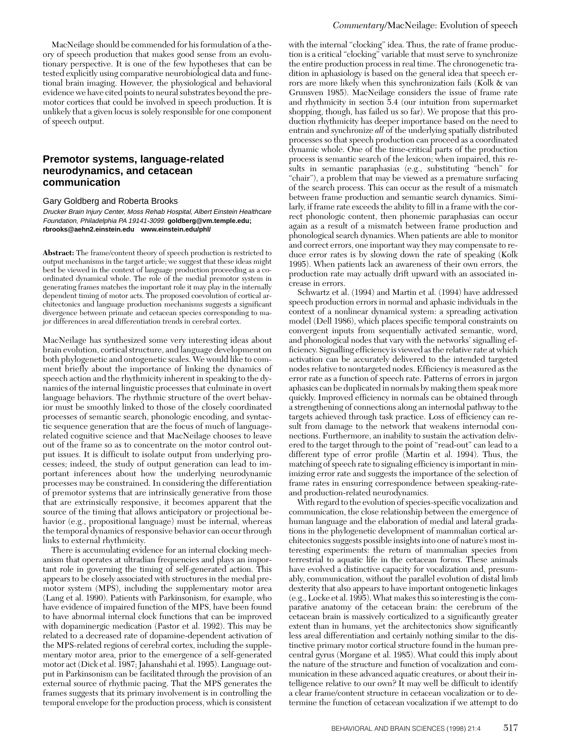MacNeilage should be commended for his formulation of a theory of speech production that makes good sense from an evolutionary perspective. It is one of the few hypotheses that can be tested explicitly using comparative neurobiological data and functional brain imaging. However, the physiological and behavioral evidence we have cited points to neural substrates beyond the premotor cortices that could be involved in speech production. It is unlikely that a given locus is solely responsible for one component of speech output.

## **Premotor systems, language-related neurodynamics, and cetacean communication**

Gary Goldberg and Roberta Brooks

Drucker Brain Injury Center, Moss Rehab Hospital, Albert Einstein Healthcare Foundation, Philadelphia PA 19141-3099. **goldberg@vm.temple.edu; rbrooks@aehn2.einstein.edu www.einstein.edu/phl/**

**Abstract:** The frame/content theory of speech production is restricted to output mechanisms in the target article; we suggest that these ideas might best be viewed in the context of language production proceeding as a coordinated dynamical whole. The role of the medial premotor system in generating frames matches the important role it may play in the internally dependent timing of motor acts. The proposed coevolution of cortical architectonics and language production mechanisms suggests a significant divergence between primate and cetacean species corresponding to major differences in areal differentiation trends in cerebral cortex.

MacNeilage has synthesized some very interesting ideas about brain evolution, cortical structure, and language development on both phylogenetic and ontogenetic scales. We would like to comment briefly about the importance of linking the dynamics of speech action and the rhythmicity inherent in speaking to the dynamics of the internal linguistic processes that culminate in overt language behaviors. The rhythmic structure of the overt behavior must be smoothly linked to those of the closely coordinated processes of semantic search, phonologic encoding, and syntactic sequence generation that are the focus of much of languagerelated cognitive science and that MacNeilage chooses to leave out of the frame so as to concentrate on the motor control output issues. It is difficult to isolate output from underlying processes; indeed, the study of output generation can lead to important inferences about how the underlying neurodynamic processes may be constrained. In considering the differentiation of premotor systems that are intrinsically generative from those that are extrinsically responsive, it becomes apparent that the source of the timing that allows anticipatory or projectional behavior (e.g., propositional language) must be internal, whereas the temporal dynamics of responsive behavior can occur through links to external rhythmicity.

There is accumulating evidence for an internal clocking mechanism that operates at ultradian frequencies and plays an important role in governing the timing of self-generated action. This appears to be closely associated with structures in the medial premotor system (MPS), including the supplementary motor area (Lang et al. 1990). Patients with Parkinsonism, for example, who have evidence of impaired function of the MPS, have been found to have abnormal internal clock functions that can be improved with dopaminergic medication (Pastor et al. 1992). This may be related to a decreased rate of dopamine-dependent activation of the MPS-related regions of cerebral cortex, including the supplementary motor area, prior to the emergence of a self-generated motor act (Dick et al. 1987; Jahanshahi et al. 1995). Language output in Parkinsonism can be facilitated through the provision of an external source of rhythmic pacing. That the MPS generates the frames suggests that its primary involvement is in controlling the temporal envelope for the production process, which is consistent

with the internal "clocking" idea. Thus, the rate of frame production is a critical "clocking" variable that must serve to synchronize the entire production process in real time. The chronogenetic tradition in aphasiology is based on the general idea that speech errors are more likely when this synchronization fails (Kolk & van Grunsven 1985). MacNeilage considers the issue of frame rate and rhythmicity in section 5.4 (our intuition from supermarket shopping, though, has failed us so far). We propose that this production rhythmicity has deeper importance based on the need to entrain and synchronize *all* of the underlying spatially distributed processes so that speech production can proceed as a coordinated dynamic whole. One of the time-critical parts of the production process is semantic search of the lexicon; when impaired, this results in semantic paraphasias (e.g., substituting "bench" for "chair"), a problem that may be viewed as a premature surfacing of the search process. This can occur as the result of a mismatch between frame production and semantic search dynamics. Similarly, if frame rate exceeds the ability to fill in a frame with the correct phonologic content, then phonemic paraphasias can occur again as a result of a mismatch between frame production and phonological search dynamics. When patients are able to monitor and correct errors, one important way they may compensate to reduce error rates is by slowing down the rate of speaking (Kolk 1995). When patients lack an awareness of their own errors, the production rate may actually drift upward with an associated increase in errors.

Schwartz et al. (1994) and Martin et al. (1994) have addressed speech production errors in normal and aphasic individuals in the context of a nonlinear dynamical system: a spreading activation model (Dell 1986), which places specific temporal constraints on convergent inputs from sequentially activated semantic, word, and phonological nodes that vary with the networks' signalling efficiency. Signalling efficiency is viewed as the relative rate at which activation can be accurately delivered to the intended targeted nodes relative to nontargeted nodes. Efficiency is measured as the error rate as a function of speech rate. Patterns of errors in jargon aphasics can be duplicated in normals by making them speak more quickly. Improved efficiency in normals can be obtained through a strengthening of connections along an internodal pathway to the targets achieved through task practice. Loss of efficiency can result from damage to the network that weakens internodal connections. Furthermore, an inability to sustain the activation delivered to the target through to the point of "read-out" can lead to a different type of error profile (Martin et al. 1994). Thus, the matching of speech rate to signaling efficiency is important in minimizing error rate and suggests the importance of the selection of frame rates in ensuring correspondence between speaking-rateand production-related neurodynamics.

With regard to the evolution of species-specific vocalization and communication, the close relationship between the emergence of human language and the elaboration of medial and lateral gradations in the phylogenetic development of mammalian cortical architectonics suggests possible insights into one of nature's most interesting experiments: the return of mammalian species from terrestrial to aquatic life in the cetacean forms. These animals have evolved a distinctive capacity for vocalization and, presumably, communication, without the parallel evolution of distal limb dexterity that also appears to have important ontogenetic linkages (e.g., Locke et al. 1995). What makes this so interesting is the comparative anatomy of the cetacean brain: the cerebrum of the cetacean brain is massively corticalized to a significantly greater extent than in humans, yet the architectonics show significantly less areal differentiation and certainly nothing similar to the distinctive primary motor cortical structure found in the human precentral gyrus (Morgane et al. 1985). What could this imply about the nature of the structure and function of vocalization and communication in these advanced aquatic creatures, or about their intelligence relative to our own? It may well be difficult to identify a clear frame/content structure in cetacean vocalization or to determine the function of cetacean vocalization if we attempt to do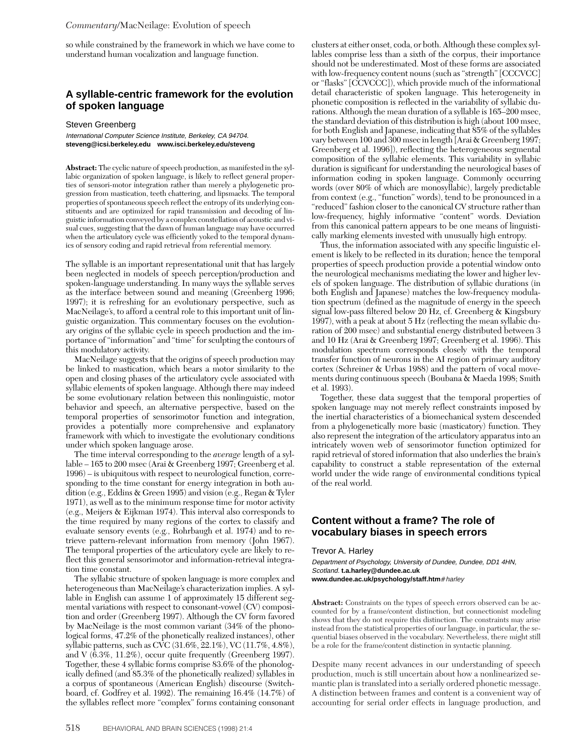so while constrained by the framework in which we have come to understand human vocalization and language function.

## **A syllable-centric framework for the evolution of spoken language**

Steven Greenberg

International Computer Science Institute, Berkeley, CA 94704. **steveng@icsi.berkeley.edu www.isci.berkeley.edu/steveng**

**Abstract:** The cyclic nature of speech production, as manifested in the syllabic organization of spoken language, is likely to reflect general properties of sensori-motor integration rather than merely a phylogenetic progression from mastication, teeth chattering, and lipsmacks. The temporal properties of spontaneous speech reflect the entropy of its underlying constituents and are optimized for rapid transmission and decoding of linguistic information conveyed by a complex constellation of acoustic and visual cues, suggesting that the dawn of human language may have occurred when the articulatory cycle was efficiently yoked to the temporal dynamics of sensory coding and rapid retrieval from referential memory.

The syllable is an important representational unit that has largely been neglected in models of speech perception/production and spoken-language understanding. In many ways the syllable serves as the interface between sound and meaning (Greenberg 1996; 1997); it is refreshing for an evolutionary perspective, such as MacNeilage's, to afford a central role to this important unit of linguistic organization. This commentary focuses on the evolutionary origins of the syllabic cycle in speech production and the importance of "information" and "time" for sculpting the contours of this modulatory activity.

MacNeilage suggests that the origins of speech production may be linked to mastication, which bears a motor similarity to the open and closing phases of the articulatory cycle associated with syllabic elements of spoken language. Although there may indeed be some evolutionary relation between this nonlinguistic, motor behavior and speech, an alternative perspective, based on the temporal properties of sensorimotor function and integration, provides a potentially more comprehensive and explanatory framework with which to investigate the evolutionary conditions under which spoken language arose.

The time interval corresponding to the *average* length of a syllable – 165 to 200 msec (Arai & Greenberg 1997; Greenberg et al. 1996) – is ubiquitous with respect to neurological function, corresponding to the time constant for energy integration in both audition (e.g., Eddins & Green 1995) and vision (e.g., Regan & Tyler 1971), as well as to the minimum response time for motor activity (e.g., Meijers & Eijkman 1974). This interval also corresponds to the time required by many regions of the cortex to classify and evaluate sensory events (e.g., Rohrbaugh et al. 1974) and to retrieve pattern-relevant information from memory (John 1967). The temporal properties of the articulatory cycle are likely to reflect this general sensorimotor and information-retrieval integration time constant.

The syllabic structure of spoken language is more complex and heterogeneous than MacNeilage's characterization implies. A syllable in English can assume 1 of approximately 15 different segmental variations with respect to consonant-vowel (CV) composition and order (Greenberg 1997). Although the CV form favored by MacNeilage is the most common variant (34% of the phonological forms, 47.2% of the phonetically realized instances), other syllabic patterns, such as CVC (31.6%, 22.1%), VC (11.7%, 4.8%), and V (6.3%, 11.2%), occur quite frequently (Greenberg 1997). Together, these 4 syllabic forms comprise 83.6% of the phonologically defined (and 85.3% of the phonetically realized) syllables in a corpus of spontaneous (American English) discourse (Switchboard, cf. Godfrey et al. 1992). The remaining 16.4% (14.7%) of the syllables reflect more "complex" forms containing consonant clusters at either onset, coda, or both. Although these complex syllables comprise less than a sixth of the corpus, their importance should not be underestimated. Most of these forms are associated with low-frequency content nouns (such as "strength" [CCCVCC] or "flasks" [CCVCCC]), which provide much of the informational detail characteristic of spoken language. This heterogeneity in phonetic composition is reflected in the variability of syllabic durations. Although the mean duration of a syllable is 165–200 msec, the standard deviation of this distribution is high (about 100 msec, for both English and Japanese, indicating that 85% of the syllables vary between 100 and 300 msec in length [Arai & Greenberg 1997; Greenberg et al. 1996]), reflecting the heterogeneous segmental composition of the syllabic elements. This variability in syllabic duration is significant for understanding the neurological bases of information coding in spoken language. Commonly occurring words (over 80% of which are monosyllabic), largely predictable from context (e.g., "function" words), tend to be pronounced in a "reduced" fashion closer to the canonical CV structure rather than low-frequency, highly informative "content" words. Deviation from this canonical pattern appears to be one means of linguistically marking elements invested with unusually high entropy.

Thus, the information associated with any specific linguistic element is likely to be reflected in its duration; hence the temporal properties of speech production provide a potential window onto the neurological mechanisms mediating the lower and higher levels of spoken language. The distribution of syllabic durations (in both English and Japanese) matches the low-frequency modulation spectrum (defined as the magnitude of energy in the speech signal low-pass filtered below 20 Hz, cf. Greenberg & Kingsbury 1997), with a peak at about 5 Hz (reflecting the mean syllabic duration of 200 msec) and substantial energy distributed between 3 and 10 Hz (Arai & Greenberg 1997; Greenberg et al. 1996). This modulation spectrum corresponds closely with the temporal transfer function of neurons in the AI region of primary auditory cortex (Schreiner & Urbas 1988) and the pattern of vocal movements during continuous speech (Boubana & Maeda 1998; Smith et al. 1993).

Together, these data suggest that the temporal properties of spoken language may not merely reflect constraints imposed by the inertial characteristics of a biomechanical system descended from a phylogenetically more basic (masticatory) function. They also represent the integration of the articulatory apparatus into an intricately woven web of sensorimotor function optimized for rapid retrieval of stored information that also underlies the brain's capability to construct a stable representation of the external world under the wide range of environmental conditions typical of the real world.

## **Content without a frame? The role of vocabulary biases in speech errors**

#### Trevor A. Harley

Department of Psychology, University of Dundee, Dundee, DD1 4HN, Scotland. **t.a.harley@dundee.ac.uk** www.dundee.ac.uk/psychology/staff.htm#harley

**Abstract:** Constraints on the types of speech errors observed can be accounted for by a frame/content distinction, but connectionist modeling shows that they do not require this distinction. The constraints may arise instead from the statistical properties of our language, in particular, the sequential biases observed in the vocabulary. Nevertheless, there might still be a role for the frame/content distinction in syntactic planning.

Despite many recent advances in our understanding of speech production, much is still uncertain about how a nonlinearized semantic plan is translated into a serially ordered phonetic message. A distinction between frames and content is a convenient way of accounting for serial order effects in language production, and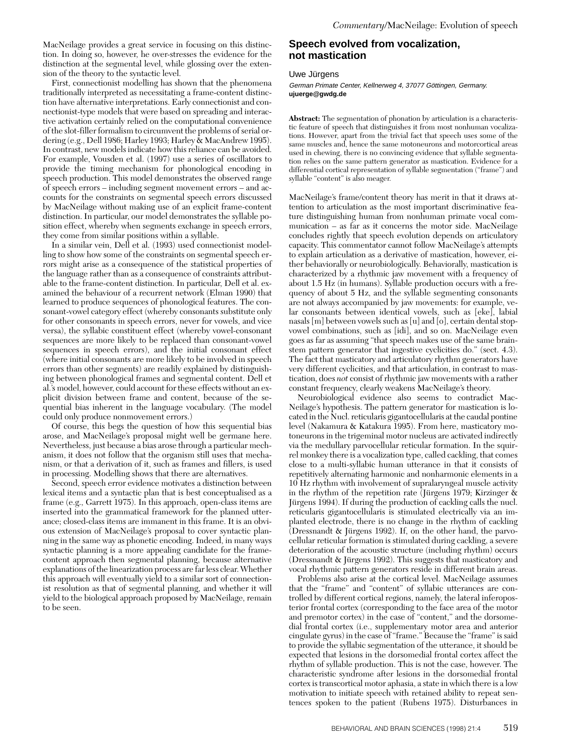MacNeilage provides a great service in focusing on this distinction. In doing so, however, he over-stresses the evidence for the distinction at the segmental level, while glossing over the extension of the theory to the syntactic level.

First, connectionist modelling has shown that the phenomena traditionally interpreted as necessitating a frame-content distinction have alternative interpretations. Early connectionist and connectionist-type models that were based on spreading and interactive activation certainly relied on the computational convenience of the slot-filler formalism to circumvent the problems of serial ordering (e.g., Dell 1986; Harley 1993; Harley & MacAndrew 1995). In contrast, new models indicate how this reliance can be avoided. For example, Vousden et al. (1997) use a series of oscillators to provide the timing mechanism for phonological encoding in speech production. This model demonstrates the observed range of speech errors – including segment movement errors – and accounts for the constraints on segmental speech errors discussed by MacNeilage without making use of an explicit frame-content distinction. In particular, our model demonstrates the syllable position effect, whereby when segments exchange in speech errors, they come from similar positions within a syllable.

In a similar vein, Dell et al. (1993) used connectionist modelling to show how some of the constraints on segmental speech errors might arise as a consequence of the statistical properties of the language rather than as a consequence of constraints attributable to the frame-content distinction. In particular, Dell et al. examined the behaviour of a recurrent network (Elman 1990) that learned to produce sequences of phonological features. The consonant-vowel category effect (whereby consonants substitute only for other consonants in speech errors, never for vowels, and vice versa), the syllabic constituent effect (whereby vowel-consonant sequences are more likely to be replaced than consonant-vowel sequences in speech errors), and the initial consonant effect (where initial consonants are more likely to be involved in speech errors than other segments) are readily explained by distinguishing between phonological frames and segmental content. Dell et al.'s model, however, could account for these effects without an explicit division between frame and content, because of the sequential bias inherent in the language vocabulary. (The model could only produce nonmovement errors.)

Of course, this begs the question of how this sequential bias arose, and MacNeilage's proposal might well be germane here. Nevertheless, just because a bias arose through a particular mechanism, it does not follow that the organism still uses that mechanism, or that a derivation of it, such as frames and fillers, is used in processing. Modelling shows that there are alternatives.

Second, speech error evidence motivates a distinction between lexical items and a syntactic plan that is best conceptualised as a frame (e.g., Garrett 1975). In this approach, open-class items are inserted into the grammatical framework for the planned utterance; closed-class items are immanent in this frame. It is an obvious extension of MacNeilage's proposal to cover syntactic planning in the same way as phonetic encoding. Indeed, in many ways syntactic planning is a more appealing candidate for the framecontent approach then segmental planning, because alternative explanations of the linearization process are far less clear. Whether this approach will eventually yield to a similar sort of connectionist resolution as that of segmental planning, and whether it will yield to the biological approach proposed by MacNeilage, remain to be seen.

## **Speech evolved from vocalization, not mastication**

Uwe Jürgens

German Primate Center, Kellnerweg 4, 37077 Göttingen, Germany. **ujuerge@gwdg.de**

**Abstract:** The segmentation of phonation by articulation is a characteristic feature of speech that distinguishes it from most nonhuman vocalizations. However, apart from the trivial fact that speech uses some of the same muscles and, hence the same motoneurons and motorcortical areas used in chewing, there is no convincing evidence that syllable segmentation relies on the same pattern generator as mastication. Evidence for a differential cortical representation of syllable segmentation ("frame") and syllable "content" is also meager.

MacNeilage's frame/content theory has merit in that it draws attention to articulation as the most important discriminative feature distinguishing human from nonhuman primate vocal communication – as far as it concerns the motor side. MacNeilage concludes rightly that speech evolution depends on articulatory capacity. This commentator cannot follow MacNeilage's attempts to explain articulation as a derivative of mastication, however, either behaviorally or neurobiologically. Behaviorally, mastication is characterized by a rhythmic jaw movement with a frequency of about 1.5 Hz (in humans). Syllable production occurs with a frequency of about 5 Hz, and the syllable segmenting consonants are not always accompanied by jaw movements: for example, velar consonants between identical vowels, such as [eke], labial nasals [m] between vowels such as [u] and [o], certain dental stopvowel combinations, such as [idi], and so on. MacNeilage even goes as far as assuming "that speech makes use of the same brainstem pattern generator that ingestive cyclicities do." (sect. 4.3). The fact that masticatory and articulatory rhythm generators have very different cyclicities, and that articulation, in contrast to mastication, does *not* consist of rhythmic jaw movements with a rather constant frequency, clearly weakens MacNeilage's theory.

Neurobiological evidence also seems to contradict Mac-Neilage's hypothesis. The pattern generator for mastication is located in the Nucl. reticularis gigantocellularis at the caudal pontine level (Nakamura & Katakura 1995). From here, masticatory motoneurons in the trigeminal motor nucleus are activated indirectly via the medullary parvocellular reticular formation. In the squirrel monkey there is a vocalization type, called cackling, that comes close to a multi-syllabic human utterance in that it consists of repetitively alternating harmonic and nonharmonic elements in a 10 Hz rhythm with involvement of supralaryngeal muscle activity in the rhythm of the repetition rate (Jürgens 1979; Kirzinger & Jürgens 1994). If during the production of cackling calls the nucl. reticularis gigantocellularis is stimulated electrically via an implanted electrode, there is no change in the rhythm of cackling (Dressnandt & Jürgens 1992). If, on the other hand, the parvocellular reticular formation is stimulated during cackling, a severe deterioration of the acoustic structure (including rhythm) occurs (Dressnandt & Jürgens 1992). This suggests that masticatory and vocal rhythmic pattern generators reside in different brain areas.

Problems also arise at the cortical level. MacNeilage assumes that the "frame" and "content" of syllabic utterances are controlled by different cortical regions, namely, the lateral inferoposterior frontal cortex (corresponding to the face area of the motor and premotor cortex) in the case of "content," and the dorsomedial frontal cortex (i.e., supplementary motor area and anterior cingulate gyrus) in the case of "frame." Because the "frame" is said to provide the syllabic segmentation of the utterance, it should be expected that lesions in the dorsomedial frontal cortex affect the rhythm of syllable production. This is not the case, however. The characteristic syndrome after lesions in the dorsomedial frontal cortex is transcortical motor aphasia, a state in which there is a low motivation to initiate speech with retained ability to repeat sentences spoken to the patient (Rubens 1975). Disturbances in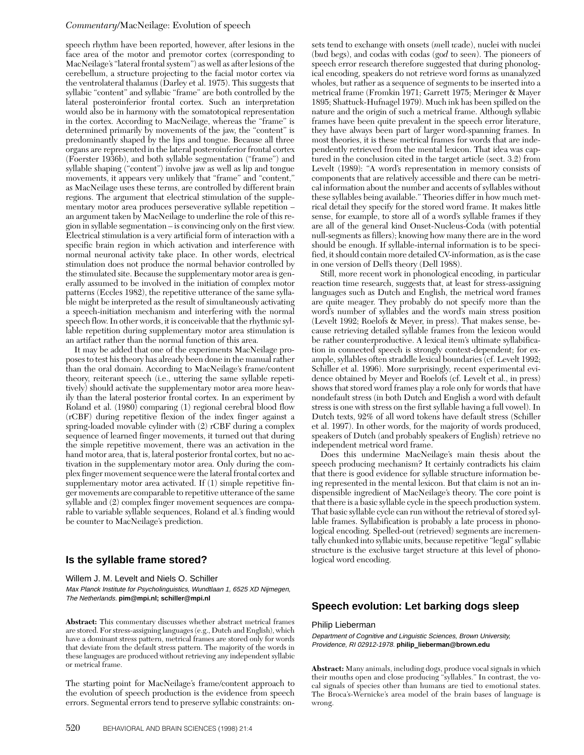#### *Commentary/*MacNeilage: Evolution of speech

speech rhythm have been reported, however, after lesions in the face area of the motor and premotor cortex (corresponding to MacNeilage's "lateral frontal system") as well as after lesions of the cerebellum, a structure projecting to the facial motor cortex via the ventrolateral thalamus (Darley et al. 1975). This suggests that syllabic "content" and syllabic "frame" are both controlled by the lateral posteroinferior frontal cortex. Such an interpretation would also be in harmony with the somatotopical representation in the cortex. According to MacNeilage, whereas the "frame" is determined primarily by movements of the jaw, the "content" is predominantly shaped by the lips and tongue. Because all three organs are represented in the lateral posteroinferior frontal cortex (Foerster 1936b), and both syllable segmentation ("frame") and syllable shaping ("content") involve jaw as well as lip and tongue movements, it appears very unlikely that "frame" and "content," as MacNeilage uses these terms, are controlled by different brain regions. The argument that electrical stimulation of the supplementary motor area produces perseverative syllable repetition – an argument taken by MacNeilage to underline the role of this region in syllable segmentation – is convincing only on the first view. Electrical stimulation is a very artificial form of interaction with a specific brain region in which activation and interference with normal neuronal activity take place. In other words, electrical stimulation does not produce the normal behavior controlled by the stimulated site. Because the supplementary motor area is generally assumed to be involved in the initiation of complex motor patterns (Eccles 1982), the repetitive utterance of the same syllable might be interpreted as the result of simultaneously activating a speech-initiation mechanism and interfering with the normal speech flow. In other words, it is conceivable that the rhythmic syllable repetition during supplementary motor area stimulation is an artifact rather than the normal function of this area.

It may be added that one of the experiments MacNeilage proposes to test his theory has already been done in the manual rather than the oral domain. According to MacNeilage's frame/content theory, reiterant speech (i.e., uttering the same syllable repetitively) should activate the supplementary motor area more heavily than the lateral posterior frontal cortex. In an experiment by Roland et al. (1980) comparing (1) regional cerebral blood flow (rCBF) during repetitive flexion of the index finger against a spring-loaded movable cylinder with (2) rCBF during a complex sequence of learned finger movements, it turned out that during the simple repetitive movement, there was an activation in the hand motor area, that is, lateral posterior frontal cortex, but no activation in the supplementary motor area. Only during the complex finger movement sequence were the lateral frontal cortex and supplementary motor area activated. If (1) simple repetitive finger movements are comparable to repetitive utterance of the same syllable and (2) complex finger movement sequences are comparable to variable syllable sequences, Roland et al.'s finding would be counter to MacNeilage's prediction.

## **Is the syllable frame stored?**

Willem J. M. Levelt and Niels O. Schiller

Max Planck Institute for Psycholinguistics, Wundtlaan 1, 6525 XD Nijmegen, The Netherlands. **pim@mpi.nl; schiller@mpi.nl**

**Abstract:** This commentary discusses whether abstract metrical frames are stored. For stress-assigning languages (e.g., Dutch and English), which have a dominant stress pattern, metrical frames are stored only for words that deviate from the default stress pattern. The majority of the words in these languages are produced without retrieving any independent syllabic or metrical frame.

The starting point for MacNeilage's frame/content approach to the evolution of speech production is the evidence from speech errors. Segmental errors tend to preserve syllabic constraints: onsets tend to exchange with onsets (*m*ell *w*ade), nuclei with nuclei (b*u*d b*e*gs), and codas with codas (go*d* to see*n*). The pioneers of speech error research therefore suggested that during phonological encoding, speakers do not retrieve word forms as unanalyzed wholes, but rather as a sequence of segments to be inserted into a metrical frame (Fromkin 1971; Garrett 1975; Meringer & Mayer 1895; Shattuck-Hufnagel 1979). Much ink has been spilled on the nature and the origin of such a metrical frame. Although syllabic frames have been quite prevalent in the speech error literature, they have always been part of larger word-spanning frames. In most theories, it is these metrical frames for words that are independently retrieved from the mental lexicon. That idea was captured in the conclusion cited in the target article (sect. 3.2) from Levelt (1989): "A word's representation in memory consists of components that are relatively accessible and there can be metrical information about the number and accents of syllables without these syllables being available." Theories differ in how much metrical detail they specify for the stored word frame. It makes little sense, for example, to store all of a word's syllable frames if they are all of the general kind Onset-Nucleus-Coda (with potential null-segments as fillers); knowing how many there are in the word should be enough. If syllable-internal information is to be specified, it should contain more detailed CV-information, as is the case in one version of Dell's theory (Dell 1988).

Still, more recent work in phonological encoding, in particular reaction time research, suggests that, at least for stress-assigning languages such as Dutch and English, the metrical word frames are quite meager. They probably do not specify more than the word's number of syllables and the word's main stress position (Levelt 1992; Roelofs & Meyer, in press). That makes sense, because retrieving detailed syllable frames from the lexicon would be rather counterproductive. A lexical item's ultimate syllabification in connected speech is strongly context-dependent; for example, syllables often straddle lexical boundaries (cf. Levelt 1992; Schiller et al. 1996). More surprisingly, recent experimental evidence obtained by Meyer and Roelofs (cf. Levelt et al., in press) shows that stored word frames play a role only for words that have nondefault stress (in both Dutch and English a word with default stress is one with stress on the first syllable having a full vowel). In Dutch texts, 92% of all word tokens have default stress (Schiller et al. 1997). In other words, for the majority of words produced, speakers of Dutch (and probably speakers of English) retrieve no independent metrical word frame.

Does this undermine MacNeilage's main thesis about the speech producing mechanism? It certainly contradicts his claim that there is good evidence for syllable structure information being represented in the mental lexicon. But that claim is not an indispensible ingredient of MacNeilage's theory. The core point is that there is a basic syllable cycle in the speech production system. That basic syllable cycle can run without the retrieval of stored syllable frames. Syllabification is probably a late process in phonological encoding. Spelled-out (retrieved) segments are incrementally chunked into syllabic units, because repetitive "legal" syllabic structure is the exclusive target structure at this level of phonological word encoding.

## **Speech evolution: Let barking dogs sleep**

#### Philip Lieberman

Department of Cognitive and Linguistic Sciences, Brown University, Providence, RI 02912-1978. **philip\_lieberman@brown.edu**

**Abstract:** Many animals, including dogs, produce vocal signals in which their mouths open and close producing "syllables." In contrast, the vocal signals of species other than humans are tied to emotional states. The Broca's-Wernicke's area model of the brain bases of language is wrong.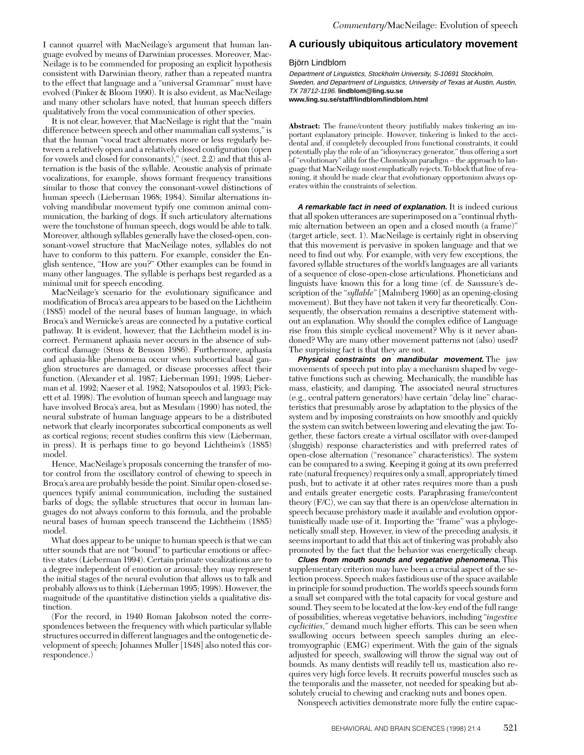I cannot quarrel with MacNeilage's argument that human language evolved by means of Darwinian processes. Moreover, Mac-Neilage is to be commended for proposing an explicit hypothesis consistent with Darwinian theory, rather than a repeated mantra to the effect that language and a "universal Grammar" must have evolved (Pinker & Bloom 1990). It is also evident, as MacNeilage and many other scholars have noted, that human speech differs qualitatively from the vocal communication of other species.

It is not clear, however, that MacNeilage is right that the "main difference between speech and other mammalian call systems," is that the human "vocal tract alternates more or less regularly between a relatively open and a relatively closed configuration (open for vowels and closed for consonants)," (sect. 2.2) and that this alternation is the basis of the syllable. Acoustic analysis of primate vocalizations, for example, shows formant frequency transitions similar to those that convey the consonant-vowel distinctions of human speech (Lieberman 1968; 1984). Similar alternations involving mandibular movement typify one common animal communication, the barking of dogs. If such articulatory alternations were the touchstone of human speech, dogs would be able to talk. Moreover, although syllables generally have the closed-open, consonant-vowel structure that MacNeilage notes, syllables do not have to conform to this pattern. For example, consider the English sentence, "How are you?" Other examples can be found in many other languages. The syllable is perhaps best regarded as a minimal unit for speech encoding.

MacNeilage's scenario for the evolutionary significance and modification of Broca's area appears to be based on the Lichtheim (1885) model of the neural bases of human language, in which Broca's and Wernicke's areas are connected by a putative cortical pathway. It is evident, however, that the Lichtheim model is incorrect. Permanent aphasia never occurs in the absence of subcortical damage (Stuss & Benson 1986). Furthermore, aphasia and aphasia-like phenomena occur when subcortical basal ganglion structures are damaged, or disease processes affect their function. (Alexander et al. 1987; Lieberman 1991; 1998; Lieberman et al. 1992; Naeser et al. 1982; Natsopoulos et al. 1993; Pickett et al. 1998). The evolution of human speech and language may have involved Broca's area, but as Mesulam (1990) has noted, the neural substrate of human language appears to be a distributed network that clearly incorporates subcortical components as well as cortical regions; recent studies confirm this view (Lieberman, in press). It is perhaps time to go beyond Lichtheim's (1885) model.

Hence, MacNeilage's proposals concerning the transfer of motor control from the oscillatory control of chewing to speech in Broca's area are probably beside the point. Similar open-closed sequences typify animal communication, including the sustained barks of dogs; the syllable structures that occur in human languages do not always conform to this formula, and the probable neural bases of human speech transcend the Lichtheim (1885) model.

What does appear to be unique to human speech is that we can utter sounds that are not "bound" to particular emotions or affective states (Lieberman 1994). Certain primate vocalizations are to a degree independent of emotion or arousal; they may represent the initial stages of the neural evolution that allows us to talk and probably allows us to think (Lieberman 1995; 1998). However, the magnitude of the quantitative distinction yields a qualitative distinction.

(For the record, in 1940 Roman Jakobson noted the correspondences between the frequency with which particular syllable structures occurred in different languages and the ontogenetic development of speech; Johannes Muller [1848] also noted this correspondence.)

## **A curiously ubiquitous articulatory movement**

#### Björn Lindblom

Department of Linguistics, Stockholm University, S-10691 Stockholm, Sweden, and Department of Linguistics, University of Texas at Austin, Austin, TX 78712-1196. **lindblom@ling.su.se www.ling.su.se/staff/lindblom/lindblom.html**

**Abstract:** The frame/content theory justifiably makes tinkering an important explanatory principle. However, tinkering is linked to the accidental and, if completely decoupled from functional constraints, it could potentially play the role of an "idiosyncracy generator," thus offering a sort of "evolutionary" alibi for the Chomskyan paradigm – the approach to language that MacNeilage most emphatically rejects. To block that line of reasoning, it should be made clear that evolutionary opportunism always operates within the constraints of selection.

**<sup>A</sup> remarkable fact in need of explanation.** It is indeed curious that all spoken utterances are superimposed on a "continual rhythmic alternation between an open and a closed mouth (a frame)" (target article, sect. 1). MacNeilage is certainly right in observing that this movement is pervasive in spoken language and that we need to find out why. For example, with very few exceptions, the favored syllable structures of the world's languages are all variants of a sequence of close-open-close articulations. Phoneticians and linguists have known this for a long time (cf. de Saussure's description of the "*syllable*" [Malmberg 1960] as an opening-closing movement). But they have not taken it very far theoretically. Consequently, the observation remains a descriptive statement without an explanation. Why should the complex edifice of Language rise from this simple cyclical movement? Why is it never abandoned? Why are many other movement patterns not (also) used? The surprising fact is that they are not.

**Physical constraints on mandibular movement.** The jaw movements of speech put into play a mechanism shaped by vegetative functions such as chewing. Mechanically, the mandible has mass, elasticity, and damping. The associated neural structures (e.g., central pattern generators) have certain "delay line" characteristics that presumably arose by adaptation to the physics of the system and by imposing constraints on how smoothly and quickly the system can switch between lowering and elevating the jaw. Together, these factors create a virtual oscillator with over-damped (sluggish) response characteristics and with preferred rates of open-close alternation ("resonance" characteristics). The system can be compared to a swing. Keeping it going at its own preferred rate (natural frequency) requires only a small, appropriately timed push, but to activate it at other rates requires more than a push and entails greater energetic costs. Paraphrasing frame/content theory (F/C), we can say that there is an open/close alternation in speech because prehistory made it available and evolution opportunistically made use of it. Importing the "frame" was a phylogenetically small step. However, in view of the preceding analysis, it seems important to add that this act of tinkering was probably also promoted by the fact that the behavior was energetically cheap.

**Clues from mouth sounds and vegetative phenomena.** This supplementary criterion may have been a crucial aspect of the selection process. Speech makes fastidious use of the space available in principle for sound production. The world's speech sounds form a small set compared with the total capacity for vocal gesture and sound. They seem to be located at the low-key end of the full range of possibilities, whereas vegetative behaviors, including "*ingestive cyclicities,*" demand much higher efforts. This can be seen when swallowing occurs between speech samples during an electromyographic (EMG) experiment. With the gain of the signals adjusted for speech, swallowing will throw the signal way out of bounds. As many dentists will readily tell us, mastication also requires very high force levels. It recruits powerful muscles such as the temporalis and the masseter, not needed for speaking but absolutely crucial to chewing and cracking nuts and bones open.

Nonspeech activities demonstrate more fully the entire capac-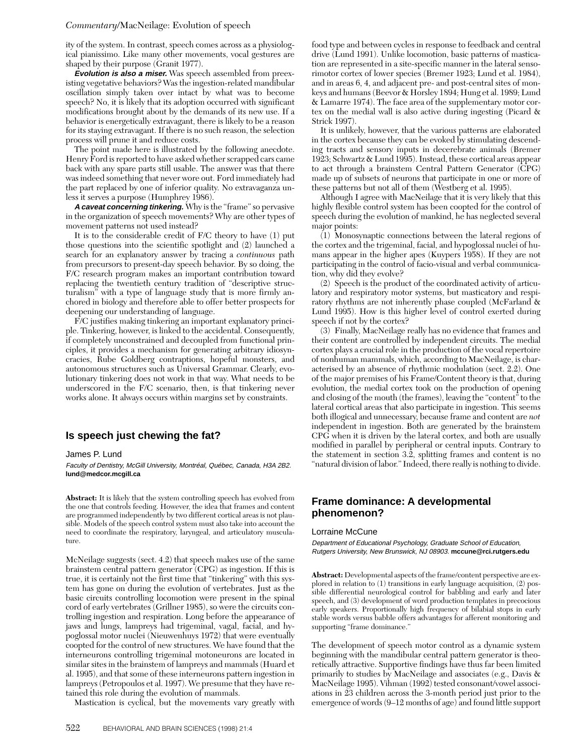#### *Commentary/*MacNeilage: Evolution of speech

ity of the system. In contrast, speech comes across as a physiological pianissimo. Like many other movements, vocal gestures are shaped by their purpose (Granit 1977).

**Evolution is also a miser.** Was speech assembled from preexisting vegetative behaviors? Was the ingestion-related mandibular oscillation simply taken over intact by what was to become speech? No, it is likely that its adoption occurred with significant modifications brought about by the demands of its new use. If a behavior is energetically extravagant, there is likely to be a reason for its staying extravagant. If there is no such reason, the selection process will prune it and reduce costs.

The point made here is illustrated by the following anecdote. Henry Ford is reported to have asked whether scrapped cars came back with any spare parts still usable. The answer was that there was indeed something that never wore out. Ford immediately had the part replaced by one of inferior quality. No extravaganza unless it serves a purpose (Humphrey 1986).

**<sup>A</sup> caveat concerning tinkering.** Why is the "frame" so pervasive in the organization of speech movements? Why are other types of movement patterns not used instead?

It is to the considerable credit of F/C theory to have (1) put those questions into the scientific spotlight and (2) launched a search for an explanatory answer by tracing a *continuous* path from precursors to present-day speech behavior. By so doing, the F/C research program makes an important contribution toward replacing the twentieth century tradition of "descriptive structuralism" with a type of language study that is more firmly anchored in biology and therefore able to offer better prospects for deepening our understanding of language.

F/C justifies making tinkering an important explanatory principle. Tinkering, however, is linked to the accidental. Consequently, if completely unconstrained and decoupled from functional principles, it provides a mechanism for generating arbitrary idiosyncracies, Rube Goldberg contraptions, hopeful monsters, and autonomous structures such as Universal Grammar. Clearly, evolutionary tinkering does not work in that way. What needs to be underscored in the F/C scenario, then, is that tinkering never works alone. It always occurs within margins set by constraints.

## **Is speech just chewing the fat?**

#### James P. Lund

Faculty of Dentistry, McGill University, Montréal, Québec, Canada, H3A 2B2. **lund@medcor.mcgill.ca**

**Abstract:** It is likely that the system controlling speech has evolved from the one that controls feeding. However, the idea that frames and content are programmed independently by two different cortical areas is not plausible. Models of the speech control system must also take into account the need to coordinate the respiratory, laryngeal, and articulatory musculature.

McNeilage suggests (sect. 4.2) that speech makes use of the same brainstem central pattern generator (CPG) as ingestion. If this is true, it is certainly not the first time that "tinkering" with this system has gone on during the evolution of vertebrates. Just as the basic circuits controlling locomotion were present in the spinal cord of early vertebrates (Grillner 1985), so were the circuits controlling ingestion and respiration. Long before the appearance of jaws and lungs, lampreys had trigeminal, vagal, facial, and hypoglossal motor nuclei (Nieuwenhuys 1972) that were eventually coopted for the control of new structures. We have found that the interneurons controlling trigeminal motoneurons are located in similar sites in the brainstem of lampreys and mammals (Huard et al. 1995), and that some of these interneurons pattern ingestion in lampreys (Petropoulos et al. 1997). We presume that they have retained this role during the evolution of mammals.

Mastication is cyclical, but the movements vary greatly with

food type and between cycles in response to feedback and central drive (Lund 1991). Unlike locomotion, basic patterns of mastication are represented in a site-specific manner in the lateral sensorimotor cortex of lower species (Bremer 1923; Lund et al. 1984), and in areas 6, 4, and adjacent pre- and post-central sites of monkeys and humans (Beevor & Horsley 1894; Hung et al. 1989; Lund & Lamarre 1974). The face area of the supplementary motor cortex on the medial wall is also active during ingesting (Picard & Strick 1997).

It is unlikely, however, that the various patterns are elaborated in the cortex because they can be evoked by stimulating descending tracts and sensory inputs in decerebrate animals (Bremer 1923; Schwartz & Lund 1995). Instead, these cortical areas appear to act through a brainstem Central Pattern Generator (CPG) made up of subsets of neurons that participate in one or more of these patterns but not all of them (Westberg et al. 1995).

Although I agree with MacNeilage that it is very likely that this highly flexible control system has been coopted for the control of speech during the evolution of mankind, he has neglected several major points:

(1) Monosynaptic connections between the lateral regions of the cortex and the trigeminal, facial, and hypoglossal nuclei of humans appear in the higher apes (Kuypers 1958). If they are not participating in the control of facio-visual and verbal communication, why did they evolve?

(2) Speech is the product of the coordinated activity of articulatory and respiratory motor systems, but masticatory and respiratory rhythms are not inherently phase coupled (McFarland  $\&$ Lund 1995). How is this higher level of control exerted during speech if not by the cortex?

(3) Finally, MacNeilage really has no evidence that frames and their content are controlled by independent circuits. The medial cortex plays a crucial role in the production of the vocal repertoire of nonhuman mammals, which, according to MacNeilage, is characterised by an absence of rhythmic modulation (sect. 2.2). One of the major premises of his Frame/Content theory is that, during evolution, the medial cortex took on the production of opening and closing of the mouth (the frames), leaving the "content" to the lateral cortical areas that also participate in ingestion. This seems both illogical and unnecessary, because frame and content are *not* independent in ingestion. Both are generated by the brainstem CPG when it is driven by the lateral cortex, and both are usually modified in parallel by peripheral or central inputs. Contrary to the statement in section 3.2, splitting frames and content is no "natural division of labor." Indeed, there really is nothing to divide.

## **Frame dominance: A developmental phenomenon?**

#### Lorraine McCune

Department of Educational Psychology, Graduate School of Education, Rutgers University, New Brunswick, NJ 08903. **mccune@rci.rutgers.edu**

**Abstract:** Developmental aspects of the frame/content perspective are explored in relation to (1) transitions in early language acquisition, (2) possible differential neurological control for babbling and early and later speech, and (3) development of word production templates in precocious early speakers. Proportionally high frequency of bilabial stops in early stable words versus babble offers advantages for afferent monitoring and supporting "frame dominance."

The development of speech motor control as a dynamic system beginning with the mandibular central pattern generator is theoretically attractive. Supportive findings have thus far been limited primarily to studies by MacNeilage and associates (e.g., Davis & MacNeilage 1995). Vihman (1992) tested consonant/vowel associations in 23 children across the 3-month period just prior to the emergence of words (9–12 months of age) and found little support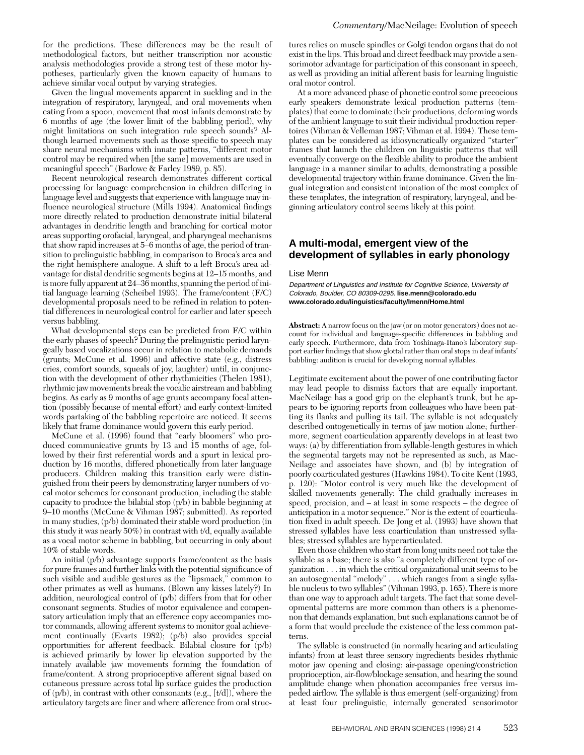Given the lingual movements apparent in suckling and in the integration of respiratory, laryngeal, and oral movements when eating from a spoon, movement that most infants demonstrate by 6 months of age (the lower limit of the babbling period), why might limitations on such integration rule speech sounds? Although learned movements such as those specific to speech may share neural mechanisms with innate patterns, "different motor control may be required when [the same] movements are used in meaningful speech" (Barlowe & Farley 1989, p. 85).

Recent neurological research demonstrates different cortical processing for language comprehension in children differing in language level and suggests that experience with language may influence neurological structure (Mills 1994). Anatomical findings more directly related to production demonstrate initial bilateral advantages in dendritic length and branching for cortical motor areas supporting orofacial, laryngeal, and pharyngeal mechanisms that show rapid increases at 5–6 months of age, the period of transition to prelinguistic babbling, in comparison to Broca's area and the right hemisphere analogue. A shift to a left Broca's area advantage for distal dendritic segments begins at 12–15 months, and is more fully apparent at 24–36 months, spanning the period of initial language learning (Scheibel 1993). The frame/content (F/C) developmental proposals need to be refined in relation to potential differences in neurological control for earlier and later speech versus babbling.

What developmental steps can be predicted from F/C within the early phases of speech? During the prelinguistic period laryngeally based vocalizations occur in relation to metabolic demands (grunts; McCune et al. 1996) and affective state (e.g., distress cries, comfort sounds, squeals of joy, laughter) until, in conjunction with the development of other rhythmicities (Thelen 1981), rhythmic jaw movements break the vocalic airstream and babbling begins. As early as 9 months of age grunts accompany focal attention (possibly because of mental effort) and early context-limited words partaking of the babbling repertoire are noticed. It seems likely that frame dominance would govern this early period.

McCune et al. (1996) found that "early bloomers" who produced communicative grunts by 13 and 15 months of age, followed by their first referential words and a spurt in lexical production by 16 months, differed phonetically from later language producers. Children making this transition early were distinguished from their peers by demonstrating larger numbers of vocal motor schemes for consonant production, including the stable capacity to produce the bilabial stop (p/b) in babble beginning at 9–10 months (McCune & Vihman 1987; submitted). As reported in many studies, (p/b) dominated their stable word production (in this study it was nearly 50%) in contrast with t/d, equally available as a vocal motor scheme in babbling, but occurring in only about 10% of stable words.

An initial (p/b) advantage supports frame/content as the basis for pure frames and further links with the potential significance of such visible and audible gestures as the "lipsmack," common to other primates as well as humans. (Blown any kisses lately?) In addition, neurological control of (p/b) differs from that for other consonant segments. Studies of motor equivalence and compensatory articulation imply that an efference copy accompanies motor commands, allowing afferent systems to monitor goal achievement continually (Evarts 1982); (p/b) also provides special opportunities for afferent feedback. Bilabial closure for (p/b) is achieved primarily by lower lip elevation supported by the innately available jaw movements forming the foundation of frame/content. A strong proprioceptive afferent signal based on cutaneous pressure across total lip surface guides the production of  $(p/b)$ , in contrast with other consonants  $(e.g., [t/d])$ , where the articulatory targets are finer and where afference from oral struc-

tures relies on muscle spindles or Golgi tendon organs that do not exist in the lips. This broad and direct feedback may provide a sensorimotor advantage for participation of this consonant in speech, as well as providing an initial afferent basis for learning linguistic oral motor control.

At a more advanced phase of phonetic control some precocious early speakers demonstrate lexical production patterns (templates) that come to dominate their productions, deforming words of the ambient language to suit their individual production repertoires (Vihman & Velleman 1987; Vihman et al. 1994). These templates can be considered as idiosyncratically organized "starter" frames that launch the children on linguistic patterns that will eventually converge on the flexible ability to produce the ambient language in a manner similar to adults, demonstrating a possible developmental trajectory within frame dominance. Given the lingual integration and consistent intonation of the most complex of these templates, the integration of respiratory, laryngeal, and beginning articulatory control seems likely at this point.

## **A multi-modal, emergent view of the development of syllables in early phonology**

#### Lise Menn

Department of Linguistics and Institute for Cognitive Science, University of Colorado, Boulder, CO 80309-0295. **lise.menn@colorado.edu www.colorado.edu/linguistics/faculty/lmenn/Home.html**

**Abstract:** A narrow focus on the jaw (or on motor generators) does not account for individual and language-specific differences in babbling and early speech. Furthermore, data from Yoshinaga-Itano's laboratory support earlier findings that show glottal rather than oral stops in deaf infants' babbling: audition is crucial for developing normal syllables.

Legitimate excitement about the power of one contributing factor may lead people to dismiss factors that are equally important. MacNeilage has a good grip on the elephant's trunk, but he appears to be ignoring reports from colleagues who have been patting its flanks and pulling its tail. The syllable is not adequately described ontogenetically in terms of jaw motion alone; furthermore, segment coarticulation apparently develops in at least two ways: (a) by differentiation from syllable-length gestures in which the segmental targets may not be represented as such, as Mac-Neilage and associates have shown, and (b) by integration of poorly coarticulated gestures (Hawkins 1984). To cite Kent (1993, p. 120): "Motor control is very much like the development of skilled movements generally: The child gradually increases in speed, precision, and – at least in some respects – the degree of anticipation in a motor sequence." Nor is the extent of coarticulation fixed in adult speech. De Jong et al. (1993) have shown that stressed syllables have less coarticulation than unstressed syllables; stressed syllables are hyperarticulated.

Even those children who start from long units need not take the syllable as a base; there is also "a completely different type of organization . . . in which the critical organizational unit seems to be an autosegmental "melody" . . . which ranges from a single syllable nucleus to two syllables" (Vihman 1993, p. 165). There is more than one way to approach adult targets. The fact that some developmental patterns are more common than others is a phenomenon that demands explanation, but such explanations cannot be of a form that would preclude the existence of the less common patterns.

The syllable is constructed (in normally hearing and articulating infants) from at least three sensory ingredients besides rhythmic motor jaw opening and closing: air-passage opening/constriction proprioception, air-flow/blockage sensation, and hearing the sound amplitude change when phonation accompanies free versus impeded airflow. The syllable is thus emergent (self-organizing) from at least four prelinguistic, internally generated sensorimotor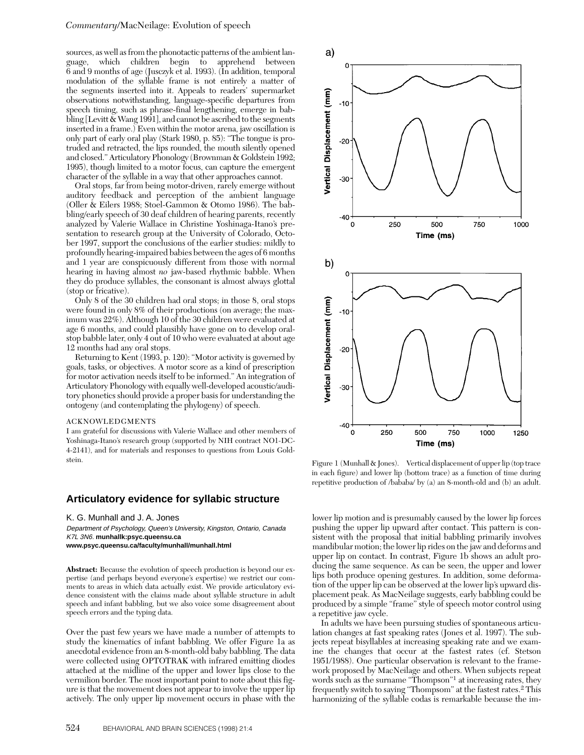sources, as well as from the phonotactic patterns of the ambient language, which children begin to apprehend between 6 and 9 months of age (Jusczyk et al. 1993). (In addition, temporal modulation of the syllable frame is not entirely a matter of the segments inserted into it. Appeals to readers' supermarket observations notwithstanding, language-specific departures from speech timing, such as phrase-final lengthening, emerge in babbling [Levitt & Wang 1991], and cannot be ascribed to the segments inserted in a frame.) Even within the motor arena, jaw oscillation is only part of early oral play (Stark 1980, p. 85): "The tongue is protruded and retracted, the lips rounded, the mouth silently opened and closed." Articulatory Phonology (Brownman & Goldstein 1992; 1995), though limited to a motor focus, can capture the emergent character of the syllable in a way that other approaches cannot.

Oral stops, far from being motor-driven, rarely emerge without auditory feedback and perception of the ambient language (Oller & Eilers 1988; Stoel-Gammon & Otomo 1986). The babbling/early speech of 30 deaf children of hearing parents, recently analyzed by Valerie Wallace in Christine Yoshinaga-Itano's presentation to research group at the University of Colorado, October 1997, support the conclusions of the earlier studies: mildly to profoundly hearing-impaired babies between the ages of 6 months and 1 year are conspicuously different from those with normal hearing in having almost *no* jaw-based rhythmic babble. When they do produce syllables, the consonant is almost always glottal (stop or fricative).

Only 8 of the 30 children had oral stops; in those 8, oral stops were found in only 8% of their productions (on average; the maximum was 22%). Although 10 of the 30 children were evaluated at age 6 months, and could plausibly have gone on to develop oralstop babble later, only 4 out of 10 who were evaluated at about age 12 months had any oral stops.

Returning to Kent (1993, p. 120): "Motor activity is governed by goals, tasks, or objectives. A motor score as a kind of prescription for motor activation needs itself to be informed." An integration of Articulatory Phonology with equally well-developed acoustic/auditory phonetics should provide a proper basis for understanding the ontogeny (and contemplating the phylogeny) of speech.

#### ACKNOWLEDGMENTS

I am grateful for discussions with Valerie Wallace and other members of Yoshinaga-Itano's research group (supported by NIH contract NO1-DC-4-2141), and for materials and responses to questions from Louis Goldstein.

## **Articulatory evidence for syllabic structure**

#### K. G. Munhall and J. A. Jones

Department of Psychology, Queen's University, Kingston, Ontario, Canada K7L 3N6. **munhallk:psyc.queensu.ca**

**www.psyc.queensu.ca/faculty/munhall/munhall.html**

**Abstract:** Because the evolution of speech production is beyond our expertise (and perhaps beyond everyone's expertise) we restrict our comments to areas in which data actually exist. We provide articulatory evidence consistent with the claims made about syllable structure in adult speech and infant babbling, but we also voice some disagreement about speech errors and the typing data.

Over the past few years we have made a number of attempts to study the kinematics of infant babbling. We offer Figure 1a as anecdotal evidence from an 8-month-old baby babbling. The data were collected using OPTOTRAK with infrared emitting diodes attached at the midline of the upper and lower lips close to the vermilion border. The most important point to note about this figure is that the movement does not appear to involve the upper lip actively. The only upper lip movement occurs in phase with the



Figure 1 (Munhall & Jones). Vertical displacement of upper lip (top trace in each figure) and lower lip (bottom trace) as a function of time during repetitive production of /bababa/ by (a) an 8-month-old and (b) an adult.

lower lip motion and is presumably caused by the lower lip forces pushing the upper lip upward after contact. This pattern is consistent with the proposal that initial babbling primarily involves mandibular motion; the lower lip rides on the jaw and deforms and upper lip on contact. In contrast, Figure 1b shows an adult producing the same sequence. As can be seen, the upper and lower lips both produce opening gestures. In addition, some deformation of the upper lip can be observed at the lower lip's upward displacement peak. As MacNeilage suggests, early babbling could be produced by a simple "frame" style of speech motor control using a repetitive jaw cycle.

In adults we have been pursuing studies of spontaneous articulation changes at fast speaking rates (Jones et al. 1997). The subjects repeat bisyllables at increasing speaking rate and we examine the changes that occur at the fastest rates (cf. Stetson 1951/1988). One particular observation is relevant to the framework proposed by MacNeilage and others. When subjects repeat words such as the surname "Thompson"1 at increasing rates, they frequently switch to saying "Thompsom" at the fastest rates.<sup>2</sup> This harmonizing of the syllable codas is remarkable because the im-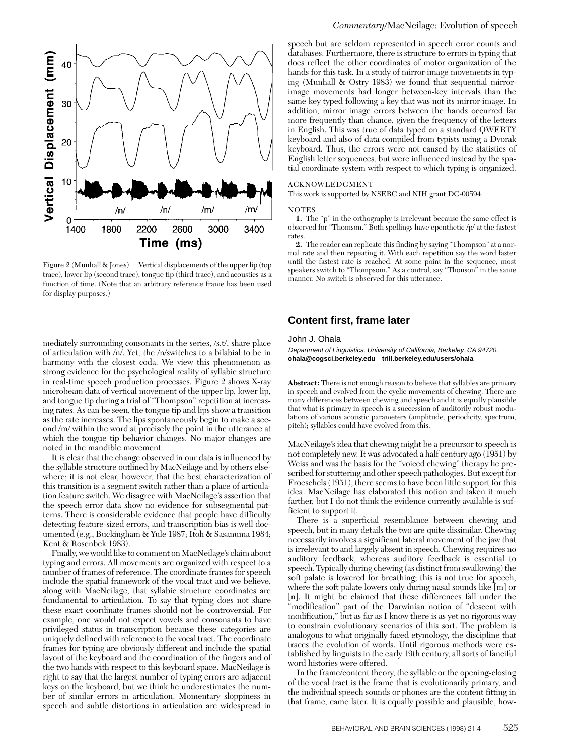

Figure 2 (Munhall & Jones). Vertical displacements of the upper lip (top trace), lower lip (second trace), tongue tip (third trace), and acoustics as a function of time. (Note that an arbitrary reference frame has been used for display purposes.)

mediately surrounding consonants in the series, /s,t/, share place of articulation with /n/. Yet, the /n/switches to a bilabial to be in harmony with the closest coda. We view this phenomenon as strong evidence for the psychological reality of syllabic structure in real-time speech production processes. Figure 2 shows X-ray microbeam data of vertical movement of the upper lip, lower lip, and tongue tip during a trial of "Thompson" repetition at increasing rates. As can be seen, the tongue tip and lips show a transition as the rate increases. The lips spontaneously begin to make a second /m/ within the word at precisely the point in the utterance at which the tongue tip behavior changes. No major changes are noted in the mandible movement.

It is clear that the change observed in our data is influenced by the syllable structure outlined by MacNeilage and by others elsewhere; it is not clear, however, that the best characterization of this transition is a segment switch rather than a place of articulation feature switch. We disagree with MacNeilage's assertion that the speech error data show no evidence for subsegmental patterns. There is considerable evidence that people have difficulty detecting feature-sized errors, and transcription bias is well documented (e.g., Buckingham & Yule 1987; Itoh & Sasanuma 1984; Kent & Rosenbek 1983).

Finally, we would like to comment on MacNeilage's claim about typing and errors. All movements are organized with respect to a number of frames of reference. The coordinate frames for speech include the spatial framework of the vocal tract and we believe, along with MacNeilage, that syllabic structure coordinates are fundamental to articulation. To say that typing does not share these exact coordinate frames should not be controversial. For example, one would not expect vowels and consonants to have privileged status in transcription because these categories are uniquely defined with reference to the vocal tract. The coordinate frames for typing are obviously different and include the spatial layout of the keyboard and the coordination of the fingers and of the two hands with respect to this keyboard space. MacNeilage is right to say that the largest number of typing errors are adjacent keys on the keyboard, but we think he underestimates the number of similar errors in articulation. Momentary sloppiness in speech and subtle distortions in articulation are widespread in speech but are seldom represented in speech error counts and databases. Furthermore, there is structure to errors in typing that does reflect the other coordinates of motor organization of the hands for this task. In a study of mirror-image movements in typing (Munhall & Ostry 1983) we found that sequential mirrorimage movements had longer between-key intervals than the same key typed following a key that was not its mirror-image. In addition, mirror image errors between the hands occurred far more frequently than chance, given the frequency of the letters in English. This was true of data typed on a standard QWERTY keyboard and also of data compiled from typists using a Dvorak keyboard. Thus, the errors were not caused by the statistics of English letter sequences, but were influenced instead by the spatial coordinate system with respect to which typing is organized.

#### ACKNOWLEDGMENT

This work is supported by NSERC and NIH grant DC-00594.

#### **NOTES**

**1.** The "p" in the orthography is irrelevant because the same effect is observed for "Thomson." Both spellings have epenthetic /p/ at the fastest rates

**2.** The reader can replicate this finding by saying "Thompson" at a normal rate and then repeating it. With each repetition say the word faster until the fastest rate is reached. At some point in the sequence, most speakers switch to "Thompsom." As a control, say "Thonson" in the same manner. No switch is observed for this utterance.

## **Content first, frame later**

John J. Ohala

Department of Linguistics, University of California, Berkeley, CA 94720. **ohala@cogsci.berkeley.edu trill.berkeley.edu/users/ohala**

**Abstract:** There is not enough reason to believe that syllables are primary in speech and evolved from the cyclic movements of chewing. There are many differences between chewing and speech and it is equally plausible that what is primary in speech is a succession of auditorily robust modulations of various acoustic parameters (amplitude, periodicity, spectrum, pitch); syllables could have evolved from this.

MacNeilage's idea that chewing might be a precursor to speech is not completely new. It was advocated a half century ago (1951) by Weiss and was the basis for the "voiced chewing" therapy he prescribed for stuttering and other speech pathologies. But except for Froeschels (1951), there seems to have been little support for this idea. MacNeilage has elaborated this notion and taken it much farther, but I do not think the evidence currently available is sufficient to support it.

There is a superficial resemblance between chewing and speech, but in many details the two are quite dissimilar. Chewing necessarily involves a significant lateral movement of the jaw that is irrelevant to and largely absent in speech. Chewing requires no auditory feedback, whereas auditory feedback is essential to speech. Typically during chewing (as distinct from swallowing) the soft palate is lowered for breathing; this is not true for speech, where the soft palate lowers only during nasal sounds like [m] or [n]. It might be claimed that these differences fall under the "modification" part of the Darwinian notion of "descent with modification," but as far as I know there is as yet no rigorous way to constrain evolutionary scenarios of this sort. The problem is analogous to what originally faced etymology, the discipline that traces the evolution of words. Until rigorous methods were established by linguists in the early 19th century, all sorts of fanciful word histories were offered.

In the frame/content theory, the syllable or the opening-closing of the vocal tract is the frame that is evolutionarily primary, and the individual speech sounds or phones are the content fitting in that frame, came later. It is equally possible and plausible, how-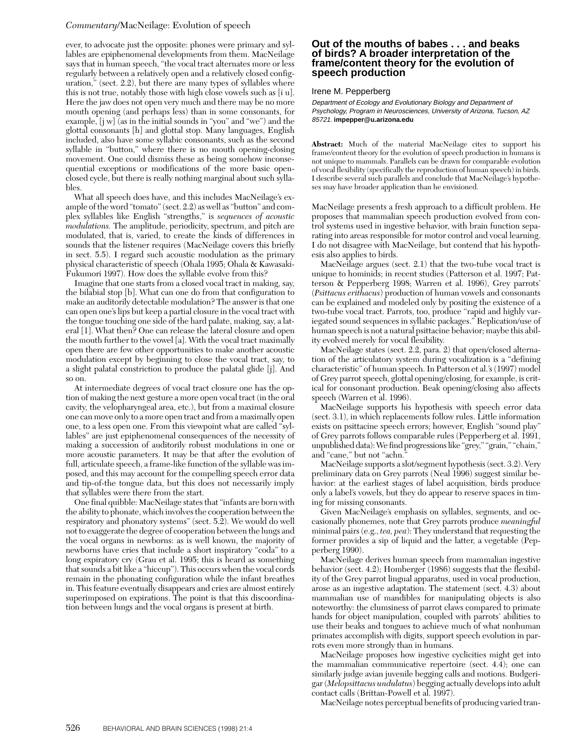#### *Commentary/*MacNeilage: Evolution of speech

ever, to advocate just the opposite: phones were primary and syllables are epiphenomenal developments from them. MacNeilage says that in human speech, "the vocal tract alternates more or less regularly between a relatively open and a relatively closed configuration," (sect. 2.2), but there are many types of syllables where this is not true, notably those with high close vowels such as [i u]. Here the jaw does not open very much and there may be no more mouth opening (and perhaps less) than in some consonants, for example, [j w] (as in the initial sounds in "you" and "we") and the glottal consonants [h] and glottal stop. Many languages, English included, also have some syllabic consonants, such as the second syllable in "button," where there is no mouth opening-closing movement. One could dismiss these as being somehow inconsequential exceptions or modifications of the more basic openclosed cycle, but there is really nothing marginal about such syllables.

What all speech does have, and this includes MacNeilage's example of the word "tomato" (sect. 2.2) as well as "button" and complex syllables like English "strengths," is *sequences of acoustic modulations.* The amplitude, periodicity, spectrum, and pitch are modulated, that is, varied, to create the kinds of differences in sounds that the listener requires (MacNeilage covers this briefly in sect. 5.5). I regard such acoustic modulation as the primary physical characteristic of speech (Ohala 1995; Ohala & Kawasaki-Fukumori 1997). How does the syllable evolve from this?

Imagine that one starts from a closed vocal tract in making, say, the bilabial stop [b]. What can one do from that configuration to make an auditorily detectable modulation? The answer is that one can open one's lips but keep a partial closure in the vocal tract with the tongue touching one side of the hard palate, making, say, a lateral [1]. What then? One can release the lateral closure and open the mouth further to the vowel [a]. With the vocal tract maximally open there are few other opportunities to make another acoustic modulation except by beginning to close the vocal tract, say, to a slight palatal constriction to produce the palatal glide [j]. And so on.

At intermediate degrees of vocal tract closure one has the option of making the next gesture a more open vocal tract (in the oral cavity, the velopharyngeal area, etc.), but from a maximal closure one can move only to a more open tract and from a maximally open one, to a less open one. From this viewpoint what are called "syllables" are just epiphenomenal consequences of the necessity of making a succession of auditorily robust modulations in one or more acoustic parameters. It may be that after the evolution of full, articulate speech, a frame-like function of the syllable was imposed, and this may account for the compelling speech error data and tip-of-the tongue data, but this does not necessarily imply that syllables were there from the start.

One final quibble: MacNeilage states that "infants are born with the ability to phonate, which involves the cooperation between the respiratory and phonatory systems" (sect. 5.2). We would do well not to exaggerate the degree of cooperation between the lungs and the vocal organs in newborns: as is well known, the majority of newborns have cries that include a short inspiratory "coda" to a long expiratory cry (Grau et al. 1995; this is heard as something that sounds a bit like a "hiccup"). This occurs when the vocal cords remain in the phonating configuration while the infant breathes in. This feature eventually disappears and cries are almost entirely superimposed on expirations. The point is that this discoordination between lungs and the vocal organs is present at birth.

#### **Out of the mouths of babes . . . and beaks of birds? A broader interpretation of the frame/content theory for the evolution of speech production**

#### Irene M. Pepperberg

Department of Ecology and Evolutionary Biology and Department of Psychology, Program in Neurosciences, University of Arizona, Tucson, AZ 85721. **impepper@u.arizona.edu**

**Abstract:** Much of the material MacNeilage cites to support his frame/content theory for the evolution of speech production in humans is not unique to mammals. Parallels can be drawn for comparable evolution of vocal flexibility (specifically the reproduction of human speech) in birds. I describe several such parallels and conclude that MacNeilage's hypotheses may have broader application than he envisioned.

MacNeilage presents a fresh approach to a difficult problem. He proposes that mammalian speech production evolved from control systems used in ingestive behavior, with brain function separating into areas responsible for motor control and vocal learning. I do not disagree with MacNeilage, but contend that his hypothesis also applies to birds.

MacNeilage argues (sect. 2.1) that the two-tube vocal tract is unique to hominids; in recent studies (Patterson et al. 1997; Patterson & Pepperberg 1998; Warren et al. 1996), Grey parrots' (*Psittacus erithacus*) production of human vowels and consonants can be explained and modeled only by positing the existence of a two-tube vocal tract. Parrots, too, produce "rapid and highly variegated sound sequences in syllabic packages." Replication/use of human speech is not a natural psittacine behavior; maybe this ability evolved merely for vocal flexibility.

MacNeilage states (sect. 2.2, para. 2) that open/closed alternation of the articulatory system during vocalization is a "defining characteristic" of human speech. In Patterson et al.'s (1997) model of Grey parrot speech, glottal opening/closing, for example, is critical for consonant production. Beak opening/closing also affects speech (Warren et al. 1996).

MacNeilage supports his hypothesis with speech error data (sect. 3.1), in which replacements follow rules. Little information exists on psittacine speech errors; however, English "sound play" of Grey parrots follows comparable rules (Pepperberg et al. 1991, unpublished data): We find progressions like "grey," "grain," "chain," and "cane," but not "achn."

MacNeilage supports a slot/segment hypothesis (sect. 3.2). Very preliminary data on Grey parrots (Neal 1996) suggest similar behavior: at the earliest stages of label acquisition, birds produce only a label's vowels, but they do appear to reserve spaces in timing for missing consonants.

Given MacNeilage's emphasis on syllables, segments, and occasionally phonemes, note that Grey parrots produce *meaningful* minimal pairs (e.g., *tea, pea*): They understand that requesting the former provides a sip of liquid and the latter, a vegetable (Pepperberg 1990).

MacNeilage derives human speech from mammalian ingestive behavior (sect. 4.2); Homberger (1986) suggests that the flexibility of the Grey parrot lingual apparatus, used in vocal production, arose as an ingestive adaptation. The statement (sect. 4.3) about mammalian use of mandibles for manipulating objects is also noteworthy: the clumsiness of parrot claws compared to primate hands for object manipulation, coupled with parrots' abilities to use their beaks and tongues to achieve much of what nonhuman primates accomplish with digits, support speech evolution in parrots even more strongly than in humans.

MacNeilage proposes how ingestive cyclicities might get into the mammalian communicative repertoire (sect. 4.4); one can similarly judge avian juvenile begging calls and motions. Budgerigar (*Melopsittacus undulatus*) begging actually develops into adult contact calls (Brittan-Powell et al. 1997).

MacNeilage notes perceptual benefits of producing varied tran-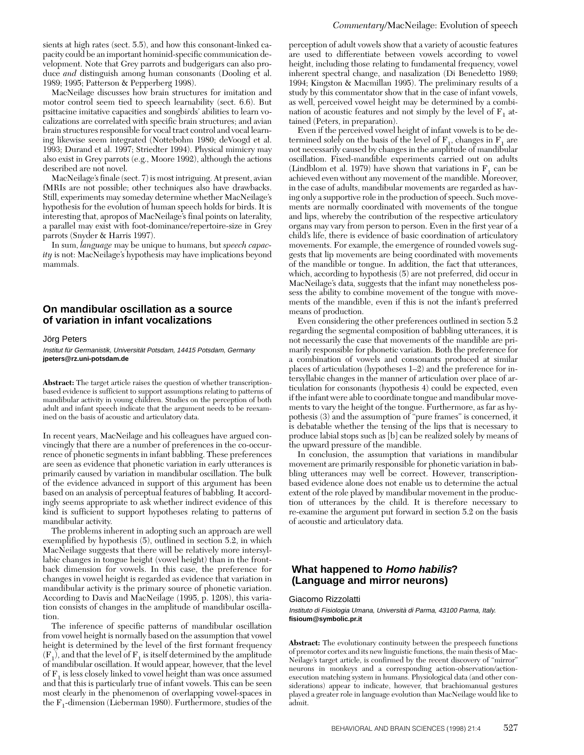sients at high rates (sect. 5.5), and how this consonant-linked capacity could be an important hominid-specific communication development. Note that Grey parrots and budgerigars can also produce *and* distinguish among human consonants (Dooling et al. 1989; 1995; Patterson & Pepperberg 1998).

MacNeilage discusses how brain structures for imitation and motor control seem tied to speech learnability (sect. 6.6). But psittacine imitative capacities and songbirds' abilities to learn vocalizations are correlated with specific brain structures; and avian brain structures responsible for vocal tract control and vocal learning likewise seem integrated (Nottebohm 1980; deVoogd et al. 1993; Durand et al. 1997; Striedter 1994). Physical mimicry may also exist in Grey parrots (e.g., Moore 1992), although the actions described are not novel.

MacNeilage's finale (sect. 7) is most intriguing. At present, avian fMRIs are not possible; other techniques also have drawbacks. Still, experiments may someday determine whether MacNeilage's hypothesis for the evolution of human speech holds for birds. It is interesting that, apropos of MacNeilage's final points on laterality, a parallel may exist with foot-dominance/repertoire-size in Grey parrots (Snyder & Harris 1997).

In sum, *language* may be unique to humans, but *speech capacity* is not: MacNeilage's hypothesis may have implications beyond mammals.

## **On mandibular oscillation as a source of variation in infant vocalizations**

Jörg Peters

Institut für Germanistik, Universität Potsdam, 14415 Potsdam, Germany **jpeters@rz.uni-potsdam.de**

**Abstract:** The target article raises the question of whether transcriptionbased evidence is sufficient to support assumptions relating to patterns of mandibular activity in young children. Studies on the perception of both adult and infant speech indicate that the argument needs to be reexamined on the basis of acoustic and articulatory data.

In recent years, MacNeilage and his colleagues have argued convincingly that there are a number of preferences in the co-occurrence of phonetic segments in infant babbling. These preferences are seen as evidence that phonetic variation in early utterances is primarily caused by variation in mandibular oscillation. The bulk of the evidence advanced in support of this argument has been based on an analysis of perceptual features of babbling. It accordingly seems appropriate to ask whether indirect evidence of this kind is sufficient to support hypotheses relating to patterns of mandibular activity.

The problems inherent in adopting such an approach are well exemplified by hypothesis (5), outlined in section 5.2, in which MacNeilage suggests that there will be relatively more intersyllabic changes in tongue height (vowel height) than in the frontback dimension for vowels. In this case, the preference for changes in vowel height is regarded as evidence that variation in mandibular activity is the primary source of phonetic variation. According to Davis and MacNeilage (1995, p. 1208), this variation consists of changes in the amplitude of mandibular oscillation.

The inference of specific patterns of mandibular oscillation from vowel height is normally based on the assumption that vowel height is determined by the level of the first formant frequency  $(F_1)$ , and that the level of  $F_1$  is itself determined by the amplitude of mandibular oscillation. It would appear, however, that the level of  $F_1$  is less closely linked to vowel height than was once assumed and that this is particularly true of infant vowels. This can be seen most clearly in the phenomenon of overlapping vowel-spaces in the  $F_1$ -dimension (Lieberman 1980). Furthermore, studies of the

perception of adult vowels show that a variety of acoustic features are used to differentiate between vowels according to vowel height, including those relating to fundamental frequency, vowel inherent spectral change, and nasalization (Di Benedetto 1989; 1994; Kingston & Macmillan 1995). The preliminary results of a study by this commentator show that in the case of infant vowels, as well, perceived vowel height may be determined by a combination of acoustic features and not simply by the level of  $F_1$  attained (Peters, in preparation).

Even if the perceived vowel height of infant vowels is to be determined solely on the basis of the level of  $F_1$ , changes in  $F_1$  are not necessarily caused by changes in the amplitude of mandibular oscillation. Fixed-mandible experiments carried out on adults (Lindblom et al. 1979) have shown that variations in  $F_1$  can be achieved even without any movement of the mandible. Moreover, in the case of adults, mandibular movements are regarded as having only a supportive role in the production of speech. Such movements are normally coordinated with movements of the tongue and lips, whereby the contribution of the respective articulatory organs may vary from person to person. Even in the first year of a child's life, there is evidence of basic coordination of articulatory movements. For example, the emergence of rounded vowels suggests that lip movements are being coordinated with movements of the mandible or tongue. In addition, the fact that utterances, which, according to hypothesis (5) are not preferred, did occur in MacNeilage's data, suggests that the infant may nonetheless possess the ability to combine movement of the tongue with movements of the mandible, even if this is not the infant's preferred means of production.

Even considering the other preferences outlined in section 5.2 regarding the segmental composition of babbling utterances, it is not necessarily the case that movements of the mandible are primarily responsible for phonetic variation. Both the preference for a combination of vowels and consonants produced at similar places of articulation (hypotheses 1–2) and the preference for intersyllabic changes in the manner of articulation over place of articulation for consonants (hypothesis 4) could be expected, even if the infant were able to coordinate tongue and mandibular movements to vary the height of the tongue. Furthermore, as far as hypothesis (3) and the assumption of "pure frames" is concerned, it is debatable whether the tensing of the lips that is necessary to produce labial stops such as [b] can be realized solely by means of the upward pressure of the mandible.

In conclusion, the assumption that variations in mandibular movement are primarily responsible for phonetic variation in babbling utterances may well be correct. However, transcriptionbased evidence alone does not enable us to determine the actual extent of the role played by mandibular movement in the production of utterances by the child. It is therefore necessary to re-examine the argument put forward in section 5.2 on the basis of acoustic and articulatory data.

## **What happened to Homo habilis? (Language and mirror neurons)**

#### Giacomo Rizzolatti

Instituto di Fisiologia Umana, Università di Parma, 43100 Parma, Italy. **fisioum@symbolic.pr.it**

**Abstract:** The evolutionary continuity between the prespeech functions of premotor cortex and its new linguistic functions, the main thesis of Mac-Neilage's target article, is confirmed by the recent discovery of "mirror" neurons in monkeys and a corresponding action-observation/actionexecution matching system in humans. Physiological data (and other considerations) appear to indicate, however, that brachiomanual gestures played a greater role in language evolution than MacNeilage would like to admit.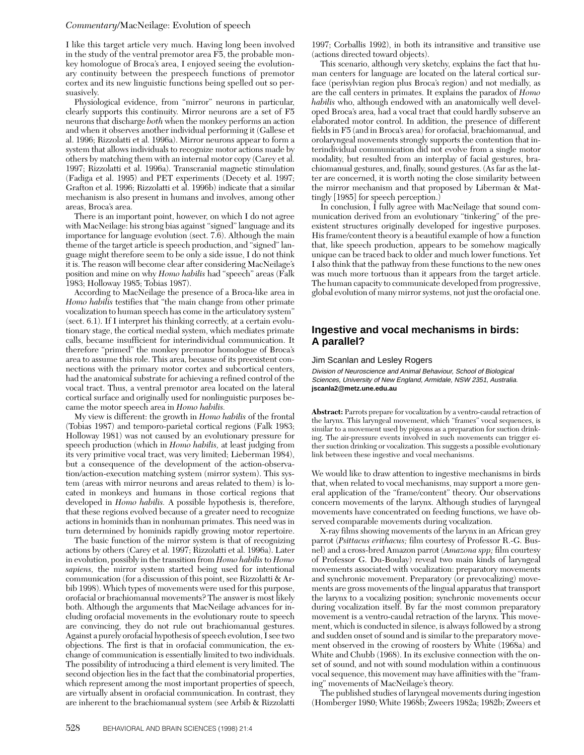#### *Commentary/*MacNeilage: Evolution of speech

I like this target article very much. Having long been involved in the study of the ventral premotor area F5, the probable monkey homologue of Broca's area, I enjoyed seeing the evolutionary continuity between the prespeech functions of premotor cortex and its new linguistic functions being spelled out so persuasively.

Physiological evidence, from "mirror" neurons in particular, clearly supports this continuity. Mirror neurons are a set of F5 neurons that discharge *both* when the monkey performs an action and when it observes another individual performing it (Gallese et al. 1996; Rizzolatti et al. 1996a). Mirror neurons appear to form a system that allows individuals to recognize motor actions made by others by matching them with an internal motor copy (Carey et al. 1997; Rizzolatti et al. 1996a). Transcranial magnetic stimulation (Fadiga et al. 1995) and PET experiments (Decety et al. 1997; Grafton et al. 1996; Rizzolatti et al. 1996b) indicate that a similar mechanism is also present in humans and involves, among other areas, Broca's area.

There is an important point, however, on which I do not agree with MacNeilage: his strong bias against "signed" language and its importance for language evolution (sect. 7.6). Although the main theme of the target article is speech production, and "signed" language might therefore seem to be only a side issue, I do not think it is. The reason will become clear after considering MacNeilage's position and mine on why *Homo habilis* had "speech" areas (Falk 1983; Holloway 1985; Tobias 1987).

According to MacNeilage the presence of a Broca-like area in *Homo habilis* testifies that "the main change from other primate vocalization to human speech has come in the articulatory system" (sect. 6.1). If I interpret his thinking correctly, at a certain evolutionary stage, the cortical medial system, which mediates primate calls, became insufficient for interindividual communication. It therefore "primed" the monkey premotor homologue of Broca's area to assume this role. This area, because of its preexistent connections with the primary motor cortex and subcortical centers, had the anatomical substrate for achieving a refined control of the vocal tract. Thus, a ventral premotor area located on the lateral cortical surface and originally used for nonlinguistic purposes became the motor speech area in *Homo habilis.*

My view is different: the growth in *Homo habilis* of the frontal (Tobias 1987) and temporo-parietal cortical regions (Falk 1983; Holloway 1981) was not caused by an evolutionary pressure for speech production (which in *Homo habilis,* at least judging from its very primitive vocal tract, was very limited; Lieberman 1984), but a consequence of the development of the action-observation/action-execution matching system (mirror system). This system (areas with mirror neurons and areas related to them) is located in monkeys and humans in those cortical regions that developed in *Homo habilis.* A possible hypothesis is, therefore, that these regions evolved because of a greater need to recognize actions in hominids than in nonhuman primates. This need was in turn determined by hominids rapidly growing motor repertoire.

The basic function of the mirror system is that of recognizing actions by others (Carey et al. 1997; Rizzolatti et al. 1996a). Later in evolution, possibly in the transition from *Homo habilis* to *Homo sapiens,* the mirror system started being used for intentional communication (for a discussion of this point, see Rizzolatti & Arbib 1998). Which types of movements were used for this purpose, orofacial or brachiomanual movements? The answer is most likely both. Although the arguments that MacNeilage advances for including orofacial movements in the evolutionary route to speech are convincing, they do not rule out brachiomanual gestures. Against a purely orofacial hypothesis of speech evolution, I see two objections. The first is that in orofacial communication, the exchange of communication is essentially limited to two individuals. The possibility of introducing a third element is very limited. The second objection lies in the fact that the combinatorial properties, which represent among the most important properties of speech, are virtually absent in orofacial communication. In contrast, they are inherent to the brachiomanual system (see Arbib & Rizzolatti 1997; Corballis 1992), in both its intransitive and transitive use (actions directed toward objects).

This scenario, although very sketchy, explains the fact that human centers for language are located on the lateral cortical surface (perisylvian region plus Broca's region) and not medially, as are the call centers in primates. It explains the paradox of *Homo habilis* who, although endowed with an anatomically well developed Broca's area, had a vocal tract that could hardly subserve an elaborated motor control. In addition, the presence of different fields in F5 (and in Broca's area) for orofacial, brachiomanual, and orolaryngeal movements strongly supports the contention that interindividual communication did not evolve from a single motor modality, but resulted from an interplay of facial gestures, brachiomanual gestures, and, finally, sound gestures. (As far as the latter are concerned, it is worth noting the close similarity between the mirror mechanism and that proposed by Liberman & Mattingly [1985] for speech perception.)

In conclusion, I fully agree with MacNeilage that sound communication derived from an evolutionary "tinkering" of the preexistent structures originally developed for ingestive purposes. His frame/content theory is a beautiful example of how a function that, like speech production, appears to be somehow magically unique can be traced back to older and much lower functions. Yet I also think that the pathway from these functions to the new ones was much more tortuous than it appears from the target article. The human capacity to communicate developed from progressive, global evolution of many mirror systems, not just the orofacial one.

## **Ingestive and vocal mechanisms in birds: A parallel?**

#### Jim Scanlan and Lesley Rogers

Division of Neuroscience and Animal Behaviour, School of Biological Sciences, University of New England, Armidale, NSW 2351, Australia. **jscanla2@metz.une.edu.au**

**Abstract:** Parrots prepare for vocalization by a ventro-caudal retraction of the larynx. This laryngeal movement, which "frames" vocal sequences, is similar to a movement used by pigeons as a preparation for suction drinking. The air-pressure events involved in such movements can trigger either suction drinking or vocalization. This suggests a possible evolutionary link between these ingestive and vocal mechanisms.

We would like to draw attention to ingestive mechanisms in birds that, when related to vocal mechanisms, may support a more general application of the "frame/content" theory. Our observations concern movements of the larynx. Although studies of laryngeal movements have concentrated on feeding functions, we have observed comparable movements during vocalization.

X-ray films showing movements of the larynx in an African grey parrot (*Psittacus erithacus;* film courtesy of Professor R.-G. Busnel) and a cross-bred Amazon parrot (*Amazona spp;* film courtesy of Professor G. Du-Boulay) reveal two main kinds of laryngeal movements associated with vocalization: preparatory movements and synchronic movement. Preparatory (or prevocalizing) movements are gross movements of the lingual apparatus that transport the larynx to a vocalizing position; synchronic movements occur during vocalization itself. By far the most common preparatory movement is a ventro-caudal retraction of the larynx. This movement, which is conducted in silence, is always followed by a strong and sudden onset of sound and is similar to the preparatory movement observed in the crowing of roosters by White (1968a) and White and Chubb (1968). In its exclusive connection with the onset of sound, and not with sound modulation within a continuous vocal sequence, this movement may have affinities with the "framing" movements of MacNeilage's theory.

The published studies of laryngeal movements during ingestion (Homberger 1980; White 1968b; Zweers 1982a; 1982b; Zweers et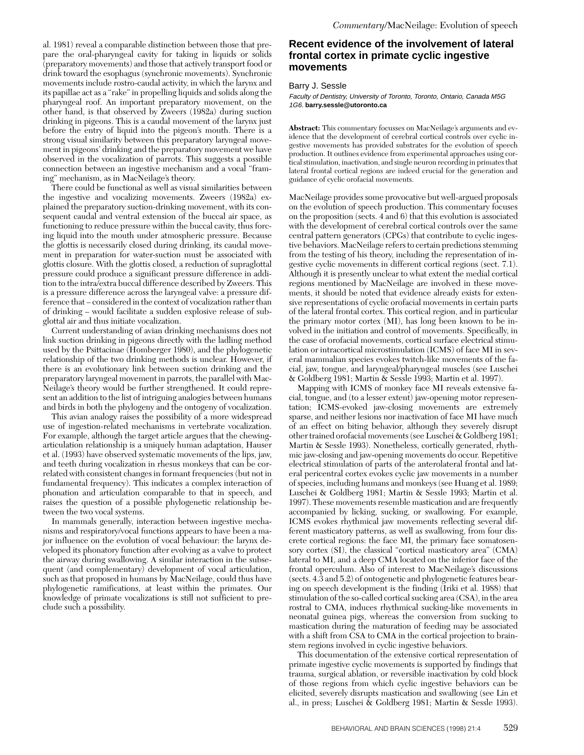al. 1981) reveal a comparable distinction between those that prepare the oral-pharyngeal cavity for taking in liquids or solids (preparatory movements) and those that actively transport food or drink toward the esophagus (synchronic movements). Synchronic movements include rostro-caudal activity, in which the larynx and its papillae act as a "rake" in propelling liquids and solids along the pharyngeal roof. An important preparatory movement, on the other hand, is that observed by Zweers (1982a) during suction drinking in pigeons. This is a caudal movement of the larynx just before the entry of liquid into the pigeon's mouth. There is a strong visual similarity between this preparatory laryngeal movement in pigeons' drinking and the preparatory movement we have observed in the vocalization of parrots. This suggests a possible connection between an ingestive mechanism and a vocal "framing" mechanism, as in MacNeilage's theory.

There could be functional as well as visual similarities between the ingestive and vocalizing movements. Zweers (1982a) explained the preparatory suction-drinking movement, with its consequent caudal and ventral extension of the buccal air space, as functioning to reduce pressure within the buccal cavity, thus forcing liquid into the mouth under atmospheric pressure. Because the glottis is necessarily closed during drinking, its caudal movement in preparation for water-suction must be associated with glottis closure. With the glottis closed, a reduction of supraglottal pressure could produce a significant pressure difference in addition to the intra/extra buccal difference described by Zweers. This is a pressure difference across the laryngeal valve: a pressure difference that – considered in the context of vocalization rather than of drinking – would facilitate a sudden explosive release of subglottal air and thus initiate vocalization.

Current understanding of avian drinking mechanisms does not link suction drinking in pigeons directly with the ladling method used by the Psittacinae (Homberger 1980), and the phylogenetic relationship of the two drinking methods is unclear. However, if there is an evolutionary link between suction drinking and the preparatory laryngeal movement in parrots, the parallel with Mac-Neilage's theory would be further strengthened. It could represent an addition to the list of intriguing analogies between humans and birds in both the phylogeny and the ontogeny of vocalization.

This avian analogy raises the possibility of a more widespread use of ingestion-related mechanisms in vertebrate vocalization. For example, although the target article argues that the chewingarticulation relationship is a uniquely human adaptation, Hauser et al. (1993) have observed systematic movements of the lips, jaw, and teeth during vocalization in rhesus monkeys that can be correlated with consistent changes in formant frequencies (but not in fundamental frequency). This indicates a complex interaction of phonation and articulation comparable to that in speech, and raises the question of a possible phylogenetic relationship between the two vocal systems.

In mammals generally, interaction between ingestive mechanisms and respiratory/vocal functions appears to have been a major influence on the evolution of vocal behaviour: the larynx developed its phonatory function after evolving as a valve to protect the airway during swallowing. A similar interaction in the subsequent (and complementary) development of vocal articulation, such as that proposed in humans by MacNeilage, could thus have phylogenetic ramifications, at least within the primates. Our knowledge of primate vocalizations is still not sufficient to preclude such a possibility.

## **Recent evidence of the involvement of lateral frontal cortex in primate cyclic ingestive movements**

Barry J. Sessle

Faculty of Dentistry, University of Toronto, Toronto, Ontario, Canada M5G 1G6. **barry.sessle@utoronto.ca**

**Abstract:** This commentary focusses on MacNeilage's arguments and evidence that the development of cerebral cortical controls over cyclic ingestive movements has provided substrates for the evolution of speech production. It outlines evidence from experimental approaches using cortical stimulation, inactivation, and single neuron recording in primates that lateral frontal cortical regions are indeed crucial for the generation and guidance of cyclic orofacial movements.

MacNeilage provides some provocative but well-argued proposals on the evolution of speech production. This commentary focuses on the proposition (sects. 4 and 6) that this evolution is associated with the development of cerebral cortical controls over the same central pattern generators (CPGs) that contribute to cyclic ingestive behaviors. MacNeilage refers to certain predictions stemming from the testing of his theory, including the representation of ingestive cyclic movements in different cortical regions (sect. 7.1). Although it is presently unclear to what extent the medial cortical regions mentioned by MacNeilage are involved in these movements, it should be noted that evidence already exists for extensive representations of cyclic orofacial movements in certain parts of the lateral frontal cortex. This cortical region, and in particular the primary motor cortex (MI), has long been known to be involved in the initiation and control of movements. Specifically, in the case of orofacial movements, cortical surface electrical stimulation or intracortical microstimulation (ICMS) of face MI in several mammalian species evokes twitch-like movements of the facial, jaw, tongue, and laryngeal/pharyngeal muscles (see Luschei & Goldberg 1981; Martin & Sessle 1993; Martin et al. 1997).

Mapping with ICMS of monkey face MI reveals extensive facial, tongue, and (to a lesser extent) jaw-opening motor representation; ICMS-evoked jaw-closing movements are extremely sparse, and neither lesions nor inactivation of face MI have much of an effect on biting behavior, although they severely disrupt other trained orofacial movements (see Luschei & Goldberg 1981; Martin & Sessle 1993). Nonetheless, cortically generated, rhythmic jaw-closing and jaw-opening movements do occur. Repetitive electrical stimulation of parts of the anterolateral frontal and lateral pericentral cortex evokes cyclic jaw movements in a number of species, including humans and monkeys (see Huang et al. 1989; Luschei & Goldberg 1981; Martin & Sessle 1993; Martin et al. 1997). These movements resemble mastication and are frequently accompanied by licking, sucking, or swallowing. For example, ICMS evokes rhythmical jaw movements reflecting several different masticatory patterns, as well as swallowing, from four discrete cortical regions: the face MI, the primary face somatosensory cortex (SI), the classical "cortical masticatory area" (CMA) lateral to MI, and a deep CMA located on the inferior face of the frontal operculum. Also of interest to MacNeilage's discussions (sects. 4.3 and 5.2) of ontogenetic and phylogenetic features bearing on speech development is the finding (Iriki et al. 1988) that stimulation of the so-called cortical sucking area (CSA), in the area rostral to CMA, induces rhythmical sucking-like movements in neonatal guinea pigs, whereas the conversion from sucking to mastication during the maturation of feeding may be associated with a shift from CSA to CMA in the cortical projection to brainstem regions involved in cyclic ingestive behaviors.

This documentation of the extensive cortical representation of primate ingestive cyclic movements is supported by findings that trauma, surgical ablation, or reversible inactivation by cold block of those regions from which cyclic ingestive behaviors can be elicited, severely disrupts mastication and swallowing (see Lin et al., in press; Luschei & Goldberg 1981; Martin & Sessle 1993).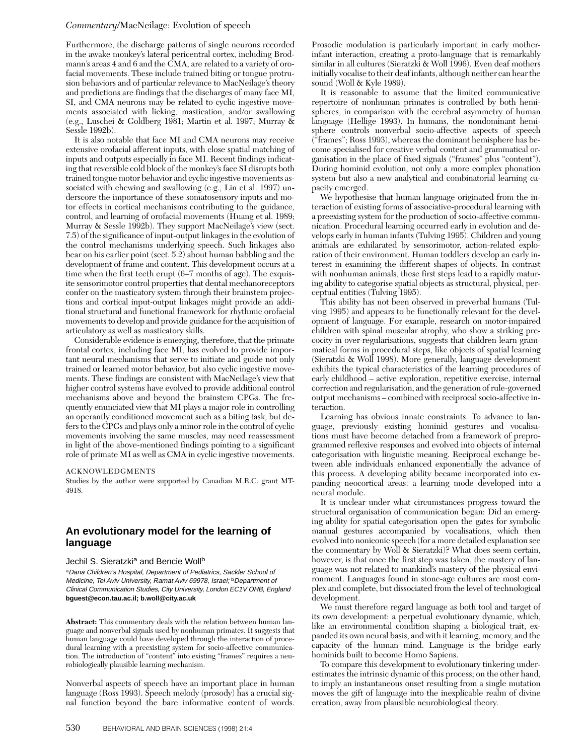#### *Commentary/*MacNeilage: Evolution of speech

Furthermore, the discharge patterns of single neurons recorded in the awake monkey's lateral pericentral cortex, including Brodmann's areas 4 and 6 and the CMA, are related to a variety of orofacial movements. These include trained biting or tongue protrusion behaviors and of particular relevance to MacNeilage's theory and predictions are findings that the discharges of many face MI, SI, and CMA neurons may be related to cyclic ingestive movements associated with licking, mastication, and/or swallowing (e.g., Luschei & Goldberg 1981; Martin et al. 1997; Murray & Sessle 1992b).

It is also notable that face MI and CMA neurons may receive extensive orofacial afferent inputs, with close spatial matching of inputs and outputs especially in face MI. Recent findings indicating that reversible cold block of the monkey's face SI disrupts both trained tongue motor behavior and cyclic ingestive movements associated with chewing and swallowing (e.g., Lin et al. 1997) underscore the importance of these somatosensory inputs and motor effects in cortical mechanisms contributing to the guidance, control, and learning of orofacial movements (Huang et al. 1989; Murray & Sessle 1992b). They support MacNeilage's view (sect. 7.5) of the significance of input-output linkages in the evolution of the control mechanisms underlying speech. Such linkages also bear on his earlier point (sect. 5.2) about human babbling and the development of frame and content. This development occurs at a time when the first teeth erupt (6–7 months of age). The exquisite sensorimotor control properties that dental mechanoreceptors confer on the masticatory system through their brainstem projections and cortical input-output linkages might provide an additional structural and functional framework for rhythmic orofacial movements to develop and provide guidance for the acquisition of articulatory as well as masticatory skills.

Considerable evidence is emerging, therefore, that the primate frontal cortex, including face MI, has evolved to provide important neural mechanisms that serve to initiate and guide not only trained or learned motor behavior, but also cyclic ingestive movements. These findings are consistent with MacNeilage's view that higher control systems have evolved to provide additional control mechanisms above and beyond the brainstem CPGs. The frequently enunciated view that MI plays a major role in controlling an operantly conditioned movement such as a biting task, but defers to the CPGs and plays only a minor role in the control of cyclic movements involving the same muscles, may need reassessment in light of the above-mentioned findings pointing to a significant role of primate MI as well as CMA in cyclic ingestive movements.

#### ACKNOWLEDGMENTS

Studies by the author were supported by Canadian M.R.C. grant MT-4918.

## **An evolutionary model for the learning of language**

#### Jechil S. Sieratzkia and Bencie Wollb

aDana Children's Hospital, Department of Pediatrics, Sackler School of Medicine, Tel Aviv University, Ramat Aviv 69978, Israel; *bDepartment of* Clinical Communication Studies, City University, London EC1V OHB, England **bguest@econ.tau.ac.il; b.woll@city.ac.uk**

**Abstract:** This commentary deals with the relation between human language and nonverbal signals used by nonhuman primates. It suggests that human language could have developed through the interaction of procedural learning with a preexisting system for socio-affective communication. The introduction of "content" into existing "frames" requires a neurobiologically plausible learning mechanism.

Nonverbal aspects of speech have an important place in human language (Ross 1993). Speech melody (prosody) has a crucial signal function beyond the bare informative content of words.

Prosodic modulation is particularly important in early motherinfant interaction, creating a proto-language that is remarkably similar in all cultures (Sieratzki & Woll 1996). Even deaf mothers initially vocalise to their deaf infants, although neither can hear the sound (Woll & Kyle 1989).

It is reasonable to assume that the limited communicative repertoire of nonhuman primates is controlled by both hemispheres, in comparison with the cerebral asymmetry of human language (Hellige 1993). In humans, the nondominant hemisphere controls nonverbal socio-affective aspects of speech ("frames"; Ross 1993), whereas the dominant hemisphere has become specialised for creative verbal content and grammatical organisation in the place of fixed signals ("frames" plus "content"). During hominid evolution, not only a more complex phonation system but also a new analytical and combinatorial learning capacity emerged.

We hypothesise that human language originated from the interaction of existing forms of associative-procedural learning with a preexisting system for the production of socio-affective communication. Procedural learning occurred early in evolution and develops early in human infants (Tulving 1995). Children and young animals are exhilarated by sensorimotor, action-related exploration of their environment. Human toddlers develop an early interest in examining the different shapes of objects. In contrast with nonhuman animals, these first steps lead to a rapidly maturing ability to categorise spatial objects as structural, physical, perceptual entities (Tulving 1995).

This ability has not been observed in preverbal humans (Tulving 1995) and appears to be functionally relevant for the development of language. For example, research on motor-impaired children with spinal muscular atrophy, who show a striking precocity in over-regularisations, suggests that children learn grammatical forms in procedural steps, like objects of spatial learning (Sieratzki & Woll 1998). More generally, language development exhibits the typical characteristics of the learning procedures of early childhood – active exploration, repetitive exercise, internal correction and regularisation, and the generation of rule-governed output mechanisms – combined with reciprocal socio-affective interaction.

Learning has obvious innate constraints. To advance to language, previously existing hominid gestures and vocalisations must have become detached from a framework of preprogrammed reflexive responses and evolved into objects of internal categorisation with linguistic meaning. Reciprocal exchange between able individuals enhanced exponentially the advance of this process. A developing ability became incorporated into expanding neocortical areas: a learning mode developed into a neural module.

It is unclear under what circumstances progress toward the structural organisation of communication began: Did an emerging ability for spatial categorisation open the gates for symbolic manual gestures accompanied by vocalisations, which then evolved into noniconic speech (for a more detailed explanation see the commentary by Woll & Sieratzki)? What does seem certain, however, is that once the first step was taken, the mastery of language was not related to mankind's mastery of the physical environment. Languages found in stone-age cultures are most complex and complete, but dissociated from the level of technological development.

We must therefore regard language as both tool and target of its own development: a perpetual evolutionary dynamic, which, like an environmental condition shaping a biological trait, expanded its own neural basis, and with it learning, memory, and the capacity of the human mind. Language is the bridge early hominids built to become Homo Sapiens.

To compare this development to evolutionary tinkering underestimates the intrinsic dynamic of this process; on the other hand, to imply an instantaneous onset resulting from a single mutation moves the gift of language into the inexplicable realm of divine creation, away from plausible neurobiological theory.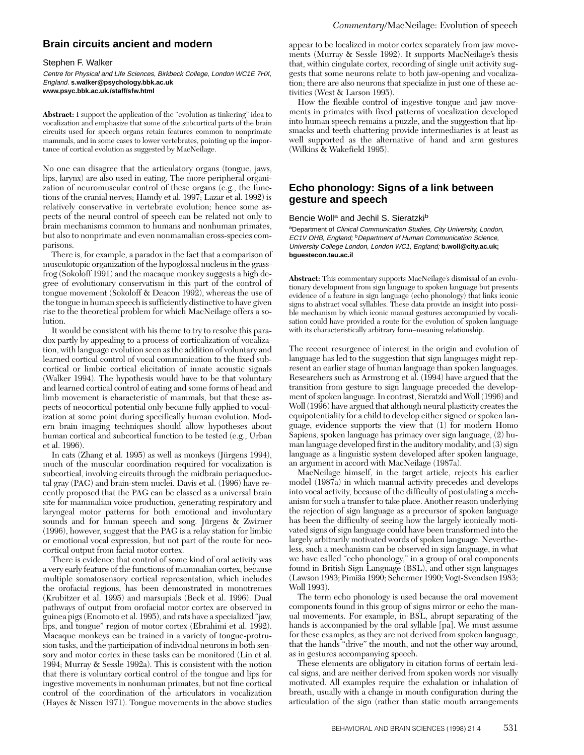## **Brain circuits ancient and modern**

Stephen F. Walker

Centre for Physical and Life Sciences, Birkbeck College, London WC1E 7HX, England. **s.walker@psychology.bbk.ac.uk www.psyc.bbk.ac.uk./staff/sfw.html**

**Abstract:** I support the application of the "evolution as tinkering" idea to vocalization and emphasize that some of the subcortical parts of the brain circuits used for speech organs retain features common to nonprimate mammals, and in some cases to lower vertebrates, pointing up the importance of cortical evolution as suggested by MacNeilage.

No one can disagree that the articulatory organs (tongue, jaws, lips, larynx) are also used in eating. The more peripheral organization of neuromuscular control of these organs (e.g., the functions of the cranial nerves; Hamdy et al. 1997; Lazar et al. 1992) is relatively conservative in vertebrate evolution; hence some aspects of the neural control of speech can be related not only to brain mechanisms common to humans and nonhuman primates, but also to nonprimate and even nonmamalian cross-species comparisons.

There is, for example, a paradox in the fact that a comparison of musculotopic organization of the hypoglossal nucleus in the grassfrog (Sokoloff 1991) and the macaque monkey suggests a high degree of evolutionary conservatism in this part of the control of tongue movement (Sokoloff & Deacon 1992), whereas the use of the tongue in human speech is sufficiently distinctive to have given rise to the theoretical problem for which MacNeilage offers a solution.

It would be consistent with his theme to try to resolve this paradox partly by appealing to a process of corticalization of vocalization, with language evolution seen as the addition of voluntary and learned cortical control of vocal communication to the fixed subcortical or limbic cortical elicitation of innate acoustic signals (Walker 1994). The hypothesis would have to be that voluntary and learned cortical control of eating and some forms of head and limb movement is characteristic of mammals, but that these aspects of neocortical potential only became fully applied to vocalization at some point during specifically human evolution. Modern brain imaging techniques should allow hypotheses about human cortical and subcortical function to be tested (e.g., Urban et al. 1996).

In cats (Zhang et al. 1995) as well as monkeys (Jürgens 1994), much of the muscular coordination required for vocalization is subcortical, involving circuits through the midbrain periaqueductal gray (PAG) and brain-stem nuclei. Davis et al. (1996) have recently proposed that the PAG can be classed as a universal brain site for mammalian voice production, generating respiratory and laryngeal motor patterns for both emotional and involuntary sounds and for human speech and song. Jürgens & Zwirner (1996), however, suggest that the PAG is a relay station for limbic or emotional vocal expression, but not part of the route for neocortical output from facial motor cortex.

There is evidence that control of some kind of oral activity was a very early feature of the functions of mammalian cortex, because multiple somatosensory cortical representation, which includes the orofacial regions, has been demonstrated in monotremes (Krubitzer et al. 1995) and marsupials (Beck et al. 1996). Dual pathways of output from orofacial motor cortex are observed in guinea pigs (Enomoto et al. 1995), and rats have a specialized "jaw, lips, and tongue" region of motor cortex (Ebrahimi et al. 1992). Macaque monkeys can be trained in a variety of tongue-protrusion tasks, and the participation of individual neurons in both sensory and motor cortex in these tasks can be monitored (Lin et al. 1994; Murray & Sessle 1992a). This is consistent with the notion that there is voluntary cortical control of the tongue and lips for ingestive movements in nonhuman primates, but not fine cortical control of the coordination of the articulators in vocalization (Hayes & Nissen 1971). Tongue movements in the above studies appear to be localized in motor cortex separately from jaw movements (Murray & Sessle 1992). It supports MacNeilage's thesis that, within cingulate cortex, recording of single unit activity suggests that some neurons relate to both jaw-opening and vocalization; there are also neurons that specialize in just one of these activities (West & Larson 1995).

How the flexible control of ingestive tongue and jaw movements in primates with fixed patterns of vocalization developed into human speech remains a puzzle, and the suggestion that lipsmacks and teeth chattering provide intermediaries is at least as well supported as the alternative of hand and arm gestures (Wilkins & Wakefield 1995).

## **Echo phonology: Signs of a link between gesture and speech**

#### Bencie Woll<sup>a</sup> and Jechil S. Sieratzki<sup>b</sup>

aDepartment of Clinical Communication Studies, City University, London, EC1V OHB, England; <sup>b</sup>Department of Human Communication Science, University College London, London WC1, England; **b.woll@city.ac.uk; bguestecon.tau.ac.il**

**Abstract:** This commentary supports MacNeilage's dismissal of an evolutionary development from sign language to spoken language but presents evidence of a feature in sign language (echo phonology) that links iconic signs to abstract vocal syllables. These data provide an insight into possible mechanism by which iconic manual gestures accompanied by vocalisation could have provided a route for the evolution of spoken language with its characteristically arbitrary form–meaning relationship.

The recent resurgence of interest in the origin and evolution of language has led to the suggestion that sign languages might represent an earlier stage of human language than spoken languages. Researchers such as Armstrong et al. (1994) have argued that the transition from gesture to sign language preceded the development of spoken language. In contrast, Sieratzki and Woll (1996) and Woll (1996) have argued that although neural plasticity creates the equipotentiality for a child to develop either signed or spoken language, evidence supports the view that (1) for modern Homo Sapiens, spoken language has primacy over sign language, (2) human language developed first in the auditory modality, and (3) sign language as a linguistic system developed after spoken language, an argument in accord with MacNeilage (1987a).

MacNeilage himself, in the target article, rejects his earlier model (1987a) in which manual activity precedes and develops into vocal activity, because of the difficulty of postulating a mechanism for such a transfer to take place. Another reason underlying the rejection of sign language as a precursor of spoken language has been the difficulty of seeing how the largely iconically motivated signs of sign language could have been transformed into the largely arbitrarily motivated words of spoken language. Nevertheless, such a mechanism can be observed in sign language, in what we have called "echo phonology," in a group of oral components found in British Sign Language (BSL), and other sign languages (Lawson 1983; Pimiäa 1990; Schermer 1990; Vogt-Svendsen 1983; Woll 1993).

The term echo phonology is used because the oral movement components found in this group of signs mirror or echo the manual movements. For example, in BSL, abrupt separating of the hands is accompanied by the oral syllable [pa]. We must assume for these examples, as they are not derived from spoken language, that the hands "drive" the mouth, and not the other way around, as in gestures accompanying speech.

These elements are obligatory in citation forms of certain lexical signs, and are neither derived from spoken words nor visually motivated. All examples require the exhalation or inhalation of breath, usually with a change in mouth configuration during the articulation of the sign (rather than static mouth arrangements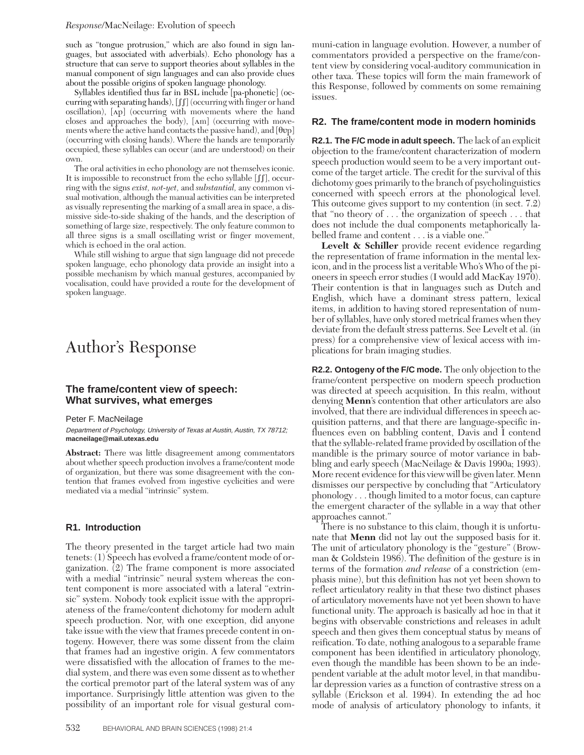#### *Response/*MacNeilage: Evolution of speech

such as "tongue protrusion," which are also found in sign languages, but associated with adverbials). Echo phonology has a structure that can serve to support theories about syllables in the manual component of sign languages and can also provide clues about the possible origins of spoken language phonology.

Syllables identified thus far in BSL include [pa-phonetic] (occurring with separating hands), [ʃʃ] (occurring with finger or hand oscillation), [Ap] (occurring with movements where the hand closes and approaches the body), [Am] (occurring with movements where the active hand contacts the passive hand), and  $[\theta \upsilon p]$ (occurring with closing hands). Where the hands are temporarily occupied, these syllables can occur (and are understood) on their own.

The oral activities in echo phonology are not themselves iconic. It is impossible to reconstruct from the echo syllable [ʃʃ], occurring with the signs *exist, not-yet,* and *substantial,* any common visual motivation, although the manual activities can be interpreted as visually representing the marking of a small area in space, a dismissive side-to-side shaking of the hands, and the description of something of large size, respectively. The only feature common to all three signs is a small oscillating wrist or finger movement, which is echoed in the oral action.

While still wishing to argue that sign language did not precede spoken language, echo phonology data provide an insight into a possible mechanism by which manual gestures, accompanied by vocalisation, could have provided a route for the development of spoken language.

# Author's Response

## **The frame/content view of speech: What survives, what emerges**

#### Peter F. MacNeilage

Department of Psychology, University of Texas at Austin, Austin, TX 78712; **macneilage@mail.utexas.edu**

**Abstract:** There was little disagreement among commentators about whether speech production involves a frame/content mode of organization, but there was some disagreement with the contention that frames evolved from ingestive cyclicities and were mediated via a medial "intrinsic" system.

#### **R1. Introduction**

The theory presented in the target article had two main tenets: (1) Speech has evolved a frame/content mode of organization. (2) The frame component is more associated with a medial "intrinsic" neural system whereas the content component is more associated with a lateral "extrinsic" system. Nobody took explicit issue with the appropriateness of the frame/content dichotomy for modern adult speech production. Nor, with one exception, did anyone take issue with the view that frames precede content in ontogeny. However, there was some dissent from the claim that frames had an ingestive origin. A few commentators were dissatisfied with the allocation of frames to the medial system, and there was even some dissent as to whether the cortical premotor part of the lateral system was of any importance. Surprisingly little attention was given to the possibility of an important role for visual gestural communi-cation in language evolution. However, a number of commentators provided a perspective on the frame/content view by considering vocal-auditory communication in other taxa. These topics will form the main framework of this Response, followed by comments on some remaining issues.

#### **R2. The frame/content mode in modern hominids**

**R2.1. The F/C mode in adult speech.** The lack of an explicit objection to the frame/content characterization of modern speech production would seem to be a very important outcome of the target article. The credit for the survival of this dichotomy goes primarily to the branch of psycholinguistics concerned with speech errors at the phonological level. This outcome gives support to my contention (in sect. 7.2) that "no theory of . . . the organization of speech . . . that does not include the dual components metaphorically labelled frame and content . . . is a viable one."

Levelt & Schiller provide recent evidence regarding the representation of frame information in the mental lexicon, and in the process list a veritable Who's Who of the pioneers in speech error studies (I would add MacKay 1970). Their contention is that in languages such as Dutch and English, which have a dominant stress pattern, lexical items, in addition to having stored representation of number of syllables, have only stored metrical frames when they deviate from the default stress patterns. See Levelt et al. (in press) for a comprehensive view of lexical access with implications for brain imaging studies.

**R2.2. Ontogeny of the F/C mode.** The only objection to the frame/content perspective on modern speech production was directed at speech acquisition. In this realm, without denying **Menn**'s contention that other articulators are also involved, that there are individual differences in speech acquisition patterns, and that there are language-specific influences even on babbling content, Davis and I contend that the syllable-related frame provided by oscillation of the mandible is the primary source of motor variance in babbling and early speech (MacNeilage & Davis 1990a; 1993). More recent evidence for this view will be given later. Menn dismisses our perspective by concluding that "Articulatory phonology . . . though limited to a motor focus, can capture the emergent character of the syllable in a way that other approaches cannot."

There is no substance to this claim, though it is unfortunate that **Menn** did not lay out the supposed basis for it. The unit of articulatory phonology is the "gesture" (Browman & Goldstein 1986). The definition of the gesture is in terms of the formation *and release* of a constriction (emphasis mine), but this definition has not yet been shown to reflect articulatory reality in that these two distinct phases of articulatory movements have not yet been shown to have functional unity. The approach is basically ad hoc in that it begins with observable constrictions and releases in adult speech and then gives them conceptual status by means of reification. To date, nothing analogous to a separable frame component has been identified in articulatory phonology, even though the mandible has been shown to be an independent variable at the adult motor level, in that mandibular depression varies as a function of contrastive stress on a syllable (Erickson et al. 1994). In extending the ad hoc mode of analysis of articulatory phonology to infants, it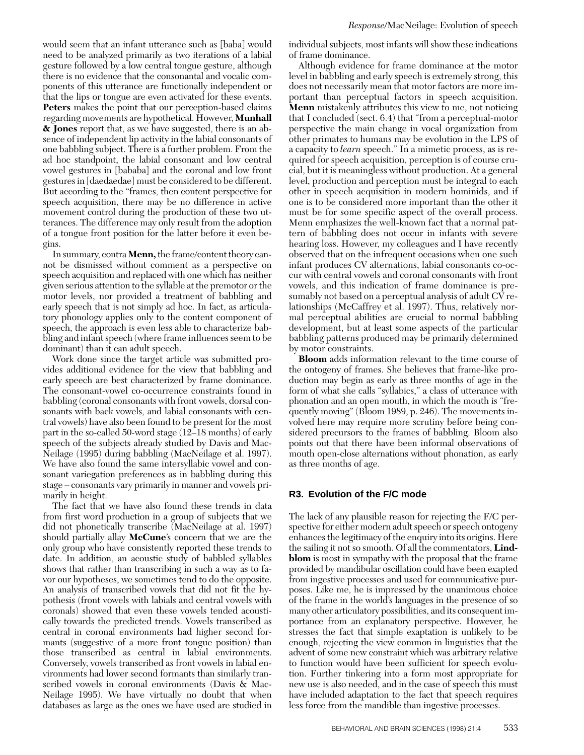would seem that an infant utterance such as [baba] would need to be analyzed primarily as two iterations of a labial gesture followed by a low central tongue gesture, although there is no evidence that the consonantal and vocalic components of this utterance are functionally independent or that the lips or tongue are even activated for these events. **Peters** makes the point that our perception-based claims regarding movements are hypothetical. However, **Munhall & Jones** report that, as we have suggested, there is an absence of independent lip activity in the labial consonants of one babbling subject. There is a further problem. From the ad hoc standpoint, the labial consonant and low central vowel gestures in [bababa] and the coronal and low front gestures in [daedaedae] must be considered to be different. But according to the "frames, then content perspective for speech acquisition, there may be no difference in active movement control during the production of these two utterances. The difference may only result from the adoption of a tongue front position for the latter before it even begins.

In summary, contra **Menn,** the frame/content theory cannot be dismissed without comment as a perspective on speech acquisition and replaced with one which has neither given serious attention to the syllable at the premotor or the motor levels, nor provided a treatment of babbling and early speech that is not simply ad hoc. In fact, as articulatory phonology applies only to the content component of speech, the approach is even less able to characterize babbling and infant speech (where frame influences seem to be dominant) than it can adult speech.

Work done since the target article was submitted provides additional evidence for the view that babbling and early speech are best characterized by frame dominance. The consonant-vowel co-occurrence constraints found in babbling (coronal consonants with front vowels, dorsal consonants with back vowels, and labial consonants with central vowels) have also been found to be present for the most part in the so-called 50-word stage (12–18 months) of early speech of the subjects already studied by Davis and Mac-Neilage (1995) during babbling (MacNeilage et al. 1997). We have also found the same intersyllabic vowel and consonant variegation preferences as in babbling during this stage – consonants vary primarily in manner and vowels primarily in height.

The fact that we have also found these trends in data from first word production in a group of subjects that we did not phonetically transcribe (MacNeilage at al. 1997) should partially allay **McCune**'s concern that we are the only group who have consistently reported these trends to date. In addition, an acoustic study of babbled syllables shows that rather than transcribing in such a way as to favor our hypotheses, we sometimes tend to do the opposite. An analysis of transcribed vowels that did not fit the hypothesis (front vowels with labials and central vowels with coronals) showed that even these vowels tended acoustically towards the predicted trends. Vowels transcribed as central in coronal environments had higher second formants (suggestive of a more front tongue position) than those transcribed as central in labial environments. Conversely, vowels transcribed as front vowels in labial environments had lower second formants than similarly transcribed vowels in coronal environments (Davis & Mac-Neilage 1995). We have virtually no doubt that when databases as large as the ones we have used are studied in

individual subjects, most infants will show these indications of frame dominance.

Although evidence for frame dominance at the motor level in babbling and early speech is extremely strong, this does not necessarily mean that motor factors are more important than perceptual factors in speech acquisition. **Menn** mistakenly attributes this view to me, not noticing that I concluded (sect. 6.4) that "from a perceptual-motor perspective the main change in vocal organization from other primates to humans may be evolution in the LPS of a capacity to *learn* speech." In a mimetic process, as is required for speech acquisition, perception is of course crucial, but it is meaningless without production. At a general level, production and perception must be integral to each other in speech acquisition in modern hominids, and if one is to be considered more important than the other it must be for some specific aspect of the overall process. Menn emphasizes the well-known fact that a normal pattern of babbling does not occur in infants with severe hearing loss. However, my colleagues and I have recently observed that on the infrequent occasions when one such infant produces CV alternations, labial consonants co-occur with central vowels and coronal consonants with front vowels, and this indication of frame dominance is presumably not based on a perceptual analysis of adult CV relationships (McCaffrey et al. 1997). Thus, relatively normal perceptual abilities are crucial to normal babbling development, but at least some aspects of the particular babbling patterns produced may be primarily determined by motor constraints.

**Bloom** adds information relevant to the time course of the ontogeny of frames. She believes that frame-like production may begin as early as three months of age in the form of what she calls "syllabics," a class of utterance with phonation and an open mouth, in which the mouth is "frequently moving" (Bloom 1989, p. 246). The movements involved here may require more scrutiny before being considered precursors to the frames of babbling. Bloom also points out that there have been informal observations of mouth open-close alternations without phonation, as early as three months of age.

## **R3. Evolution of the F/C mode**

The lack of any plausible reason for rejecting the F/C perspective for either modern adult speech or speech ontogeny enhances the legitimacy of the enquiry into its origins. Here the sailing it not so smooth. Of all the commentators, **Lindblom** is most in sympathy with the proposal that the frame provided by mandibular oscillation could have been exapted from ingestive processes and used for communicative purposes. Like me, he is impressed by the unanimous choice of the frame in the world's languages in the presence of so many other articulatory possibilities, and its consequent importance from an explanatory perspective. However, he stresses the fact that simple exaptation is unlikely to be enough, rejecting the view common in linguistics that the advent of some new constraint which was arbitrary relative to function would have been sufficient for speech evolution. Further tinkering into a form most appropriate for new use is also needed, and in the case of speech this must have included adaptation to the fact that speech requires less force from the mandible than ingestive processes.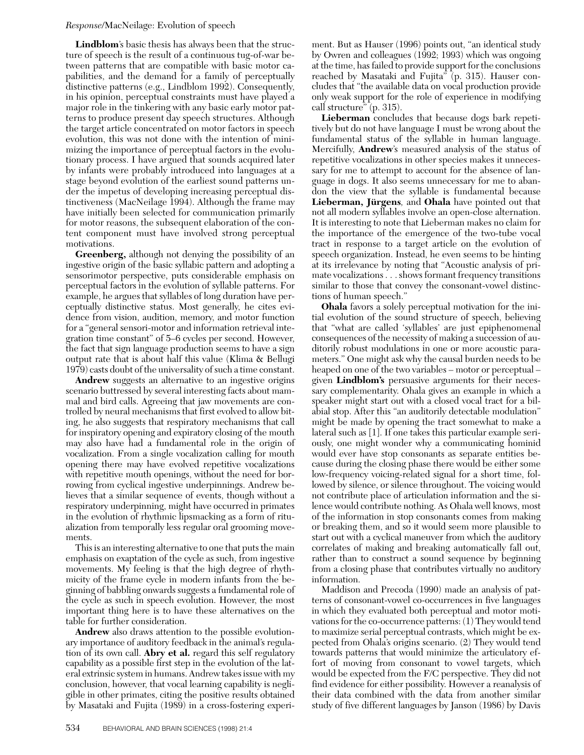#### *Response/*MacNeilage: Evolution of speech

**Lindblom**'s basic thesis has always been that the structure of speech is the result of a continuous tug-of-war between patterns that are compatible with basic motor capabilities, and the demand for a family of perceptually distinctive patterns (e.g., Lindblom 1992). Consequently, in his opinion, perceptual constraints must have played a major role in the tinkering with any basic early motor patterns to produce present day speech structures. Although the target article concentrated on motor factors in speech evolution, this was not done with the intention of minimizing the importance of perceptual factors in the evolutionary process. I have argued that sounds acquired later by infants were probably introduced into languages at a stage beyond evolution of the earliest sound patterns under the impetus of developing increasing perceptual distinctiveness (MacNeilage 1994). Although the frame may have initially been selected for communication primarily for motor reasons, the subsequent elaboration of the content component must have involved strong perceptual motivations.

**Greenberg,** although not denying the possibility of an ingestive origin of the basic syllabic pattern and adopting a sensorimotor perspective, puts considerable emphasis on perceptual factors in the evolution of syllable patterns. For example, he argues that syllables of long duration have perceptually distinctive status. Most generally, he cites evidence from vision, audition, memory, and motor function for a "general sensori-motor and information retrieval integration time constant" of 5–6 cycles per second. However, the fact that sign language production seems to have a sign output rate that is about half this value (Klima & Bellugi 1979) casts doubt of the universality of such a time constant.

**Andrew** suggests an alternative to an ingestive origins scenario buttressed by several interesting facts about mammal and bird calls. Agreeing that jaw movements are controlled by neural mechanisms that first evolved to allow biting, he also suggests that respiratory mechanisms that call for inspiratory opening and expiratory closing of the mouth may also have had a fundamental role in the origin of vocalization. From a single vocalization calling for mouth opening there may have evolved repetitive vocalizations with repetitive mouth openings, without the need for borrowing from cyclical ingestive underpinnings. Andrew believes that a similar sequence of events, though without a respiratory underpinning, might have occurred in primates in the evolution of rhythmic lipsmacking as a form of ritualization from temporally less regular oral grooming movements.

This is an interesting alternative to one that puts the main emphasis on exaptation of the cycle as such, from ingestive movements. My feeling is that the high degree of rhythmicity of the frame cycle in modern infants from the beginning of babbling onwards suggests a fundamental role of the cycle as such in speech evolution. However, the most important thing here is to have these alternatives on the table for further consideration.

**Andrew** also draws attention to the possible evolutionary importance of auditory feedback in the animal's regulation of its own call. **Abry et al.** regard this self regulatory capability as a possible first step in the evolution of the lateral extrinsic system in humans. Andrew takes issue with my conclusion, however, that vocal learning capability is negligible in other primates, citing the positive results obtained by Masataki and Fujita (1989) in a cross-fostering experi-

ment. But as Hauser (1996) points out, "an identical study by Owren and colleagues (1992; 1993) which was ongoing at the time, has failed to provide support for the conclusions reached by Masataki and Fujita" (p. 315). Hauser concludes that "the available data on vocal production provide only weak support for the role of experience in modifying call structure" (p. 315).

**Lieberman** concludes that because dogs bark repetitively but do not have language I must be wrong about the fundamental status of the syllable in human language. Mercifully, **Andrew**'s measured analysis of the status of repetitive vocalizations in other species makes it unnecessary for me to attempt to account for the absence of language in dogs. It also seems unnecessary for me to abandon the view that the syllable is fundamental because **Lieberman, Jürgens***,* and **Ohala** have pointed out that not all modern syllables involve an open-close alternation. It is interesting to note that Lieberman makes no claim for the importance of the emergence of the two-tube vocal tract in response to a target article on the evolution of speech organization. Instead, he even seems to be hinting at its irrelevance by noting that "Acoustic analysis of primate vocalizations . . . shows formant frequency transitions similar to those that convey the consonant-vowel distinctions of human speech."

**Ohala** favors a solely perceptual motivation for the initial evolution of the sound structure of speech, believing that "what are called 'syllables' are just epiphenomenal consequences of the necessity of making a succession of auditorily robust modulations in one or more acoustic parameters." One might ask why the causal burden needs to be heaped on one of the two variables – motor or perceptual – given **Lindblom's** persuasive arguments for their necessary complementarity. Ohala gives an example in which a speaker might start out with a closed vocal tract for a bilabial stop. After this "an auditorily detectable modulation" might be made by opening the tract somewhat to make a lateral such as [1]. If one takes this particular example seriously, one might wonder why a communicating hominid would ever have stop consonants as separate entities because during the closing phase there would be either some low-frequency voicing-related signal for a short time, followed by silence, or silence throughout. The voicing would not contribute place of articulation information and the silence would contribute nothing. As Ohala well knows, most of the information in stop consonants comes from making or breaking them, and so it would seem more plausible to start out with a cyclical maneuver from which the auditory correlates of making and breaking automatically fall out, rather than to construct a sound sequence by beginning from a closing phase that contributes virtually no auditory information.

Maddison and Precoda (1990) made an analysis of patterns of consonant-vowel co-occurrences in five languages in which they evaluated both perceptual and motor motivations for the co-occurrence patterns: (1) They would tend to maximize serial perceptual contrasts, which might be expected from Ohala's origins scenario. (2) They would tend towards patterns that would minimize the articulatory effort of moving from consonant to vowel targets, which would be expected from the F/C perspective. They did not find evidence for either possibility. However a reanalysis of their data combined with the data from another similar study of five different languages by Janson (1986) by Davis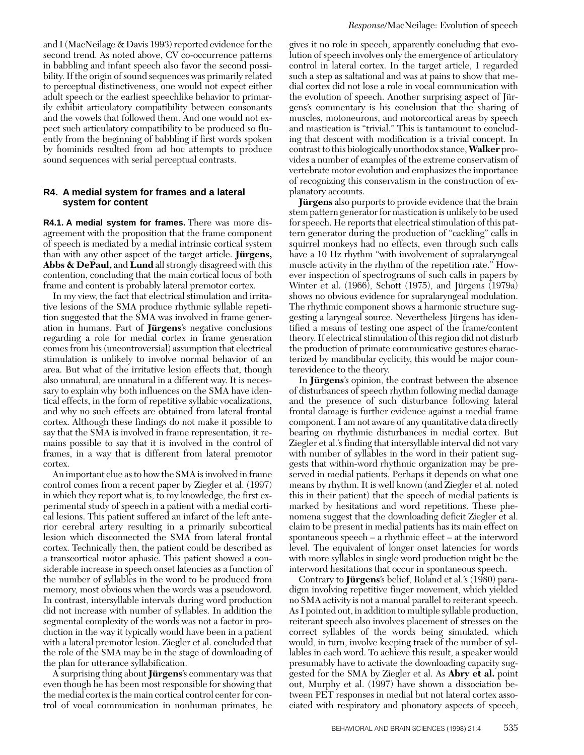and I (MacNeilage & Davis 1993) reported evidence for the second trend. As noted above, CV co-occurrence patterns in babbling and infant speech also favor the second possibility. If the origin of sound sequences was primarily related to perceptual distinctiveness, one would not expect either adult speech or the earliest speechlike behavior to primarily exhibit articulatory compatibility between consonants and the vowels that followed them. And one would not expect such articulatory compatibility to be produced so fluently from the beginning of babbling if first words spoken by hominids resulted from ad hoc attempts to produce sound sequences with serial perceptual contrasts.

## **R4. A medial system for frames and a lateral system for content**

**R4.1. A medial system for frames.** There was more disagreement with the proposition that the frame component of speech is mediated by a medial intrinsic cortical system than with any other aspect of the target article. **Jürgens, Abbs & DePaul,** and **Lund** all strongly disagreed with this contention, concluding that the main cortical locus of both frame and content is probably lateral premotor cortex.

In my view, the fact that electrical stimulation and irritative lesions of the SMA produce rhythmic syllable repetition suggested that the SMA was involved in frame generation in humans. Part of **Jürgens**'s negative conclusions regarding a role for medial cortex in frame generation comes from his (uncontroversial) assumption that electrical stimulation is unlikely to involve normal behavior of an area. But what of the irritative lesion effects that, though also unnatural, are unnatural in a different way. It is necessary to explain why both influences on the SMA have identical effects, in the form of repetitive syllabic vocalizations, and why no such effects are obtained from lateral frontal cortex. Although these findings do not make it possible to say that the SMA is involved in frame representation, it remains possible to say that it is involved in the control of frames, in a way that is different from lateral premotor cortex.

An important clue as to how the SMA is involved in frame control comes from a recent paper by Ziegler et al. (1997) in which they report what is, to my knowledge, the first experimental study of speech in a patient with a medial cortical lesions. This patient suffered an infarct of the left anterior cerebral artery resulting in a primarily subcortical lesion which disconnected the SMA from lateral frontal cortex. Technically then, the patient could be described as a transcortical motor aphasic. This patient showed a considerable increase in speech onset latencies as a function of the number of syllables in the word to be produced from memory, most obvious when the words was a pseudoword. In contrast, intersyllable intervals during word production did not increase with number of syllables. In addition the segmental complexity of the words was not a factor in production in the way it typically would have been in a patient with a lateral premotor lesion. Ziegler et al. concluded that the role of the SMA may be in the stage of downloading of the plan for utterance syllabification.

A surprising thing about **Jürgens**'s commentary was that even though he has been most responsible for showing that the medial cortex is the main cortical control center for control of vocal communication in nonhuman primates, he

gives it no role in speech, apparently concluding that evolution of speech involves only the emergence of articulatory control in lateral cortex. In the target article, I regarded such a step as saltational and was at pains to show that medial cortex did not lose a role in vocal communication with the evolution of speech. Another surprising aspect of Jürgens's commentary is his conclusion that the sharing of muscles, motoneurons, and motorcortical areas by speech and mastication is "trivial." This is tantamount to concluding that descent with modification is a trivial concept. In contrast to this biologically unorthodox stance, **Walker** provides a number of examples of the extreme conservatism of vertebrate motor evolution and emphasizes the importance of recognizing this conservatism in the construction of explanatory accounts.

**Jürgens** also purports to provide evidence that the brain stem pattern generator for mastication is unlikely to be used for speech. He reports that electrical stimulation of this pattern generator during the production of "cackling" calls in squirrel monkeys had no effects, even through such calls have a 10 Hz rhythm "with involvement of supralaryngeal muscle activity in the rhythm of the repetition rate." However inspection of spectrograms of such calls in papers by Winter et al. (1966), Schott (1975), and Jürgens (1979a) shows no obvious evidence for supralaryngeal modulation. The rhythmic component shows a harmonic structure suggesting a laryngeal source. Nevertheless Jürgens has identified a means of testing one aspect of the frame/content theory. If electrical stimulation of this region did not disturb the production of primate communicative gestures characterized by mandibular cyclicity, this would be major counterevidence to the theory.

In **Jürgens**'s opinion, the contrast between the absence of disturbances of speech rhythm following medial damage and the presence of such disturbance following lateral frontal damage is further evidence against a medial frame component. I am not aware of any quantitative data directly bearing on rhythmic disturbances in medial cortex. But Ziegler et al.'s finding that intersyllable interval did not vary with number of syllables in the word in their patient suggests that within-word rhythmic organization may be preserved in medial patients. Perhaps it depends on what one means by rhythm. It is well known (and Ziegler et al. noted this in their patient) that the speech of medial patients is marked by hesitations and word repetitions. These phenomena suggest that the downloading deficit Ziegler et al. claim to be present in medial patients has its main effect on spontaneous speech – a rhythmic effect – at the interword level. The equivalent of longer onset latencies for words with more syllables in single word production might be the interword hesitations that occur in spontaneous speech.

Contrary to **Jürgens**'s belief, Roland et al.'s (1980) paradigm involving repetitive finger movement, which yielded no SMA activity is not a manual parallel to reiterant speech. As I pointed out, in addition to multiple syllable production, reiterant speech also involves placement of stresses on the correct syllables of the words being simulated, which would, in turn, involve keeping track of the number of syllables in each word. To achieve this result, a speaker would presumably have to activate the downloading capacity suggested for the SMA by Ziegler et al. As **Abry et al.** point out, Murphy et al. (1997) have shown a dissociation between PET responses in medial but not lateral cortex associated with respiratory and phonatory aspects of speech,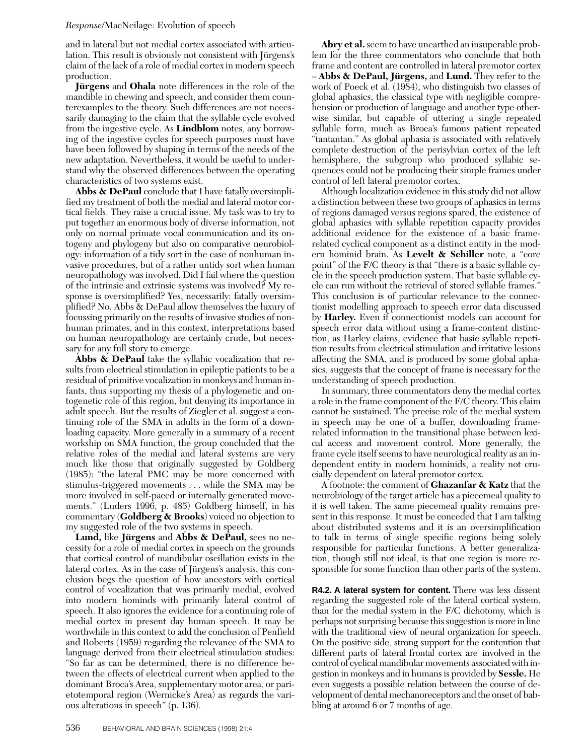and in lateral but not medial cortex associated with articulation. This result is obviously not consistent with Jürgens's claim of the lack of a role of medial cortex in modern speech production.

**Jürgens** and **Ohala** note differences in the role of the mandible in chewing and speech, and consider them counterexamples to the theory. Such differences are not necessarily damaging to the claim that the syllable cycle evolved from the ingestive cycle. As **Lindblom** notes, any borrowing of the ingestive cycles for speech purposes must have have been followed by shaping in terms of the needs of the new adaptation. Nevertheless, it would be useful to understand why the observed differences between the operating characteristics of two systems exist.

**Abbs & DePaul** conclude that I have fatally oversimplified my treatment of both the medial and lateral motor cortical fields. They raise a crucial issue. My task was to try to put together an enormous body of diverse information, not only on normal primate vocal communication and its ontogeny and phylogeny but also on comparative neurobiology: information of a tidy sort in the case of nonhuman invasive procedures, but of a rather untidy sort when human neuropathology was involved. Did I fail where the question of the intrinsic and extrinsic systems was involved? My response is oversimplified? Yes, necessarily: fatally oversimplified? No. Abbs & DePaul allow themselves the luxury of focussing primarily on the results of invasive studies of nonhuman primates, and in this context, interpretations based on human neuropathology are certainly crude, but necessary for any full story to emerge.

**Abbs & DePaul** take the syllabic vocalization that results from electrical stimulation in epileptic patients to be a residual of primitive vocalization in monkeys and human infants, thus supporting my thesis of a phylogenetic and ontogenetic role of this region, but denying its importance in adult speech. But the results of Ziegler et al. suggest a continuing role of the SMA in adults in the form of a downloading capacity. More generally in a summary of a recent workship on SMA function, the group concluded that the relative roles of the medial and lateral systems are very much like those that originally suggested by Goldberg (1985): "the lateral PMC may be more concerned with stimulus-triggered movements . . . while the SMA may be more involved in self-paced or internally generated movements." (Luders 1996, p. 485) Goldberg himself, in his commentary (**Goldberg & Brooks**) voiced no objection to my suggested role of the two systems in speech.

**Lund,** like **Jürgens** and **Abbs & DePaul,** sees no necessity for a role of medial cortex in speech on the grounds that cortical control of mandibular oscillation exists in the lateral cortex. As in the case of Jürgens's analysis, this conclusion begs the question of how ancestors with cortical control of vocalization that was primarily medial, evolved into modern hominds with primarily lateral control of speech. It also ignores the evidence for a continuing role of medial cortex in present day human speech. It may be worthwhile in this context to add the conclusion of Penfield and Roberts (1959) regarding the relevance of the SMA to language derived from their electrical stimulation studies: "So far as can be determined, there is no difference between the effects of electrical current when applied to the dominant Broca's Area, supplementary motor area, or parietotemporal region (Wernicke's Area) as regards the various alterations in speech" (p. 136).

**Abry et al.**seem to have unearthed an insuperable problem for the three commentators who conclude that both frame and content are controlled in lateral premotor cortex – **Abbs & DePaul, Jürgens,** and **Lund.** They refer to the work of Poeck et al. (1984), who distinguish two classes of global aphasics, the classical type with negligible comprehension or production of language and another type otherwise similar, but capable of uttering a single repeated syllable form, much as Broca's famous patient repeated "tantantan." As global aphasia is associated with relatively complete destruction of the perisylvian cortex of the left hemisphere, the subgroup who produced syllabic sequences could not be producing their simple frames under control of left lateral premotor cortex.

Although localization evidence in this study did not allow a distinction between these two groups of aphasics in terms of regions damaged versus regions spared, the existence of global aphasics with syllable repetition capacity provides additional evidence for the existence of a basic framerelated cyclical component as a distinct entity in the modern hominid brain. As **Levelt & Schiller** note, a "core point" of the F/C theory is that "there is a basic syllable cycle in the speech production system. That basic syllable cycle can run without the retrieval of stored syllable frames." This conclusion is of particular relevance to the connectionist modelling approach to speech error data discussed by **Harley.** Even if connectionist models can account for speech error data without using a frame-content distinction, as Harley claims, evidence that basic syllable repetition results from electrical stimulation and irritative lesions affecting the SMA, and is produced by some global aphasics, suggests that the concept of frame is necessary for the understanding of speech production.

In summary, three commentators deny the medial cortex a role in the frame component of the F/C theory. This claim cannot be sustained. The precise role of the medial system in speech may be one of a buffer, downloading framerelated information in the transitional phase between lexical access and movement control. More generally, the frame cycle itself seems to have neurological reality as an independent entity in modern hominids, a reality not crucially dependent on lateral premotor cortex.

A footnote: the comment of **Ghazanfar & Katz** that the neurobiology of the target article has a piecemeal quality to it is well taken. The same piecemeal quality remains present in this response. It must be conceded that I am talking about distributed systems and it is an oversimplification to talk in terms of single specific regions being solely responsible for particular functions. A better generalization, though still not ideal, is that one region is more responsible for some function than other parts of the system.

**R4.2. A lateral system for content.** There was less dissent regarding the suggested role of the lateral cortical system, than for the medial system in the F/C dichotomy, which is perhaps not surprising because this suggestion is more in line with the traditional view of neural organization for speech. On the positive side, strong support for the contention that different parts of lateral frontal cortex are involved in the control of cyclical mandibular movements associated with ingestion in monkeys and in humans is provided by **Sessle.** He even suggests a possible relation between the course of development of dental mechanoreceptors and the onset of babbling at around 6 or 7 months of age.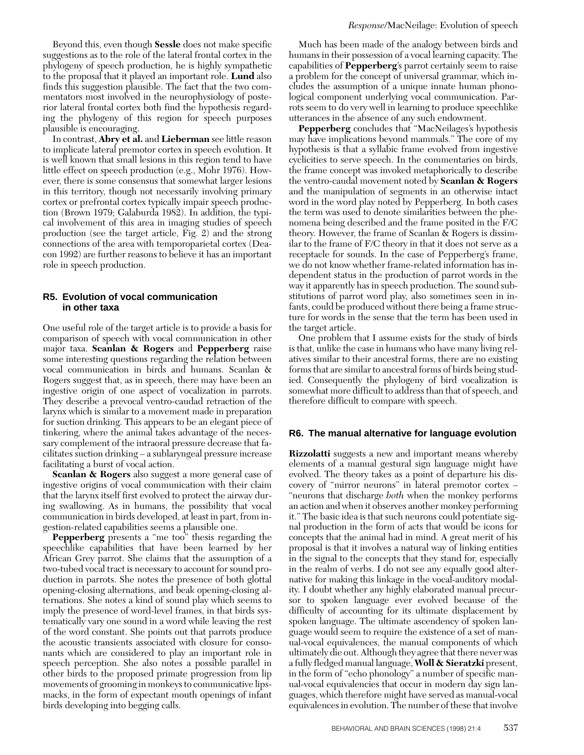Beyond this, even though **Sessle** does not make specific suggestions as to the role of the lateral frontal cortex in the phylogeny of speech production, he is highly sympathetic to the proposal that it played an important role. **Lund** also finds this suggestion plausible. The fact that the two commentators most involved in the neurophysiology of posterior lateral frontal cortex both find the hypothesis regarding the phylogeny of this region for speech purposes plausible is encouraging.

In contrast, **Abry et al.** and **Lieberman** see little reason to implicate lateral premotor cortex in speech evolution. It is well known that small lesions in this region tend to have little effect on speech production (e.g., Mohr 1976). However, there is some consensus that somewhat larger lesions in this territory, though not necessarily involving primary cortex or prefrontal cortex typically impair speech production (Brown 1979; Galaburda 1982). In addition, the typical involvement of this area in imaging studies of speech production (see the target article, Fig. 2) and the strong connections of the area with temporoparietal cortex (Deacon 1992) are further reasons to believe it has an important role in speech production.

## **R5. Evolution of vocal communication in other taxa**

One useful role of the target article is to provide a basis for comparison of speech with vocal communication in other major taxa. **Scanlan & Rogers** and **Pepperberg** raise some interesting questions regarding the relation between vocal communication in birds and humans. Scanlan & Rogers suggest that, as in speech, there may have been an ingestive origin of one aspect of vocalization in parrots. They describe a prevocal ventro-caudad retraction of the larynx which is similar to a movement made in preparation for suction drinking. This appears to be an elegant piece of tinkering, where the animal takes advantage of the necessary complement of the intraoral pressure decrease that facilitates suction drinking – a sublaryngeal pressure increase facilitating a burst of vocal action.

**Scanlan & Rogers** also suggest a more general case of ingestive origins of vocal communication with their claim that the larynx itself first evolved to protect the airway during swallowing. As in humans, the possibility that vocal communication in birds developed, at least in part, from ingestion-related capabilities seems a plausible one.

**Pepperberg** presents a "me too" thesis regarding the speechlike capabilities that have been learned by her African Grey parrot. She claims that the assumption of a two-tubed vocal tract is necessary to account for sound production in parrots. She notes the presence of both glottal opening-closing alternations, and beak opening-closing alternations. She notes a kind of sound play which seems to imply the presence of word-level frames, in that birds systematically vary one sound in a word while leaving the rest of the word constant. She points out that parrots produce the acoustic transients associated with closure for consonants which are considered to play an important role in speech perception. She also notes a possible parallel in other birds to the proposed primate progression from lip movements of grooming in monkeys to communicative lipsmacks, in the form of expectant mouth openings of infant birds developing into begging calls.

Much has been made of the analogy between birds and humans in their possession of a vocal learning capacity. The capabilities of **Pepperberg**'s parrot certainly seem to raise a problem for the concept of universal grammar, which includes the assumption of a unique innate human phonological component underlying vocal communication. Parrots seem to do very well in learning to produce speechlike utterances in the absence of any such endowment.

**Pepperberg** concludes that "MacNeilages's hypothesis may have implications beyond mammals." The core of my hypothesis is that a syllabic frame evolved from ingestive cyclicities to serve speech. In the commentaries on birds, the frame concept was invoked metaphorically to describe the ventro-caudal movement noted by **Scanlan & Rogers** and the manipulation of segments in an otherwise intact word in the word play noted by Pepperberg. In both cases the term was used to denote similarities between the phenomena being described and the frame posited in the F/C theory. However, the frame of Scanlan & Rogers is dissimilar to the frame of F/C theory in that it does not serve as a receptacle for sounds. In the case of Pepperberg's frame, we do not know whether frame-related information has independent status in the production of parrot words in the way it apparently has in speech production. The sound substitutions of parrot word play, also sometimes seen in infants, could be produced without there being a frame structure for words in the sense that the term has been used in the target article.

One problem that I assume exists for the study of birds is that, unlike the case in humans who have many living relatives similar to their ancestral forms, there are no existing forms that are similar to ancestral forms of birds being studied. Consequently the phylogeny of bird vocalization is somewhat more difficult to address than that of speech, and therefore difficult to compare with speech.

## **R6. The manual alternative for language evolution**

**Rizzolatti** suggests a new and important means whereby elements of a manual gestural sign language might have evolved. The theory takes as a point of departure his discovery of "mirror neurons" in lateral premotor cortex – "neurons that discharge *both* when the monkey performs an action and when it observes another monkey performing it." The basic idea is that such neurons could potentiate signal production in the form of acts that would be icons for concepts that the animal had in mind. A great merit of his proposal is that it involves a natural way of linking entities in the signal to the concepts that they stand for, especially in the realm of verbs. I do not see any equally good alternative for making this linkage in the vocal-auditory modality. I doubt whether any highly elaborated manual precursor to spoken language ever evolved because of the difficulty of accounting for its ultimate displacement by spoken language. The ultimate ascendency of spoken language would seem to require the existence of a set of manual-vocal equivalences, the manual components of which ultimately die out. Although they agree that there never was a fully fledged manual language, **Woll & Sieratzki** present, in the form of "echo phonology" a number of specific manual-vocal equivalencies that occur in modern day sign languages, which therefore might have served as manual-vocal equivalences in evolution. The number of these that involve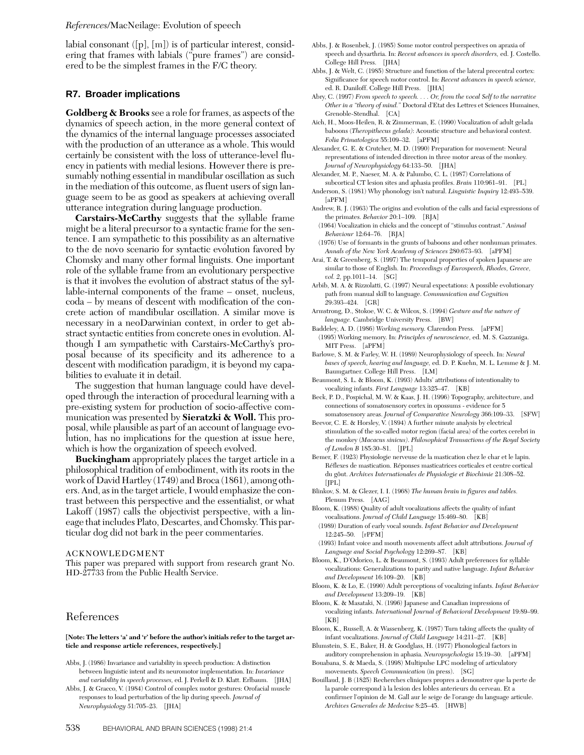labial consonant ([p], [m]) is of particular interest, considering that frames with labials ("pure frames") are considered to be the simplest frames in the F/C theory.

#### **R7. Broader implications**

**Goldberg & Brooks** see a role for frames, as aspects of the dynamics of speech action, in the more general context of the dynamics of the internal language processes associated with the production of an utterance as a whole. This would certainly be consistent with the loss of utterance-level fluency in patients with medial lesions. However there is presumably nothing essential in mandibular oscillation as such in the mediation of this outcome, as fluent users of sign language seem to be as good as speakers at achieving overall utterance integration during language production.

**Carstairs-McCarthy** suggests that the syllable frame might be a literal precursor to a syntactic frame for the sentence. I am sympathetic to this possibility as an alternative to the de novo scenario for syntactic evolution favored by Chomsky and many other formal linguists. One important role of the syllable frame from an evolutionary perspective is that it involves the evolution of abstract status of the syllable-internal components of the frame – onset, nucleus, coda – by means of descent with modification of the concrete action of mandibular oscillation. A similar move is necessary in a neoDarwinian context, in order to get abstract syntactic entities from concrete ones in evolution. Although I am sympathetic with Carstairs-McCarthy's proposal because of its specificity and its adherence to a descent with modification paradigm, it is beyond my capabilities to evaluate it in detail.

The suggestion that human language could have developed through the interaction of procedural learning with a pre-existing system for production of socio-affective communication was presented by **Sieratzki & Woll.** This proposal, while plausible as part of an account of language evolution, has no implications for the question at issue here, which is how the organization of speech evolved.

**Buckingham** appropriately places the target article in a philosophical tradition of embodiment, with its roots in the work of David Hartley (1749) and Broca (1861), among others. And, as in the target article, I would emphasize the contrast between this perspective and the essentialist, or what Lakoff (1987) calls the objectivist perspective, with a lineage that includes Plato, Descartes, and Chomsky. This particular dog did not bark in the peer commentaries.

#### ACKNOWLEDGMENT

This paper was prepared with support from research grant No. HD-27733 from the Public Health Service.

## References

#### **[Note: The letters 'a' and 'r' before the author's initials refer to the target article and response article references, respectively.]**

- Abbs, J. (1986) Invariance and variability in speech production: A distinction between linguistic intent and its neuromotor implementation. In: *Invariance and variability in speech processes,* ed. J. Perkell & D. Klatt. Erlbaum. [JHA]
- Abbs, J. & Gracco, V. (1984) Control of complex motor gestures: Orofacial muscle responses to load perturbation of the lip during speech. *Journal of Neurophysiology 5*1:705–23. [JHA]
- Abbs, J. & Rosenbek, J. (1985) Some motor control perspectives on apraxia of speech and dysarthria. In: *Recent advances in speech disorders,* ed. J. Costello. College Hill Press. [JHA]
- Abbs, J. & Welt, C. (1985) Structure and function of the lateral precentral cortex: Significance for speech motor control. In: *Recent advances in speech science,* ed. R. Daniloff. College Hill Press. [JHA]
- Abry, C. (1997) *From speech to speech. . . . Or, from the vocal Self to the narrative Other in a "theory of mind."* Doctoral d'Etat des Lettres et Sciences Humaines, Grenoble-Stendhal. [CA]
- Aich, H., Moos-Heilen, R. & Zimmerman, E. (1990) Vocalization of adult gelada baboons (*Theropithecus gelada)*: Acoustic structure and behavioral context. *Folia Primatologica* 55:109–32. [aPFM]
- Alexander, G. E. & Crutcher, M. D. (1990) Preparation for movement: Neural representations of intended direction in three motor areas of the monkey. *Journal of Neurophysiology* 64:133–50. [JHA]
- Alexander, M. P., Naeser, M. A. & Palumbo, C. L. (1987) Correlations of subcortical CT lesion sites and aphasia profiles. *Brain* 110:961–91. [PL]
- Anderson, S. (1981) Why phonology isn't natural. *Linguistic Inquiry* 12:493–539. [aPFM]
- Andrew, R. J. (1963) The origins and evolution of the calls and facial expressions of the primates. *Behavior 2*0:1–109. [RJA]
	- (1964) Vocalization in chicks and the concept of "stimulus contrast." *Animal Behaviour* 12:64–76. [RJA]
- (1976) Use of formants in the grunts of baboons and other nonhuman primates. *Annals of the New York Academy of Sciences* 280:673–93. [aPFM]
- Arai, T. & Greenberg, S. (1997) The temporal properties of spoken Japanese are similar to those of English. In: *Proceedings of Eurospeech, Rhodes, Greece, vol. 2,* pp.1011–14. [SG]
- Arbib, M. A. & Rizzolatti, G. (1997) Neural expectations: A possible evolutionary path from manual skill to language. *Communication and Cognition 2*9:393–424. [GR]
- Armstrong, D., Stokoe, W. C. & Wilcox, S. (1994) *Gesture and the nature of language.* Cambridge University Press. [BW]
- Baddeley, A. D. (1986) *Working memory.* Clarendon Press. [aPFM] (1995) Working memory. In: *Principles of neuroscience,* ed. M. S. Gazzaniga. MIT Press. [aPFM]
- Barlowe, S. M. & Farley, W. H. (1989) Neurophysiology of speech. In: *Neural bases of speech, hearing and language,* ed. D. P. Kuehn, M. L. Lemme & J. M. Baumgartner. College Hill Press. [LM]
- Beaumont, S. L. & Bloom, K. (1993) Adults' attributions of intentionality to vocalizing infants. *First Language* 13:325–47. [KB]
- Beck, P. D., Pospichal, M. W. & Kaas, J. H. (1996) Topography, architecture, and connections of somatosensory cortex in opossums - evidence for 5 somatosensory areas. *Journal of Comparative Neurology 3*66:109–33. [SFW]
- Beevor, C. E. & Horsley, V. (1894) A further minute analysis by electrical stimulation of the so-called motor region (facial area) of the cortex cerebri in the monkey (*Macacus sinicus)*. *Philosophical Transactions of the Royal Society of London B* 185:30–81. [JPL]
- Bemer, F. (1923) Physiologie nerveuse de la mastication chez le char et le lapin. Réflexes de mastication. Réponses masticatrices corticales et centre cortical du gôut. *Archives Internationales de Physiologie et Biochimie* 21:308–52. [JPL]
- Blinkov, S. M. & Glezer, I. I. (1968) *The human brain in figures and tables.* Plenum Press. [AAG]
- Bloom, K. (1988) Quality of adult vocalizations affects the quality of infant vocalisations. *Journal of Child Language* 15:469–80. [KB]
- (1989) Duration of early vocal sounds. *Infant Behavior and Development* 12:245–50. [rPFM]
- (1993) Infant voice and mouth movements affect adult attributions. *Journal of Language and Social Psychology* 12:269–87. [KB]
- Bloom, K., D'Odorico, L. & Beaumont, S. (1993) Adult preferences for syllable vocalizations: Generalizations to parity and native language. *Infant Behavior and Development* 16:109–20. [KB]
- Bloom, K. & Lo, E. (1990) Adult perceptions of vocalizing infants. *Infant Behavior and Development* 13:209–19. [KB]
- Bloom, K. & Masataki, N. (1996) Japanese and Canadian impressions of vocalizing infants. *International Journal of Behavioral Development* 19:89–99. [KB]
- Bloom, K., Russell, A. & Wassenberg, K. (1987) Turn taking affects the quality of infant vocalizations. *Journal of Child Language* 14:211–27. [KB]
- Blumstein, S. E., Baker, H. & Goodglass, H. (1977) Phonological factors in auditory comprehension in aphasia. *Neuropsychologia* 15:19–30. [aPFM]
- Bouabana, S. & Maeda, S. (1998) Multipulse LPC modeling of articulatory movements. *Speech Communication* (in press). [SG]
- Bouillaud, J. B (1825) Recherches cliniques propres a demonstrer que la perte de la parole correspond à la lesion des lobles anterieurs du cerveau. Et a confirmer l'opinion de M. Gall aur le seige de l'orange du language articule. *Archives Generales de Medecine* 8:25–45. [HWB]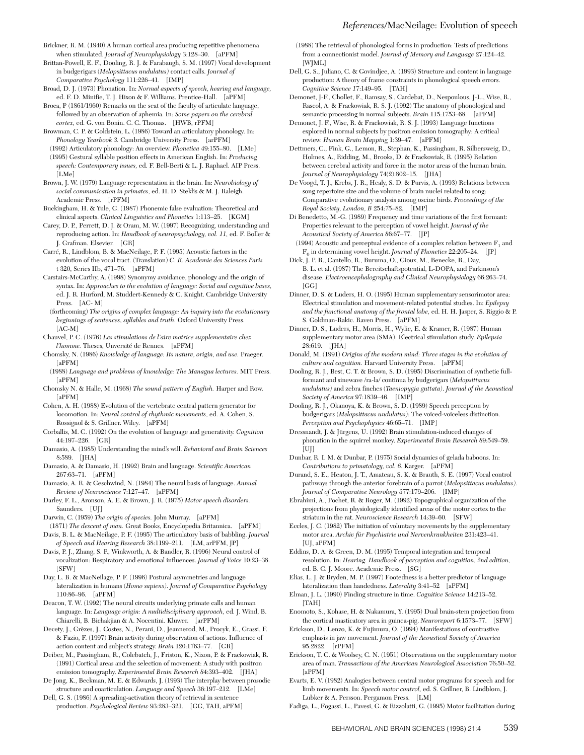Brittan-Powell, E. F., Dooling, R. J. & Farabaugh, S. M. (1997) Vocal development in budgerigars (*Melopsittacus undulatus)* contact calls. *Journal of Comparative Psychology* 111:226–41. [IMP]

Broad, D. J. (1973) Phonation. In: *Normal aspects of speech, hearing and language,* ed. F. D. Minifie, T. J. Hixon & F. Williams. Prentice-Hall. [aPFM]

Broca, P (1861/1960) Remarks on the seat of the faculty of articulate language, followed by an observation of aphemia. In: *Some papers on the cerebral cortex,* ed. G. von Bonin. C. C. Thomas. [HWB, rPFM]

Browman, C. P. & Goldstein, L. (1986) Toward an articulatory phonology. In: *Phonology Yearbook 3.* Cambridge University Press. [arPFM]

(1992) Articulatory phonology: An overview. *Phonetica* 49:155–80. [LMe] (1995) Gestural syllable position effects in American English. In: *Producing speech: Contemporary issues,* ed. F. Bell-Berti & L. J. Raphael. AIP Press. [LMe]

Brown, J. W. (1979) Language representation in the brain. In: *Neurobiology of social communication in primates,* ed. H. D. Steklis & M. J. Raleigh. Academic Press. [rPFM]

Buckingham, H. & Yule, G. (1987) Phonemic false evaluation: Theoretical and clinical aspects. *Clinical Linguistics and Phonetics* 1:113–25. [KGM]

Carey, D. P., Perrett, D. J. & Oram, M. W. (1997) Recognizing, understanding and reproducing action. In: *Handbook of neuropsychology, vol. 11,* ed. F. Boller & J. Grafman. Elsevier. [GR]

Carré, R., Lindblom, B. & MacNeilage, P. F. (1995) Acoustic factors in the evolution of the vocal tract. (Translation) *C. R. Academie des Sciences Paris*  t 320, Series IIb, 471–76. [aPFM]

Carstairs-McCarthy, A. (1998) Synonymy avoidance, phonology and the origin of syntax. In: *Approaches to the evolution of language: Social and cognitive bases,* ed. J. R. Hurford, M. Studdert-Kennedy & C. Knight. Cambridge University Press. [AC- M]

(forthcoming) *The origins of complex language: An inquiry into the evolutionary beginnings of sentences, syllables and truth.* Oxford University Press. [AC-M]

Chauvel, P. C. (1976) *Les stimulations de l'aire motrice supplementaire chez l'homme.* Theses, Unversité de Rennes. [aPFM]

Chomsky, N. (1986) *Knowledge of language: Its nature, origin, and use.* Praeger. [aPFM]

(1988) *Language and problems of knowledge: The Managua lectures.* MIT Press. [aPFM]

Chomsky N. & Halle, M. (1968) *The sound pattern of English.* Harper and Row. [aPFM]

Cohen, A. H. (1988) Evolution of the vertebrate central pattern generator for locomotion. In: *Neural control of rhythmic movements,* ed. A. Cohen, S. Rossignol & S. Grillner. Wiley. [aPFM]

Corballis, M. C. (1992) On the evolution of language and generativity. *Cognition* 44:197–226. [GR]

Damasio, A. (1985) Understanding the mind's will. *Behavioral and Brain Sciences* 8:589. [JHA]

Damasio, A. & Damasio, H. (1992) Brain and language. *Scientific American* 267:63–71. [aPFM]

Damasio, A. R. & Geschwind, N. (1984) The neural basis of language. *Annual Review of Neuroscience* 7:127–47. [aPFM]

Darley, F. L., Aronson, A. E. & Brown, J. R. (1975) *Motor speech disorders.* Saunders. [UI]

Darwin, C. (1959) *The origin of species.* John Murray. [aPFM]

(1871) *The descent of man.* Great Books, Encyclopedia Britannica. [aPFM] Davis, B. L. & MacNeilage, P. F. (1995) The articulatory basis of babbling. *Journal of Speech and Hearing Research* 38:1199–211. [LM, arPFM, JP]

Davis, P. J., Zhang, S. P., Winkworth, A. & Bandler, R. (1996) Neural control of vocalization: Respiratory and emotional influences. *Journal of Voice* 10:23–38. [SFW]

Day, L. B. & MacNeilage, P. F. (1996) Postural asymmetries and language lateralization in humans (*Homo sapiens)*. *Journal of Comparative Psychology* 110:86–96. [aPFM]

Deacon, T. W. (1992) The neural circuits underlying primate calls and human language. In: *Language origin: A multidisciplinary approach,* ed. J. Wind, B. Chiarelli, B. Bichakjian & A. Nocentini. Kluwer. [arPFM]

Decety, J., Grèzes, J., Costes, N., Perani, D., Jeannerod, M., Procyk, E., Grassi, F. & Fazio, F. (1997) Brain activity during observation of actions. Influence of action content and subject's strategy. *Brain* 120:1763–77. [GR]

Deiber, M., Passingham, R., Colebatch, J., Friston, K., Nixon, P. & Frackowiak, R. (1991) Cortical areas and the selection of movement: A study with positron emission tomography. *Experimental Brain Research 8*4:393–402. [JHA]

De Jong, K., Beckman, M. E. & Edwards, J. (1993) The interplay between prosodic structure and coarticulation. *Language and Speech* 36:197–212. [LMe]

Dell, G. S. (1986) A spreading-activation theory of retrieval in sentence production. *Psychological Review* 93:283–321. [GG, TAH, aPFM] (1988) The retrieval of phonological forms in production: Tests of predictions from a connectionist model. *Journal of Memory and Language* 27:124–42. [WIML]

Dell, G. S., Juliano, C. & Govindjee, A. (1993) Structure and content in language production: A theory of frame constraints in phonological speech errors. *Cognitive Science 1*7:149–95. [TAH]

Demonet, J-F., Chollet, F., Ramsay, S., Cardebat, D., Nespoulous, J-L., Wise, R., Rascol, A. & Frackowiak, R. S. J. (1992) The anatomy of phonological and semantic processing in normal subjects. *Brain* 115:1753–68. [aPFM]

Demonet, J. F., Wise, R. & Frackowiak, R. S. J. (1993) Language functions explored in normal subjects by positron emission tomography: A critical review. *Human Brain Mapping* 1:39–47. [aPFM]

Dettmers, C., Fink, G., Lemon, R., Stephan, K., Passingham, R. Silbersweig, D., Holmes, A., Ridding, M., Brooks, D. & Frackowiak, R. (1995) Relation between cerebral activity and force in the motor areas of the human brain. *Journal of Neurophysiology* 74(2):802–15. [JHA]

De Voogd, T. J., Krebs, J. R., Healy, S. D. & Purvis, A. (1993) Relations between song repertoire size and the volume of brain nuclei related to song: Comparative evolutionary analysis among oscine birds. *Proceedings of the Royal Society, London, B* 254:75–82. [IMP]

Di Benedetto, M.-G. (1989) Frequency and time variations of the first formant: Properties relevant to the perception of vowel height. *Journal of the Acoustical Society of America 8*6:67–77. [JP]

(1994) Acoustic and perceptual evidence of a complex relation between  $F_1$  and F0 in determining vowel height. *Journal of Phonetics* 22:205–24. [JP]

Dick, J. P. R., Cantello, R., Buruma, O., Gioux, M., Benecke, R., Day, B. L. et al. (1987) The Bereitschaftspotential, L-DOPA, and Parkinson's disease. *Electroencephalography and Clinical Neurophysiology* 66:263–74.  $[GG]$ 

Dinner, D. S. & Luders, H. O. (1995) Human supplementary sensorimotor area: Electrical stimulation and movement-related potential studies. In: *Epilepsy and the functional anatomy of the frontal lobe,* ed. H. H. Jasper, S. Riggio & P. S. Goldman-Rakic. Raven Press. [aPFM]

Dinner, D. S., Luders, H., Morris, H., Wylie, E. & Kramer, R. (1987) Human supplementary motor area (SMA): Electrical stimulation study. *Epilepsia 2*8:619. [JHA]

Donald, M. (1991) *Origins of the modern mind: Three stages in the evolution of culture and cognition.* Harvard University Press. [aPFM]

Dooling, R. J., Best, C. T. & Brown, S. D. (1995) Discrimination of synthetic fullformant and sinewave /ra-la/ continua by budgerigars (*Melopsittacus undulatus)* and zebra finches (*Taeniopygia guttata)*. *Journal of the Acoustical Society of America* 97:1839–46. [IMP]

Dooling, R. J., Okanoya, K. & Brown, S. D. (1989) Speech perception by budgerigars (*Melopsittacus undulatus)*: The voiced-voiceless distinction. *Perception and Psychophysics* 46:65–71. [IMP]

Dressnandt, J. & Jürgens, U. (1992) Brain stimulation-induced changes of phonation in the squirrel monkey. *Experimental Brain Research 8*9:549–59.  $[U]$ 

Dunbar, R. I. M. & Dunbar, P. (1975) Social dynamics of gelada baboons. In: *Contributions to primatology, vol. 6.* Karger. [aPFM]

Durand, S. E., Heaton, J. T., Amateau, S. K. & Brauth, S. E. (1997) Vocal control pathways through the anterior forebrain of a parrot (*Melopsittacus undulatus)*. *Journal of Comparative Neurology 3*77:179–206. [IMP]

Ebrahimi, A., Pochet, R. & Roger, M. (1992) Topographical organization of the projections from physiologically identified areas of the motor cortex to the striatum in the rat. *Neuroscience Research* 14:39–60. [SFW]

Eccles, J. C. (1982) The initiation of voluntary movements by the supplementary motor area. *Archiv für Psychiatrie und Nervenkrankheiten* 231:423–41. [UI, aPFM]

Eddins, D. A. & Green, D. M. (1995) Temporal integration and temporal resolution. In: *Hearing. Handbook of perception and cognition, 2nd edition,* ed. B. C. J. Moore. Academic Press. [SG]

Elias, L. J. & Bryden, M. P. (1997) Footedness is a better predictor of language lateralization than handedness. *Laterality* 3:41–52 [aPFM]

Elman, J. L. (1990) Finding structure in time. *Cognitive Science* 14:213–52. [TAH]

Enomoto, S., Kohase, H. & Nakamura, Y. (1995) Dual brain-stem projection from the cortical masticatory area in guinea-pig. *Neuroreport* 6:1573–77. [SFW]

Erickson, D., Lenzo, K. & Fujimura, O. (1994) Manifestations of contrastive emphasis in jaw movement. *Journal of the Acoustical Society of America* 95:2822. [rPFM]

Erickson, T. C. & Woolsey, C. N. (1951) Observations on the supplementary motor area of man. *Transactions of the American Neurological Association* 76:50–52. [aPFM]

Evarts, E. V. (1982) Analogies between central motor programs for speech and for limb movements. In: *Speech motor control,* ed. S. Grillner, B. Lindblom, J. Lubker & A. Persson. Pergamon Press. [LM]

Fadiga, L., Fogassi, L., Pavesi, G. & Rizzolatti, G. (1995) Motor facilitation during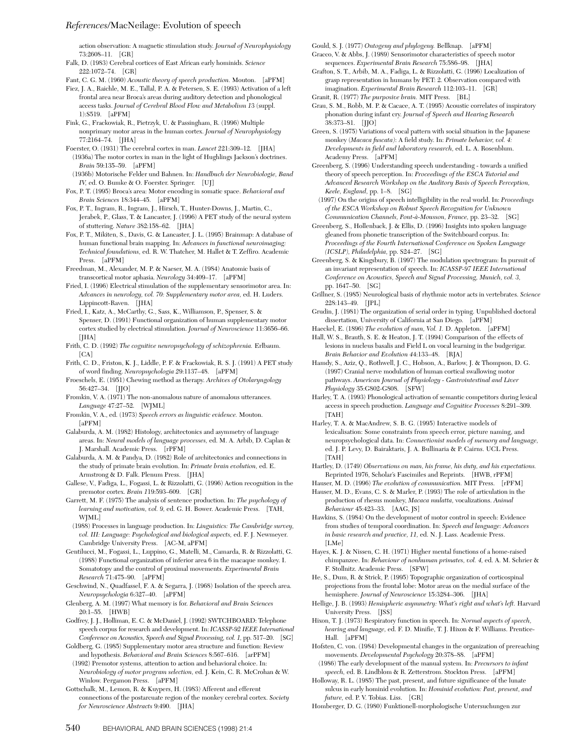#### *References/*MacNeilage: Evolution of speech

action observation: A magnetic stimulation study. *Journal of Neurophysiology* 73:2608–11. [GR]

Falk, D. (1983) Cerebral cortices of East African early hominids. *Science* 222:1072–74. [GR]

Fant, C. G. M. (1960) *Acoustic theory of speech production.* Mouton. [aPFM]

Fiez, J. A., Raichle, M. E., Tallal, P. A. & Petersen, S. E. (1993) Activation of a left frontal area near Broca's areas during auditory detection and phonological access tasks. *Journal of Cerebral Blood Flow and Metabolism 1*3 (suppl. 1):S519. [aPFM]

Fink, G., Frackowiak, R., Pietrzyk, U. & Passingham, R. (1996) Multiple nonprimary motor areas in the human cortex. *Journal of Neurophysiology* 77:2164–74. [JHA]

Foerster, O. (1931) The cerebral cortex in man. *Lancet 2*21:309–12. [JHA] (1936a) The motor cortex in man in the light of Hughlings Jackson's doctrines. *Brain* 59:135–59. [aPFM]

- (1936b) Motorische Felder und Bahnen. In: *Handbuch der Neurobiologie, Band IV,* ed. O. Bumke & O. Foerster. Springer. [UJ]
- Fox, P. T. (1995) Broca's area: Motor encoding in somatic space. *Behavioral and Brain Sciences* 18:344–45. [aPFM]

Fox, P. T., Ingram, R., Ingram, J., Hirsch, T., Hunter-Downs, J., Martin, C., Jerabek, P., Glass, T. & Lancaster, J. (1996) A PET study of the neural system of stuttering. *Nature 3*82:158–62. [JHA]

Fox, P. T., Mikiten, S., Davis, G. & Lancaster, J. L. (1995) Brainmap: A database of human functional brain mapping. In: *Advances in functional neuroimaging: Technical foundations,* ed. R. W. Thatcher, M. Hallet & T. Zeffiro. Academic Press. [aPFM]

Freedman, M., Alexander, M. P. & Naeser, M. A. (1984) Anatomic basis of transcortical motor aphasia. *Neurology* 34:409–17. [aPFM]

Fried, I. (1996) Electrical stimulation of the supplementary sensorimotor area. In: *Advances in neurology, vol. 70: Supplementary motor area,* ed. H. Luders. Lippincott-Raven. [JHA]

Fried, I., Katz, A., McCarthy, G., Sass, K., Williamson, P., Spenser, S. & Spenser, D. (1991) Functional organization of human supplementary motor cortex studied by electrical stimulation. *Journal of Neuroscience* 11:3656–66. [JHA]

- Frith, C. D. (1992) *The cognitive neuropsychology of schizophrenia.* Erlbaum.  $[CA]$
- Frith, C. D., Friston, K. J., Liddle, P. F. & Frackowiak, R. S. J. (1991) A PET study of word finding. *Neuropsychologia 2*9:1137–48. [aPFM]
- Froeschels, E. (1951) Chewing method as therapy. *Archives of Otolaryngology* 56:427–34. [JJO]
- Fromkin, V. A. (1971) The non-anomalous nature of anomalous utterances. *Language* 47:27–52. [WJML]
- Fromkin, V. A., ed. (1973) *Speech errors as linguistic evidence.* Mouton. [aPFM]

Galaburda, A. M. (1982) Histology, architectonics and asymmetry of language areas. In: *Neural models of language processes,* ed. M. A. Arbib, D. Caplan & J. Marshall. Academic Press. [rPFM]

Galaburda, A. M. & Pandya, D. (1982) Role of architectonics and connections in the study of primate brain evolution. In: *Primate brain evolution,* ed. E. Armstrong & D. Falk. Plenum Press. [JHA]

Gallese, V., Fadiga, L., Fogassi, L. & Rizzolatti, G. (1996) Action recognition in the premotor cortex. *Brain 1*19:593–609. [GR]

Garrett, M. F. (1975) The analysis of sentence production. In: *The psychology of learning and motivation, vol. 9,* ed. G. H. Bower. Academic Press. [TAH, WIML]

(1988) Processes in language production. In: *Linguistics: The Cambridge survey, vol. III: Language: Psychological and biological aspects,* ed. F. J. Newmeyer. Cambridge University Press. [AC-M, aPFM]

Gentilucci, M., Fogassi, L., Luppino, G., Matelli, M., Camarda, R. & Rizzolatti, G. (1988) Functional organization of inferior area 6 in the macaque monkey. I. Somatotopy and the control of proximal movements. *Experimental Brain Research* 71:475–90. [aPFM]

Geschwind, N., Quadfassel, F. A. & Segarra, J. (1968) Isolation of the speech area. *Neuropsychologia* 6:327–40. [aPFM]

Glenberg, A. M. (1997) What memory is for. *Behavioral and Brain Sciences* 20:1–55. [HWB]

Godfrey, J. J., Holliman, E. C. & McDaniel, J. (1992) SWTCHBOARD: Telephone speech corpus for research and development. In: *ICASSP-92 IEEE International Conference on Acoustics, Speech and Signal Processing, vol. 1,* pp. 517–20. [SG]

Goldberg, G. (1985) Supplementary motor area structure and function: Review and hypothesis. *Behavioral and Brain Sciences* 8:567–616. [arPFM]

(1992) Premotor systems, attention to action and behavioral choice. In: *Neurobiology of motor program selection,* ed. J. Kein, C. R. McCrohan & W. Winlow. Pergamon Press. [aPFM]

Gottschalk, M., Lemon, R. & Kuypers, H. (1983) Afferent and efferent connections of the postarcuate region of the monkey cerebral cortex. *Society for Neuroscience Abstracts* 9:490. [JHA]

Gould, S. J. (1977) *Ontogeny and phylogeny.* Bellknap. [aPFM] Gracco, V. & Abbs, J. (1989) Sensorimotor characteristics of speech motor sequences. *Experimental Brain Research* 75:586–98. [JHA]

Grafton, S. T., Arbib, M. A., Fadiga, L. & Rizzolatti, G. (1996) Localization of grasp representation in humans by PET: 2. Observation compared with imagination. *Experimental Brain Research* 112:103–11. [GR] Granit, R. (1977) *The purposive brain.* MIT Press. [BL]

Grau, S. M., Robb, M. P. & Cacace, A. T. (1995) Acoustic correlates of inspiratory phonation during infant cry. *Journal of Speech and Hearing Research* 38:373–81. [JJO]

Green, S. (1975) Variations of vocal pattern with social situation in the Japanese monkey (*Macaca fuscata)*: A field study. In: *Primate behavior, vol. 4: Developments in field and laboratory research,* ed. L. A. Rosenblum. Academy Press. [aPFM]

Greenberg, S. (1996) Understanding speech understanding - towards a unified theory of speech perception. In: *Proceedings of the ESCA Tutorial and Advanced Research Workshop on the Auditory Basis of Speech Perception, Keele, England,* pp. 1–8. [SG]

(1997) On the origins of speech intelligibility in the real world. In: *Proceedings of the ESCA Workshop on Robust Speech Recognition for Unknown Communication Channels, Pont-à-Mousson, France,* pp. 23–32. [SG]

Greenberg, S., Hollenback, J. & Ellis, D. (1996) Insights into spoken language gleaned from phonetic transcription of the Switchboard corpus. In: *Proceedings of the Fourth International Conference on Spoken Language (ICSLP), Philadelphia,* pp. S24–27. [SG]

Greenberg, S. & Kingsbury, B. (1997) The modulation spectrogram: In pursuit of an invariant representation of speech. In: *ICASSP-97 IEEE International Conference on Acoustics, Speech and Signal Processing, Munich, vol. 3,* pp. 1647–50. [SG]

- Grillner, S. (1985) Neurological basis of rhythmic motor acts in vertebrates. *Science* 228:143–49. [JPL]
- Grudin, J. (1981) The organization of serial order in typing. Unpublished doctoral dissertation, University of California at San Diego. [aPFM]

Haeckel, E. (1896) *The evolution of man, Vol. 1.* D. Appleton. [aPFM]

Hall, W. S., Brauth, S. E. & Heaton, J. T. (1994) Comparison of the effects of lesions in nucleus basalis and Field L on vocal learning in the budgerigar. *Brain Behavior and Evolution 4*4:133–48. [RJA]

- Hamdy, S., Aziz, Q., Rothwell, J. C., Hobson, A., Barlow, J. & Thompson, D. G. (1997) Cranial nerve modulation of human cortical swallowing motor pathways. *American Journal of Physiology - Gastrointestinal and Liver Physiology* 35:G802-G808. [SFW]
- Harley, T. A. (1993) Phonological activation of semantic competitors during lexical access in speech production. *Language and Cognitive Processes* 8:291–309. [TAH]

Harley, T. A. & MacAndrew, S. B. G. (1995) Interactive models of lexicalisation: Some constraints from speech error, picture naming, and neuropsychological data. In: *Connectionist models of memory and language,* ed. J. P. Levy, D. Bairaktaris, J. A. Bullinaria & P. Cairns. UCL Press. [TAH]

Hartley, D. (1749) *Observations on man, his frame, his duty, and his expectations.* Reprinted 1976, Scholar's Fascimiles and Reprints. [HWB, rPFM]

Hauser, M. D. (1996) *The evolution of communication.* MIT Press. [rPFM] Hauser, M. D., Evans, C. S. & Marler, P. (1993) The role of articulation in the production of rhesus monkey, *Macaca mulatta,* vocalizations. *Animal Behaviour* 45:423–33. [AAG, JS]

Hawkins, S. (1984) On the development of motor control in speech: Evidence from studies of temporal coordination. In: *Speech and language: Advances in basic research and practice, 11,* ed. N. J. Lass. Academic Press. [LMe]

Hayes, K. J. & Nissen, C. H. (1971) Higher mental functions of a home-raised chimpanzee. In: *Behaviour of nonhuman primates, vol. 4,* ed. A. M. Schrier & F. Stollnitz. Academic Press. [SFW]

He, S., Dum, R. & Strick, P. (1995) Topographic organization of corticospinal projections from the frontal lobe: Motor areas on the medial surface of the hemisphere. *Journal of Neuroscience* 15:3284–306. [JHA]

Hellige, J. B. (1993) *Hemispheric asymmetry: What's right and what's left.* Harvard University Press. [JSS]

Hixon, T. J. (1973) Respiratory function in speech. In: *Normal aspects of speech, hearing and language,* ed. F. D. Minifie, T. J. Hixon & F. Williams. Prentice-Hall. [aPFM]

Hofsten, C. von. (1984) Developmental changes in the organization of prereaching movements. *Developmental Psychology* 20:378–88. [aPFM]

(1986) The early development of the manual system. In: *Precursors to infant speech,* ed. B. Lindblom & R. Zetterstrom. Stockton Press. [aPFM]

Holloway, R. L. (1985) The past, present, and future significance of the lunate sulcus in early hominid evolution. In: *Hominid evolution: Past, present, and future,* ed. P. V. Tobias. Liss. [GR]

Homberger, D. G. (1980) Funktionell-morphologische Untersuchungen zur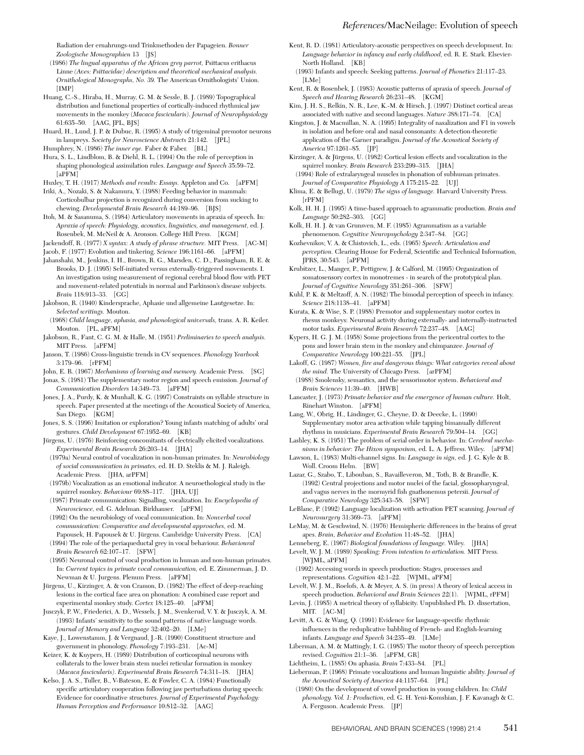Radiation der ernahrungs-und Trinkmethoden der Papageien. *Bonner Zoologische Monographien* 13 [JS]

- (1986) *The lingual apparatus of the African grey parrot,* Psittacus erithacus Linne *(Aves: Psittacidae) description and theoretical mechanical analysis. Ornithological Monographs, No. 39.* The American Ornithologists' Union. [IMP]
- Huang, C.-S., Hiraba, H., Murray, G. M. & Sessle, B. J. (1989) Topographical distribution and functional properties of cortically-induced rhythmical jaw movements in the monkey (*Macaca fascicularis)*. *Journal of Neurophysiology* 61:635–50. [AAG, JPL, BJS]
- Huard, H., Lund, J. P. & Dubuc, R. (1995) A study of trigeminal premotor neurons in lampreys. *Society for Neuroscience Abstracts* 21:142. [JPL]
- Humphrey, N. (1986) *The inner eye.* Faber & Faber. [BL]

Hura, S. L., Lindblom, B. & Diehl, R. L. (1994) On the role of perception in shaping phonological assimilation rules. *Language and Speech 3*5:59–72. [aPFM]

Huxley, T. H. (1917) *Methods and results: Essays.* Appleton and Co. [aPFM]

Iriki, A., Nozaki, S. & Nakamura, Y. (1988) Feeding behavior in mammals: Corticobulbar projection is recognized during conversion from sucking to chewing. *Developmental Brain Research* 44:189–96. [BJS]

- Itoh, M. & Sasanuma, S. (1984) Articulatory movements in apraxia of speech. In: *Apraxia of speech: Physiology, acoustics, linguistics, and management,* ed. J. Rosenbek, M. McNeil & A. Aronson. College Hill Press. [KGM]
- Jackendoff, R. (1977) *X syntax: A study of phrase structure.* MIT Press. [AC-M] Jacob, F. (1977) Evolution and tinkering. *Science* 196:1161–66. [aPFM]
- Jahanshahi, M., Jenkins, I. H., Brown, R. G., Marsden, C. D., Passingham, R. E. & Brooks, D. J. (1995) Self-initiated versus externally-triggered movements. I. An investigation using measurement of regional cerebral blood flow with PET and movement-related potentials in normal and Parkinson's disease subjects. *Brain* 118:913–33. [GG]
- Jakobson, R. (1940) Kindersprache, Aphasie und allgemeine Lautgesetze. In: *Selected writings.* Mouton.
- (1968) *Child language, aphasia, and phonological universals,* trans. A. R. Keiler. Mouton. [PL, aPFM]
- Jakobson, R., Fant, C. G. M. & Halle, M. (1951) *Preliminaries to speech analysis.* MIT Press. [aPFM]
- Janson, T. (1986) Cross-linguistic trends in CV sequences. *Phonology Yearbook* 3:179–96. [rPFM]
- John, E. R. (1967) *Mechanisms of learning and memory.* Academic Press. [SG] Jonas, S. (1981) The supplementary motor region and speech emission. *Journal of Communication Disorders* 14:349–73. [aPFM]
- Jones, J. A., Purdy, K. & Munhall, K. G. (1997) Constraints on syllable structure in speech. Paper presented at the meetings of the Acoustical Society of America, San Diego. [KGM]
- Jones, S. S. (1996) Imitation or exploration? Young infants matching of adults' oral gestures. *Child Development* 67:1952–69. [KB]
- Jürgens, U. (1976) Reinforcing concomitants of electrically elicited vocalizations. *Experimental Brain Research* 26:203–14. [JHA]
- (1979a) Neural control of vocalization in non-human primates. In: *Neurobiology of social communication in primates,* ed. H. D. Steklis & M. J. Raleigh. Academic Press. [JHA, arPFM]
- (1979b) Vocalization as an emotional indicator. A neuroethological study in the squirrel monkey. *Behaviour* 69:88–117. [JHA, UJ]
- (1987) Primate communication: Signalling, vocalization. In: *Encyclopedia of Neuroscience,* ed. G. Adelman. Birkhauser. [aPFM]
- (1992) On the neurobiology of vocal communication. In: *Nonverbal vocal communication: Comparative and developmental approaches,* ed. M. Papousek, H. Papousek & U. Jürgens. Cambridge University Press. [CA]
- (1994) The role of the periaqueductal grey in vocal behaviour. *Behavioural Brain Research* 62:107–17. [SFW]
- (1995) Neuronal control of vocal production in human and non-human primates. In: *Current topics in primate vocal communication,* ed. E. Zimmerman, J. D. Newman & U. Jurgens. Plenum Press. [aPFM]
- Jürgens, U., Kirzinger, A. & von Cramon, D. (1982) The effect of deep-reaching lesions in the cortical face area on phonation: A combined case report and experimental monkey study. *Cortex* 18:125–40. [aPFM]
- Jusczyk, P. W., Friederici, A. D., Wessels, J. M., Svenkerud, V. Y. & Jusczyk, A. M. (1993) Infants' sensitivity to the sound patterns of native language words. *Journal of Memory and Language* 32:402–20. [LMe]
- Kaye, J., Lowenstamm, J. & Vergnaud, J.-R. (1990) Constituent structure and government in phonology. *Phonology* 7:193–231. [Ac-M]
- Keizer, K. & Kuypers, H. (1989) Distribution of corticospinal neurons with collaterals to the lower brain stem nuclei reticular formation in monkey (*Macaca fascicularis)*. *Experimental Brain Research* 74:311–18. [JHA]
- Kelso, J. A. S., Tuller, B., V-Bateson, E. & Fowler, C. A. (1984) Functionally specific articulatory cooperation following jaw perturbations during speech: Evidence for coordinative structures. *Journal of Experimental Psychology: Human Perception and Performance* 10:812–32. [AAG]
- Kent, R. D. (1981) Articulatory-acoustic perspectives on speech development. In: *Language behavior in infancy and early childhood,* ed. R. E. Stark. Elsevier-North Holland. [KB]
- (1993) Infants and speech: Seeking patterns. *Journal of Phonetics* 21:117–23. [LMe]
- Kent, R. & Rosenbek, J. (1983) Acoustic patterns of apraxia of speech. *Journal of Speech and Hearing Research* 26:231–48. [KGM]
- Kim, J. H. S., Relkin, N. R., Lee, K.-M. & Hirsch, J. (1997) Distinct cortical areas associated with native and second languages. *Nature 3*88:171–74. [CA]
- Kingston, J. & Macmillan, N. A. (1995) Integrality of nasalization and F1 in vowels in isolation and before oral and nasal consonants: A detection-theoretic application of the Garner paradigm. *Journal of the Acoustical Society of America* 97:1261–85. [JP]
- Kirzinger, A. & Jürgens, U. (1982) Cortical lesion effects and vocalization in the squirrel monkey. *Brain Research* 233:299–315. [JHA]
- (1994) Role of extralaryngeal muscles in phonation of subhuman primates. *Journal of Comparative Physiology A* 175:215–22. [UJ]
- Klima, E. & Bellugi, U. (1979) *The signs of language.* Harvard University Press. [rPFM]
- Kolk, H. H. J. (1995) A time-based approach to agrammatic production. *Brain and Language* 50:282–303. [GG]
- Kolk, H. H. J. & van Grunsven, M. F. (1985) Agrammatism as a variable phenomenon. *Cognitive Neuropsychology* 2:347–84. [GG]
- Kozhevnikov, V. A. & Chistovich, L., eds. (1965) *Speech: Articulation and perception.* Clearing House for Federal, Scientific and Technical Information, JPRS, 30:543. [aPFM]
- Krubitzer, L., Manger, P., Pettigrew, J. & Calford, M. (1995) Organization of somatosensory cortex in monotremes - in search of the prototypical plan. *Journal of Cognitive Neurology* 351:261–306. [SFW]
- Kuhl, P. K. & Meltzoff, A. N. (1982) The bimodal perception of speech in infancy. *Science* 218:1138–41. [aPFM]
- Kurata, K. & Wise, S. P. (1988) Premotor and supplementary motor cortex in rhesus monkeys: Neuronal activity during externally- and internally-instructed motor tasks. *Experimental Brain Research* 72:237–48. [AAG]
- Kypers, H. G. J. M. (1958) Some projections from the pericentral cortex to the pons and lower brain stem in the monkey and chimpanzee. *Journal of Comparative Neurology* 100:221–55. [JPL]
- Lakoff, G. (1987) *Women, fire and dangerous things: What categories reveal about the mind.* The University of Chicago Press. [arPFM]
- (1988) Smolensky, semantics, and the sensorimotor system. *Behavioral and Brain Sciences* 11:39–40. [HWB]
- Lancaster, J. (1973) *Primate behavior and the emergence of human culture.* Holt, Rinehart Winston. [aPFM]
- Lang, W., Obrig, H., Lindinger, G., Cheyne, D. & Deecke, L. (1990) Supplementary motor area activation while tapping bimanually different rhythms in musicians. *Experimental Brain Research* 79:504–14. [GG]
- Lashley, K. S. (1951) The problem of serial order in behavior. In: *Cerebral mechanisms in behavior: The Hixon symposium,* ed. L. A. Jeffress. Wiley. [aPFM]
- Lawson, L. (1983) Multi-channel signs. In: *Language in sign,* ed. J. G. Kyle & B. Woll. Croom Helm. [BW]
- Lazar, G., Szabo, T., Libouban, S., Ravailleveron, M., Toth, B. & Brandle, K. (1992) Central projections and motor nuclei of the facial, glossopharyngeal, and vagus nerves in the mormyrid fish gnathonemus petersii. *Journal of Comparative Neurology* 325:343–58. [SFW]
- LeBlanc, P. (1992) Language localization with activation PET scanning. *Journal of Neurosurgery* 31:369–73. [aPFM]
- LeMay, M. & Geschwind, N. (1976) Hemispheric differences in the brains of great apes. *Brain, Behavior and Evolution* 11:48–52. [JHA]
- Lenneberg, E. (1967) *Biological foundations of language.* Wiley. [JHA]
- Levelt, W. J. M. (1989) *Speaking: From intention to articulation.* MIT Press. [WJML, aPFM]
- (1992) Accessing words in speech production: Stages, processes and representations. *Cognition* 42:1–22. [WJML, aPFM]
- Levelt, W. J. M., Roelofs, A. & Meyer, A. S. (in press) A theory of lexical access in speech production. *Behavioral and Brain Sciences 2*2(1). [WJML, rPFM]
- Levin, J. (1985) A metrical theory of syllabicity. Unpublished Ph. D. dissertation, MIT. [AC-M]
- Levitt, A. G. & Wang, Q. (1991) Evidence for language-specific rhythmic influences in the reduplicative babbling of French- and English-learning infants. *Language and Speech* 34:235–49. [LMe]
- Liberman, A. M. & Mattingly, I. G. (1985) The motor theory of speech perception revised. *Cognition* 21:1–36. [aPFM, GR]
- Lichtheim, L. (1885) On aphasia. *Brain* 7:433–84. [PL]
- Lieberman, P. (1968) Primate vocalizations and human linguistic ability. *Journal of the Acoustical Society of America 4*4:1157–64. [PL]
- (1980) On the development of vowel production in young children. In: *Child phonology. Vol. 1: Production,* ed. G. H. Yeni-Komshian, J. F. Kavanagh & C. A. Ferguson. Academic Press. [JP]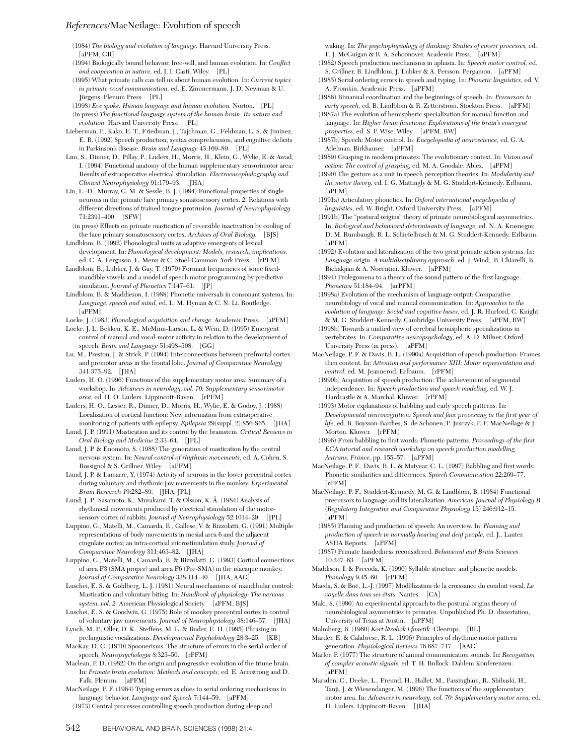#### *References/*MacNeilage: Evolution of speech

- (1984) *The biology and evolution of language.* Harvard University Press. [aPFM, GR]
- (1994) Biologically bound behavior, free-will, and human evolution. In: *Conflict and cooperation in nature,* ed. J. I. Casti. Wiley. [PL]
- (1995) What primate calls can tell us about human evolution. In: *Current topics in primate vocal communication,* ed. E. Zimmermann, J. D. Newman & U. Jürgens. Plenum Press. [PL]
- (1998) *Eve spoke: Human language and human evolution.* Norton. [PL] (in press) *The functional language system of the human brain: Its nature and evolution.* Harvard University Press. [PL]
- Lieberman, P., Kako, E. T., Friedman, J., Tajchman, G., Feldman, L. S. & Jiminez, E. B. (1992) Speech production, syntax comprehension, and cognitive deficits in Parkinson's disease. *Brain and Language* 43:169–89. [PL]
- Lim, S., Dinner, D., Pillay, P., Luders, H., Morris, H., Klein, G., Wylie, E. & Awad, I. (1994) Functional anatomy of the human supplementary sensorimotor area: Results of extraoperative electrical stimulation. *Electroencephalography and Clinical Neurophysiology* 91:179–93. [JHA]
- Lin, L.-D., Murray, G. M. & Sessle, B. J. (1994) Functional-properties of single neurons in the primate face primary somatosensory cortex. 2. Relations with different directions of trained tongue protrusion. *Journal of Neurophysiology* 71:2391–400. [SFW]
- (in press) Effects on primate mastication of reversible inactivation by cooling of the face primary somatosensory cortex. *Archives of Oral Biology.* [BJS]
- Lindblom, B. (1992) Phonological units as adaptive emergents of lexical development. In: *Phonological development: Models, research, implications,* ed. C. A. Ferguson, L. Menn & C. Stoel-Gammon. York Press. [rPFM]
- Lindblom, B., Lubker, J. & Gay, T. (1979) Formant frequencies of some fixedmandible vowels and a model of speech motor programming by predictive simulation. *Journal of Phonetics* 7:147–61. [JP]
- Lindblom, B. & Maddieson, I. (1988) Phonetic universals in consonant systems. In: *Language, speech and mind,* ed. L. M. Hyman & C. N. Li. Routledge. [aPFM]

Locke, J. (1983) *Phonological acquisition and change.* Academic Press. [aPFM]

Locke, J. L, Bekken, K. E., McMinn-Larson, L. & Wein, D. (1995) Emergent control of manual and vocal-motor activity in relation to the development of speech. *Brain and Language* 51:498–508. [GG]

Lu, M., Preston, J. & Strick, P. (1994) Interconnections between prefrontal cortex and premotor areas in the frontal lobe. *Journal of Comparative Neurology 3*41:375–92. [JHA]

Luders, H. O. (1996) Functions of the supplementary motor area: Summary of a workshop. In: *Advances in neurology, vol. 70: Supplementary sensorimotor area,* ed. H. O. Luders. Lippincott-Raven. [rPFM]

Luders, H. O., Lesser, R., Dinner, D., Morris, H., Wylie, E. & Godoy, J. (1988) Localization of cortical function: New information from extraoperative monitoring of patients with epilepsy. *Epilepsia* 29(suppl. 2):S56-S65. [JHA]

Lund, J. P. (1991) Mastication and its control by the brainstem. *Critical Reviews in Oral Biology and Medicine* 2:33–64. [JPL]

Lund, J. P. & Enomoto, S. (1988) The generation of mastication by the central nervous system. In: *Neural control of rhythmic movements,* ed. A. Cohen, S. Rossignol & S. Grillner. Wiley. [aPFM]

Lund, J. P. & Lamarre, Y. (1974) Activity of neurons in the lower precentral cortex during voluntary and rhythmic jaw movements in the monkey. *Experimental Brain Research 1*9:282–89. [JHA, JPL]

Lund, J. P., Sasamoto, K., Murakami, T. & Olsson, K. Å. (1984) Analysis of rhythmical movements produced by electrical stimulation of the motorsensory cortex of rabbits. *Journal of Neurophysiology* 52:1014–29. [JPL]

Luppino, G., Matelli, M., Camarda, R., Gallese, V. & Rizzolatti, G. (1991) Multiple representations of body movements in mesial area 6 and the adjacent cingulate cortex; an intra-cortical microstimulation study. *Journal of Comparative Neurology* 311:463–82. [JHA]

Luppino, G., Matelli, M., Camarda, R. & Rizzolatti, G. (1993) Cortical connections of area F3 (SMA proper) and area F6 (Pre-SMA) in the macaque monkey. *Journal of Comparative Neurology* 338:114–40. [JHA, AAG]

Luschei, E. S. & Goldberg, L. J. (1981) Neural mechanisms of mandibular control: Mastication and voluntary biting. In: *Handbook of physiology: The nervous system, vol. 2.* American Physiological Society. [aPFM, BJS]

Luschei, E. S. & Goodwin, G. (1975) Role of monkey precentral cortex in control of voluntary jaw movements. *Journal of Neurophysiology* 38:146–57. [JHA]

Lynch, M. P., Oller, D. K., Steffens, M. L. & Buder, E. H. (1995) Phrasing in prelinguistic vocalizations. *Developmental Psychobiology* 28:3–25. [KB]

MacKay, D. G. (1970) Spoonerisms: The structure of errors in the serial order of speech. *Neuropsychologia 8*:323–50. [rPFM]

Maclean, P. D. (1982) On the origin and progressive evolution of the triune brain. In: *Primate brain evolution: Methods and concepts,* ed. E. Armstrong and D. Falk. Plenum. [aPFM]

MacNeilage, P. F. (1964) Typing errors as clues to serial ordering mechanisms in language behavior. *Language and Speech* 7:144–59. [aPFM]

(1973) Central processes controlling speech production during sleep and

- (1982) Speech production mechanisms in aphasia. In: *Speech motor control,* ed. S. Grillner, B. Lindblom, J. Lubker & A. Persson. Pergamon. [aPFM]
- (1985) Serial ordering errors in speech and typing. In: *Phonetic linguistics,* ed. V. A. Fromkin. Academic Press. [aPFM]
- (1986) Bimanual coordination and the beginnings of speech. In: *Precursors to early speech,* ed. B. Lindblom & R. Zetterstrom. Stockton Press. [aPFM]

(1987a) The evolution of hemispheric specialization for manual function and language. In: *Higher brain functions: Explorations of the brain's emergent properties,* ed. S. P. Wise. Wiley. [aPFM, BW]

- (1987b) Speech: Motor control. In: *Encyclopedia of neuroscience,* ed. G. A. Adelman. Birkhauser. [aPFM]
- (1989) Grasping in modern primates: The evolutionary context. In: *Vision and action: The control of grasping,* ed. M. A. Goodale. Ablex. [aPFM]
- (1990) The gesture as a unit in speech perception theories. In: *Modularity and the motor theory,* ed. I. G. Mattingly & M. G. Studdert-Kennedy. Erlbaum. [aPFM]
- (1991a) Articulatory phonetics. In: *Oxford international encyclopedia of linguistics,* ed. W. Bright. Oxford University Press. [aPFM]
- (1991b) The "postural origins" theory of primate neurobiological asymmetries. In: *Biological and behavioral determinants of language,* ed. N. A. Krasnegor, D. M. Rumbaugh, R. L. Schiefelbusch & M. G. Studdert-Kennedy. Erlbaum. [aPFM]
- (1992) Evolution and lateralization of the two great primate action systems. In: *Language origin: A multidisciplinary approach,* ed. J. Wind, .B. Chiarelli, B. Bichakjian & A. Nocentini. Kluwer. [aPFM]
- (1994) Prolegomena to a theory of the sound pattern of the first language. *Phonetica* 51:184–94. [arPFM]

(1998a) Evolution of the mechanism of language output: Comparative neurobiology of vocal and manual communication. In: *Approaches to the evolution of language: Social and cognitive bases,* ed. J. R. Hurford, C. Knight & M. G. Studdert-Kennedy. Cambridge University Press. [aPFM, BW]

- (1998b) Towards a unified view of cerebral hemispheric specializations in vertebrates. In: *Comparative neuropsychology,* ed. A. D. Milner. Oxford University Press (in press). [aPFM]
- MacNeilage, P. F. & Davis, B. L. (1990a) Acquisition of speech production: Frames then content. In: *Attention and performance XIII: Motor representation and control,* ed. M. Jeannerod. Erlbaum. [rPFM]
- (1990b) Acquisition of speech production: The achievement of segmental independence. In: *Speech production and speech modeling,* ed. W. J. Hardcastle & A. Marchal. Kluwer. [rPFM]
- (1993) Motor explanations of babbling and early speech patterns. In: *Developmental neurocognition: Speech and face processing in the first year of life,* ed. B. Boysson-Bardies, S. de Schonen, P. Jusczyk, P. F. MacNeilage & J. Morton. Kluwer. [rPFM]
- (1996) From babbling to first words: Phonetic patterns. *Proceedings of the first ECA tutorial and research workshop on speech production modelling. Autrans, France,* pp. 155–57. [aPFM]

MacNeilage, P. F., Davis, B. L. & Matyear, C. L. (1997) Babbling and first words: Phonetic similarities and differences. *Speech Communication* 22:269–77. [rPFM]

MacNeilage, P. F., Studdert-Kennedy, M. G. & Lindblom, B. (1984) Functional precursors to language and its lateralization. *American Journal of Physiology R* (*Regulatory Integrative and Comparative Physiology* 15) 246:912–15. [aPFM]

- (1985) Planning and production of speech: An overview. In: *Planning and production of speech in normally hearing and deaf people,* ed. J.. Lauter. ASHA Reports. [aPFM]
- (1987) Primate handedness reconsidered. *Behavioral and Brain Sciences* 10:247–63. [aPFM]
- Maddison, I. & Precoda, K. (1990) Syllable structure and phonetic models. *Phonology* 9:45–60. [rPFM]
- Maeda, S. & Boë, L.-J. (1997) Modèlization de la croissance du conduit vocal. *La voyelle dans tous ses états.* Nantes. [CA]
- Maki, S. (1990) An experimental approach to the postural origins theory of neurobiological asymmetries in primates. Unpublished Ph. D. dissertation, University of Texas at Austin. [aPFM]
- Malmberg, B. (1960) *Kort lärobok i fonetik.* Gleerups. [BL]
- Marder, E. & Calabrese, R. L. (1996) Principles of rhythmic motor pattern generation. *Physiological Reviews* 76:687–717. [AAG]
- Marler, P. (1977) The structure of animal communication sounds. In: *Recognition of complex acoustic signals,* ed. T. H. Bullock. Dahlem Konferenzen. [aPFM]

Marsden, C., Deeke, L., Freund, H., Hallet, M., Passingham, R., Shibaski, H., Tanji, J. & Wiesendanger, M. (1996) The functions of the supplementary motor area. In: *Advances in neurology, vol. 70: Supplementary motor area,* ed. H. Luders. Lippincott-Raven. [JHA]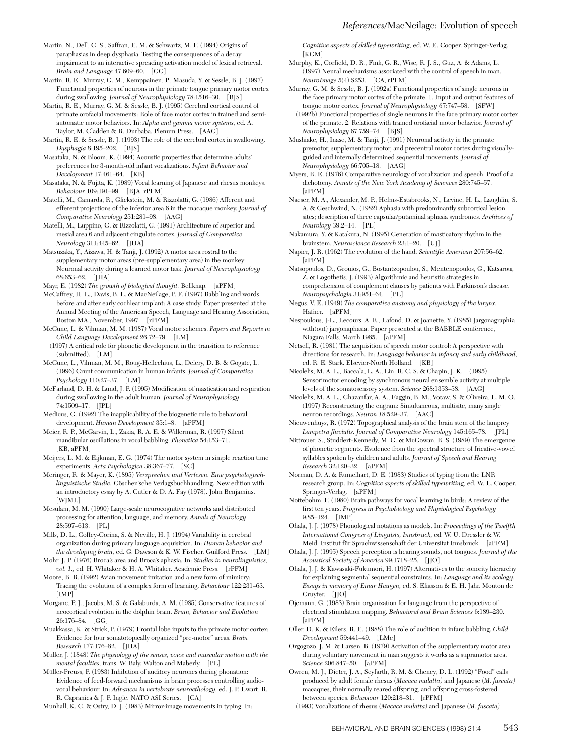Martin, N., Dell, G. S., Saffran, E. M. & Schwartz, M. F. (1994) Origins of paraphasias in deep dysphasia: Testing the consequences of a decay impairment to an interactive spreading activation model of lexical retrieval. *Brain and Language* 47:609–60. [GG]

Martin, R. E., Murray, G. M., Kemppainen, P., Masuda, Y. & Sessle, B. J. (1997) Functional properties of neurons in the primate tongue primary motor cortex during swallowing. *Journal of Neurophysiology* 78:1516–30. [BJS]

Martin, R. E., Murray, G. M. & Sessle, B. J. (1995) Cerebral cortical control of primate orofacial movements: Role of face motor cortex in trained and semiautomatic motor behaviors. In: *Alpha and gamma motor systems,* ed. A. Taylor, M. Gladden & R. Durbaba. Plenum Press. [AAG]

Martin, R. E. & Sessle, B. J. (1993) The role of the cerebral cortex in swallowing. *Dysphagia* 8:195–202. [BJS]

Masataka, N. & Bloom, K. (1994) Acoustic properties that determine adults' preferences for 3-month-old infant vocalizations. *Infant Behavior and Development* 17:461–64. [KB]

Masataka, N. & Fujita, K. (1989) Vocal learning of Japanese and rhesus monkeys. *Behaviour* 109:191–99. [RJA, rPFM]

Matelli, M., Camarda, R., Glickstein, M. & Rizzolatti, G. (1986) Afferent and efferent projections of the inferior area 6 in the macaque monkey. *Journal of Comparative Neurology* 251:281–98. [AAG]

Matelli, M., Luppino, G. & Rizzolatti, G. (1991) Architecture of superior and mesial area 6 and adjacent cingulate cortex. *Journal of Comparative Neurology* 311:445–62. [JHA]

Matsuzaka, Y., Aizawa, H. & Tanji, J. (1992) A motor area rostral to the supplementary motor areas (pre-supplementary area) in the monkey: Neuronal activity during a learned motor task. *Journal of Neurophysiology* 68:653–62. [JHA]

Mayr, E. (1982) *The growth of biological thought.* Bellknap. [aPFM]

McCaffrey, H. L., Davis, B. L. & MacNeilage, P. F. (1997) Babbling and words before and after early cochlear implant: A case study. Paper presented at the Annual Meeting of the American Speech, Language and Hearing Association, Boston MA., November, 1997. [rPFM]

McCune, L. & Vihman, M. M. (1987) Vocal motor schemes. *Papers and Reports in Child Language Development* 26:72–79. [LM] (1997) A critical role for phonetic development in the transition to reference (submitted). [LM]

McCune, L., Vihman, M. M., Roug-Hellechius, L., Delery, D. B. & Gogate, L. (1996) Grunt communication in human infants. *Journal of Comparative Psychology* 110:27–37. [LM]

McFarland, D. H. & Lund, J. P. (1995) Modification of mastication and respiration during swallowing in the adult human. *Journal of Neurophysiology* 74:1509–17. [JPL]

Medicus, G. (1992) The inapplicability of the biogenetic rule to behavioral development. *Human Development* 35:1–8. [aPFM]

Meier, R. P., McGarvin, L., Zakia, R. A. E. & Willerman, R. (1997) Silent mandibular oscillations in vocal babbling. *Phonetica* 54:153–71. [KB, aPFM]

Meijers, L. M. & Eijkman, E. G. (1974) The motor system in simple reaction time experiments. *Acta Psychologica* 38:367–77. [SG]

Meringer, R. & Mayer, K. (1895) *Versprechen und Verlesen. Eine psychologischlinguistische Studie.* Göschen'sche Verlagsbuchhandlung. New edition with an introductory essay by A. Cutler & D. A. Fay (1978). John Benjamins. [WJML]

Mesulam, M. M. (1990) Large-scale neurocognitive networks and distributed processing for attention, language, and memory. *Annals of Neurology* 28:597–613. [PL]

Mills, D. L., Coffey-Corina, S. & Neville, H. J. (1994) Variability in cerebral organization during primary language acquisition. In: *Human behavior and the developing brain,* ed. G. Dawson & K. W. Fischer. Guilford Press. [LM]

Mohr, J. P. (1976) Broca's area and Broca's aphasia. In: *Studies in neurolinguistics, vol. 1.,* ed. H. Whitaker & H. A. Whitaker. Academic Press. [rPFM]

Moore, B. R. (1992) Avian movement imitation and a new form of mimicry: Tracing the evolution of a complex form of learning. *Behaviour* 122:231–63. [IMP]

Morgane, P. J., Jacobs, M. S. & Galaburda, A. M. (1985) Conservative features of neocortical evolution in the dolphin brain. *Brain, Behavior and Evolution* 26:176–84. [GG]

Muakkassa, K. & Strick, P. (1979) Frontal lobe inputs to the primate motor cortex: Evidence for four somatotopically organized "pre-motor" areas. *Brain Research* 177:176–82. [JHA]

Muller, J. (1848) *The physiology of the senses, voice and muscular motion with the mental faculties,* trans. W. Baly. Walton and Maberly. [PL]

Müller-Preuss, P. (1983) Inhibition of auditory neurones during phonation: Evidence of feed-forward mechanisms in brain processes controlling audiovocal behaviour. In: *Advances in vertebrate neuroethology,* ed. J. P. Ewart, R. R. Capranica & J. P. Ingle. NATO ASI Series. [CA]

Munhall, K. G. & Ostry, D. J. (1983) Mirror-image movements in typing. In:

*Cognitive aspects of skilled typewriting,* ed. W. E. Cooper. Springer-Verlag. [KGM]

Murphy, K., Corfield, D. R., Fink, G. R., Wise, R. J. S., Guz, A. & Adams, L. (1997) Neural mechanisms associated with the control of speech in man. *NeuroImage* 5(4):S253. [CA, rPFM]

Murray, G. M. & Sessle, B. J. (1992a) Functional properties of single neurons in the face primary motor cortex of the primate. 1. Input and output features of tongue motor cortex. *Journal of Neurophysiology 6*7:747–58. [SFW]

(1992b) Functional properties of single neurons in the face primary motor cortex of the primate. 2. Relations with trained orofacial motor behavior. *Journal of Neurophysiology* 67:759–74. [BJS]

Mushiake, H., Inase, M. & Tanji, J. (1991) Neuronal activity in the primate premotor, supplementary motor, and precentral motor cortex during visuallyguided and internally determined sequential movements. *Journal of Neurophysiology* 66:705–18. [AAG]

Myers, R. E. (1976) Comparative neurology of vocalization and speech: Proof of a dichotomy. *Annals of the New York Academy of Sciences* 280:745–57. [aPFM]

Naeser, M. A., Alexander, M. P., Helms-Estabrooks, N., Levine, H. L., Laughlin, S. A. & Geschwind, N. (1982) Aphasia with predominantly subcortical lesion sites; description of three capsular/putaminal aphasia syndromes. *Archives of Neurology* 39:2–14. [PL]

Nakamura, Y. & Katakura, N. (1995) Generation of masticatory rhythm in the brainstem. *Neuroscience Research 2*3:1–20. [UJ]

Napier, J. R. (1962) The evolution of the hand. *Scientific American* 207:56–62. [aPFM]

Natsopoulos, D., Grouios, G., Bostantzopoulou, S., Mentenopoulos, G., Katsarou, Z. & Logothetis, J. (1993) Algorithmic and heuristic strategies in comprehension of complement clauses by patients with Parkinson's disease. *Neuropsychologia* 31:951–64. [PL]

Negus, V. E. (1949) *The comparative anatomy and physiology of the larynx.* Hafner. [aPFM]

Nespoulous, J-L., Lecours, A. R., Lafond, D. & Joanette, Y. (1985) Jargonagraphia with(out) jargonaphasia. Paper presented at the BABBLE conference, Niagara Falls, March 1985. [aPFM]

Netsell, R. (1981) The acquisition of speech motor control: A perspective with directions for research. In: *Language behavior in infancy and early childhood,* ed. R. E. Stark. Elsevier-North Holland. [KB]

Nicolelis, M. A. L., Baccala, L. A., Lin, R. C. S. & Chapin, J. K. (1995) Sensorimotor encoding by synchronous neural ensemble activity at multiple levels of the somatosensory system. *Science* 268:1353–58. [AAG]

Nicolelis, M. A. L., Ghazanfar, A. A., Faggin, B. M., Votaw, S. & Oliveira, L. M. O. (1997) Reconstructing the engram: Simultaneous, multisite, many single neuron recordings. *Neuron 1*8:529–37. [AAG]

Nieuwenhuys, R. (1972) Topographical analysis of the brain stem of the lamprey *Lampetra fluviulis. Journal of Comparative Neurology* 145:165–78. [JPL]

Nittrouer, S., Studdert-Kennedy, M. G. & McGowan, R. S. (1989) The emergence of phonetic segments. Evidence from the spectral structure of fricative-vowel syllables spoken by children and adults. *Journal of Speech and Hearing Research* 32:120–32. [aPFM]

Norman, D. A. & Rumelhart, D. E. (1983) Studies of typing from the LNR research group. In: *Cognitive aspects of skilled typewriting,* ed. W. E. Cooper. Springer-Verlag. [aPFM]

Nottebohm, F. (1980) Brain pathways for vocal learning in birds: A review of the first ten years. *Progress in Psychobiology and Physiological Psychology* 9:85–124. [IMP]

Ohala, J. J. (1978) Phonological notations as models. In: *Proceedings of the Twelfth International Congress of Linguists, Innsbruck,* ed. W. U. Dressler & W. Meid. Institut für Sprachwissenschaft der Universitat Innsbruck. [aPFM]

Ohala, J. J. (1995) Speech perception is hearing sounds, not tongues. *Journal of the Acoustical Society of America* 99:1718–25. [JJO]

Ohala, J. J. & Kawasaki-Fukumori, H. (1997) Alternatives to the sonority hierarchy for explaining segmental sequential constraints. In: *Language and its ecology: Essays in memory of Einar Haugen,* ed. S. Eliasson & E. H. Jahr. Mouton de Gruyter. [JJO]

Ojemann, G. (1983) Brain organization for language from the perspective of electrical stimulation mapping. *Behavioral and Brain Sciences* 6:189–230. [aPFM]

Oller, D. K. & Eilers, R. E. (1988) The role of audition in infant babbling. *Child Development* 59:441–49. [LMe]

Orgogozo, J. M. & Larsen, B. (1979) Activation of the supplementary motor area during voluntary movement in man suggests it works as a supramotor area. *Science* 206:847–50. [aPFM]

Owren, M. J., Dieter, J. A., Seyfarth, R. M. & Cheney, D. L. (1992) "Food" calls produced by adult female rhesus (*Macaca mulatta)* and Japanese (*M. fuscata)* macaques, their normally reared offspring, and offspring cross-fostered between species. *Behaviour* 120:218–31. [rPFM]

(1993) Vocalizations of rhesus (*Macaca mulatta)* and Japanese (*M. fuscata)*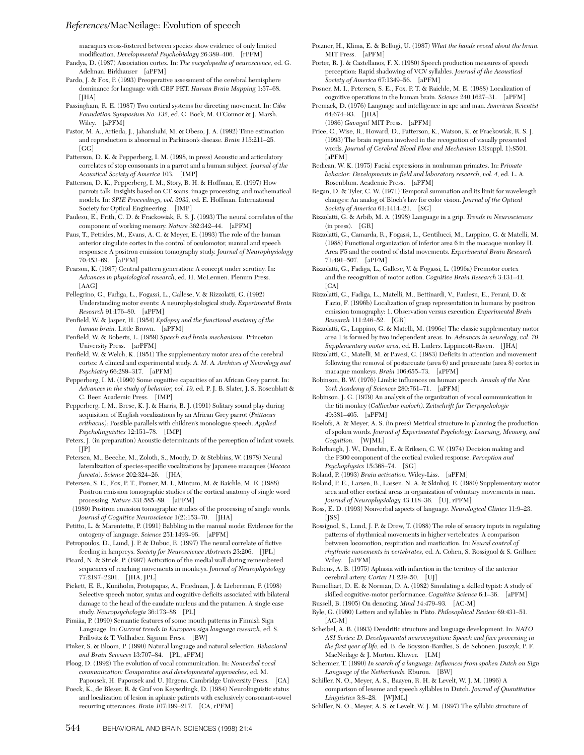#### *References/*MacNeilage: Evolution of speech

macaques cross-fostered between species show evidence of only limited modification. *Developmental Psychobiology 2*6:389–406. [rPFM]

Pandya, D. (1987) Association cortex. In: *The encyclopedia of neuroscience,* ed. G. Adelman. Birkhauser [aPFM]

Pardo, J. & Fox, P. (1993) Preoperative assessment of the cerebral hemisphere dominance for language with CBF PET. *Human Brain Mapping* 1:57–68. [JHA]

Passingham, R. E. (1987) Two cortical systems for directing movement. In: *Ciba Foundation Symposium No. 132,* ed. G. Bock, M. O'Connor & J. Marsh. Wiley. [aPFM]

Pastor, M. A., Artieda, J., Jahanshahi, M. & Obeso, J. A. (1992) Time estimation and reproduction is abnormal in Parkinson's disease. *Brain 1*15:211–25. [GG]

Patterson, D. K. & Pepperberg, I. M. (1998, in press) Acoustic and articulatory correlates of stop consonants in a parrot and a human subject. *Journal of the Acoustical Society of America* 103. [IMP]

Patterson, D. K., Pepperberg, I. M., Story, B. H. & Hoffman, E. (1997) How parrots talk: Insights based on CT scans, image processing, and mathematical models. In: *SPIE Proceedings, vol. 3033,* ed. E. Hoffman. International Society for Optical Engineering. [IMP]

Paulesu, E., Frith, C. D. & Frackowiak, R. S. J. (1993) The neural correlates of the component of working memory. *Nature* 362:342–44. [aPFM]

Paus, T., Petrides, M., Evans, A. C. & Meyer, E. (1993) The role of the human anterior cingulate cortex in the control of oculomotor, manual and speech responses: A positron emission tomography study. *Journal of Neurophysiology* 70:453–69. [aPFM]

Pearson, K. (1987) Central pattern generation: A concept under scrutiny. In: *Advances in physiological research,* ed. H. McLennen. Plenum Press. [AAG]

Pellegrino, G., Fadiga, L., Fogassi, L., Gallese, V. & Rizzolatti, G. (1992) Understanding motor events: A neurophysiological study. *Experimental Brain Research* 91:176–80. [aPFM]

Penfield, W. & Jasper, H. (1954) *Epilepsy and the functional anatomy of the human brain.* Little Brown. [aPFM]

Penfield, W. & Roberts, L. (1959) *Speech and brain mechanisms.* Princeton University Press. [arPFM]

Penfield, W. & Welch, K. (1951) The supplementary motor area of the cerebral cortex: A clinical and experimental study. *A. M. A. Archives of Neurology and Psychiatry* 66:289–317. [aPFM]

Pepperberg, I. M. (1990) Some cognitive capacities of an African Grey parrot. In: *Advances in the study of behavior, vol. 19,* ed. P. J. B. Slater, J. S. Rosenblatt & C. Beer. Academic Press. [IMP]

Pepperberg, I, M., Brese, K. J. & Harris, B. J. (1991) Solitary sound play during acquisition of English vocalizations by an African Grey parrot (*Psittacus erithacus)*: Possible parallels with children's monologue speech. *Applied Psycholinguistics* 12:151–78. [IMP]

Peters, J. (in preparation) Acoustic determinants of the perception of infant vowels.  $[IP]$ 

Petersen, M., Beeche, M., Zoloth, S., Moody, D. & Stebbins, W. (1978) Neural lateralization of species-specific vocalizations by Japanese macaques (*Macaca fuscata)*. *Science* 202:324–26. [JHA]

Petersen, S. E., Fox, P. T., Posner, M. I., Mintum, M. & Raichle, M. E. (1988) Positron emission tomographic studies of the cortical anatomy of single word processing. *Nature* 331:585–89. [aPFM]

(1989) Positron emission tomographic studies of the processing of single words. *Journal of Cognitive Neuroscience* 1(2):153–70. [JHA]

Petitto, L. & Marentette, P. (1991) Babbling in the manual mode: Evidence for the ontogeny of language. *Science* 251:1493–96. [aPFM]

Petropoulos, D., Lund, J. P. & Dubuc, R. (1997) The neural correlate of fictive feeding in lampreys. *Society for Neuroscience Abstracts 2*3:206. [JPL]

Picard, N. & Strick, P. (1997) Activation of the medial wall during remembered sequences of reaching movements in monkeys. *Journal of Neurophysiology* 77:2197–2201. [JHA, JPL]

Pickett, E. R., Kuniholm, Protopapas, A., Friedman, J. & Lieberman, P. (1998) Selective speech motor, syntax and cognitive deficits associated with bilateral damage to the head of the caudate nucleus and the putamen. A single case study. *Neuropsychologia* 36:173–88 [PL]

Pimiäa, P. (1990) Semantic features of some mouth patterns in Finnish Sign Language. In: *Current trends in European sign language research,* ed. S. Prillwitz & T. Vollhaber. Signum Press. [BW]

Pinker, S. & Bloom, P. (1990) Natural language and natural selection. *Behavioral and Brain Sciences* 13:707–84. [PL, aPFM]

Ploog, D. (1992) The evolution of vocal communication. In: *Nonverbal vocal communication: Comparative and developmental approaches,* ed. M. Papousek, H. Papousek and U. Jürgens. Cambridge University Press. [CA]

Poeck, K., de Bleser, R. & Graf von Keyserlingk, D. (1984) Neurolinguistic status and localization of lesion in aphasic patients with exclusively consonant-vowel recurring utterances. *Brain 1*07:199–217. [CA, rPFM]

Poizner, H., Klima, E. & Bellugi, U. (1987) *What the hands reveal about the brain.* MIT Press. [aPFM]

Porter, R. J. & Castellanos, F. X. (1980) Speech production measures of speech perception: Rapid shadowing of VCV syllables. *Journal of the Acoustical Society of America* 67:1349–56. [aPFM]

Posner, M. I., Petersen, S. E., Fox, P. T. & Raichle, M. E. (1988) Localization of cognitive operations in the human brain. *Science* 240:1627–31. [aPFM]

Premack, D. (1976) Language and intelligence in ape and man. *American Scientist* 64:674–93. [JHA]

(1986) *Gavagai!* MIT Press. [aPFM]

Price, C., Wise, R., Howard, D., Patterson, K., Watson, K. & Frackowiak, R. S. J. (1993) The brain regions involved in the recognition of visually presented words. *Journal of Cerebral Blood Flow and Mechanism* 13(suppl. 1):S501. [aPFM]

Redican, W. K. (1975) Facial expressions in nonhuman primates. In: *Primate behavior: Developments in field and laboratory research, vol. 4,* ed. L. A. Rosenblum. Academic Press. [aPFM]

Regan, D. & Tyler, C. W. (1971) Temporal summation and its limit for wavelength changes: An analog of Bloch's law for color vision. *Journal of the Optical Society of America* 61:1414–21. [SG]

Rizzolatti, G. & Arbib, M. A. (1998) Language in a grip. *Trends in Neurosciences* (in press). [GR]

Rizzolatti, G., Camarda, R., Fogassi, L., Gentilucci, M., Luppino, G. & Matelli, M. (1988) Functional organization of inferior area 6 in the macaque monkey II. Area F5 and the control of distal movements. *Experimental Brain Research* 71:491–507. [aPFM]

Rizzolatti, G., Fadiga, L., Gallese, V. & Fogassi, L. (1996a) Premotor cortex and the recognition of motor action. *Cognitive Brain Research* 3:131–41.  $[CA]$ 

Rizzolatti, G., Fadiga, L., Matelli, M., Bettinardi, V., Paulesu, E., Perani, D. & Fazio, F. (1996b) Localization of grasp representation in humans by positron emission tomography: 1. Observation versus execution. *Experimental Brain Research* 111:246–52. [GR]

Rizzolatti, G., Luppino, G. & Matelli, M. (1996c) The classic supplementary motor area 1 is formed by two independent areas. In: *Advances in neurology, vol. 70: Supplementary motor area,* ed. H. Luders. Lippincott-Raven. [JHA]

Rizzolatti, G., Matelli, M. & Pavesi, G. (1983) Deficits in attention and movement following the removal of postarcuate (area 6) and prearcuate (area 8) cortex in macaque monkeys. *Brain* 106:655–73. [aPFM]

Robinson, B. W. (1976) Limbic influences on human speech. *Annals of the New York Academy of Sciences* 280:761–71. [aPFM]

Robinson, J. G. (1979) An analysis of the organization of vocal communication in the titi monkey (*Callicebus moloch)*. *Zeitschrift fur Tierpsychologie* 49:381–405. [aPFM]

Roelofs, A. & Meyer, A. S. (in press) Metrical structure in planning the production of spoken words. *Journal of Experimental Psychology: Learning, Memory, and Cognition.* [WJML]

Rohrbaugh, J. W., Donchin, E. & Eriksen, C. W. (1974) Decision making and the P300 component of the cortical evoked response. *Perception and Psychophysics* 15:368–74. [SG]

Roland, P. (1993) *Brain activation.* Wiley-Liss. [aPFM]

Roland, P. E., Larsen, B., Lassen, N. A. & Skinhoj, E. (1980) Supplementary motor area and other cortical areas in organization of voluntary movements in man. *Journal of Neurophysiology* 43:118–36. [UJ, rPFM]

Ross, E. D. (1993) Nonverbal aspects of language. *Neurological Clinics* 11:9–23. [JSS]

Rossignol, S., Lund, J. P. & Drew, T. (1988) The role of sensory inputs in regulating patterns of rhythmical movements in higher vertebrates: A comparison between locomotion, respiration and mastication. In: *Neural control of rhythmic movements in vertebrates,* ed. A. Cohen, S. Rossignol & S. Grillner. Wiley. [aPFM]

Rubens, A. B. (1975) Aphasia with infarction in the territory of the anterior cerebral artery. *Cortex 1*1:239–50. [UJ]

Rumelhart, D. E. & Norman, D. A. (1982) Simulating a skilled typist: A study of skilled cognitive-motor performance. *Cognitive Science* 6:1–36. [aPFM] Russell, B. (1905) On denoting. *Mind 1*4:479–93. [AC-M]

Ryle, G. (1960) Letters and syllables in Plato. *Philosophical Review* 69:431–51. [AC-M]

Scheibel, A. B. (1993) Dendritic structure and language development. In: *NATO ASI Series: D. Developmental neurocognition: Speech and face processing in the first year of life,* ed. B. de Boysson-Bardies, S. de Schonen, Jusczyk, P. F. MacNeilage & J. Morton. Kluwer. [LM]

Schermer, T. (1990) *In search of a language: Influences from spoken Dutch on Sign Language of the Netherlands.* Eburon. [BW]

Schiller, N. O., Meyer, A. S., Baayen, R. H. & Levelt, W. J. M. (1996) A comparison of lexeme and speech syllables in Dutch. *Journal of Quantitative Linguistics* 3:8–28. [WJML]

Schiller, N. O., Meyer, A. S. & Levelt, W. J. M. (1997) The syllabic structure of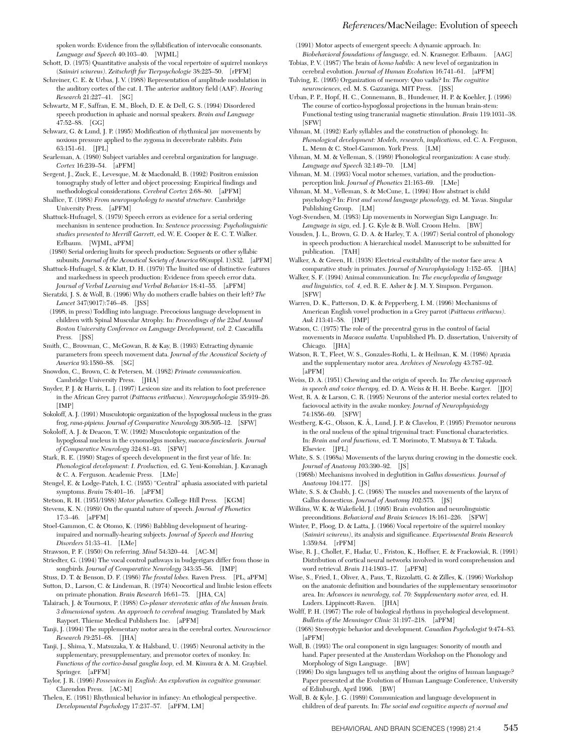spoken words: Evidence from the syllabification of intervocalic consonants. *Language and Speech* 40:103–40. [WJML]

- Schott, D. (1975) Quantitative analysis of the vocal repertoire of squirrel monkeys (*Saimiri sciureus)*. *Zeitschrift fur Tierpsychologie* 38:225–50. [rPFM]
- Schreiner, C. E. & Urbas, J. V. (1988) Representation of amplitude modulation in the auditory cortex of the cat. I. The anterior auditory field (AAF). *Hearing Research* 21:227–41. [SG]
- Schwartz, M F., Saffran, E. M., Bloch, D. E. & Dell, G. S. (1994) Disordered speech production in aphasic and normal speakers. *Brain and Language* 47:52–88. [GG]
- Schwarz, G. & Lund, J. P. (1995) Modification of rhythmical jaw movements by noxious pressure applied to the zygoma in decerebrate rabbits. *Pain* 63:151–61. [JPL]
- Searleman, A. (1980) Subject variables and cerebral organization for language. *Cortex* 16:239–54. [aPFM]
- Sergent, J., Zuck, E., Levesque, M. & Macdonald, B. (1992) Positron emission tomography study of letter and object processing: Empirical findings and methodological considerations. *Cerebral Cortex* 2:68–80. [aPFM]
- Shallice, T. (1988) *From neuropsychology to mental structure.* Cambridge University Press. [aPFM]
- Shattuck-Hufnagel, S. (1979) Speech errors as evidence for a serial ordering mechanism in sentence production. In: *Sentence processing: Psycholinguistic studies presented to Merrill Garrett,* ed. W. E. Cooper & E. C. T. Walker. Erlbaum. [WJML, aPFM]
- (1980) Serial ordering limits for speech production: Segments or other syllabic subunits. *Journal of the Acoustical Society of America* 68(suppl. 1):S32. [aPFM]
- Shattuck-Hufnagel, S. & Klatt, D. H. (1979) The limited use of distinctive features and markedness in speech production: Evidence from speech error data. *Journal of Verbal Learning and Verbal Behavior* 18:41–55. [aPFM]
- Sieratzki, J. S. & Woll, B. (1996) Why do mothers cradle babies on their left? *The Lancet* 347(9017):746–48. [JSS]
- (1998, in press) Toddling into language. Precocious language development in children with Spinal Muscular Atrophy. In: *Proceedings of the 22nd Annual Boston University Conference on Language Development, vol. 2.* Cascadilla Press. [JSS]
- Smith, C., Browman, C., McGowan, R. & Kay, B. (1993) Extracting dynamic parameters from speech movement data. *Journal of the Acoustical Society of America* 93:1580–88. [SG]
- Snowdon, C., Brown, C. & Petersen, M. (1982) *Primate communication.* Cambridge University Press. [JHA]
- Snyder, P. J. & Harris, L. J. (1997) Lexicon size and its relation to foot preference in the African Grey parrot (*Psittacus erithacus)*. *Neuropsychologia* 35:919–26. [IMP]
- Sokoloff, A. J. (1991) Musculotopic organization of the hypoglossal nucleus in the grass frog, *rana-pipiens. Journal of Comparative Neurology* 308:505–12. [SFW]
- Sokoloff, A. J. & Deacon, T. W. (1992) Musculotopic organization of the hypoglossal nucleus in the cynomolgus monkey, *macaca-fascicularis. Journal of Comparative Neurology 3*24:81–93. [SFW]
- Stark, R. E. (1980) Stages of speech development in the first year of life. In: *Phonological development: I. Production,* ed. G. Yeni-Komshian, J. Kavanagh & C. A. Ferguson. Academic Press. [LMe]
- Stengel, E. & Lodge-Patch, I. C. (1955) "Central" aphasia associated with parietal symptoms. *Brain* 78:401–16. [aPFM]
- Stetson, R. H. (1951/1988) *Motor phonetics.* College Hill Press. [KGM] Stevens, K. N. (1989) On the quantal nature of speech. *Journal of Phonetics*
- 17:3–46. [aPFM] Stoel-Gammon, C. & Otomo, K. (1986) Babbling development of hearing-
- impaired and normally-hearing subjects. *Journal of Speech and Hearing Disorders 5*1:33–41. [LMe]
- Strawson, P. F. (1950) On referring. *Mind* 54:320–44. [AC-M]
- Striedter, G. (1994) The vocal control pathways in budgerigars differ from those in songbirds. *Journal of Comparative Neurology* 343:35–56. [IMP]
- Stuss, D. T. & Benson, D. F. (1986) *The frontal lobes.* Raven Press. [PL, aPFM] Sutton, D., Larson, C. & Lindeman, R. (1974) Neocortical and limbic lesion effects
- on primate phonation. *Brain Research* 16:61–75. [JHA, CA]
- Talairach, J. & Tournoux, P. (1988) *Co-planar stereotaxic atlas of the human brain. 3 dimensional system. An approach to cerebral imaging.* Translated by Mark Rayport. Thieme Medical Publishers Inc. [aPFM]
- Tanji, J. (1994) The supplementary motor area in the cerebral cortex. *Neuroscience Research 1*9:251–68. [JHA]
- Tanji, J., Shima, Y., Matsuzaka, Y. & Halsband, U. (1995) Neuronal activity in the supplementary, presupplementary, and premotor cortex of monkey. In: *Functions of the cortico-basal ganglia loop,* ed. M. Kimura & A. M. Graybiel. Springer. [aPFM]
- Taylor, J. R. (1996) *Possessives in English: An exploration in cognitive grammar.* Clarendon Press. [AC-M]
- Thelen, E. (1981) Rhythmical behavior in infancy: An ethological perspective. *Developmental Psychology* 17:237–57. [aPFM, LM]
- (1991) Motor aspects of emergent speech: A dynamic approach. In: *Biobehavioral foundations of language,* ed. N. Krasnegor. Erlbaum. [AAG]
- Tobias, P. V. (1987) The brain of *homo habilis:* A new level of organization in cerebral evolution. *Journal of Human Evolution* 16:741–61. [aPFM]
- Tulving, E. (1995) Organization of memory: Quo vadis? In: *The cognitive neurosciences,* ed. M. S. Gazzaniga. MIT Press. [JSS]
- Urban, P. P., Hopf, H. C., Connemann, B., Hundemer, H. P. & Koehler, J. (1996) The course of cortico-hypoglossal projections in the human brain-stem: Functional testing using trancranial magnetic stimulation. *Brain* 119:1031–38. [SFW]
- Vihman, M. (1992) Early syllables and the construction of phonology. In: *Phonological development: Models, research, implications,* ed. C. A. Ferguson, L. Menn & C. Stoel-Gammon. York Press. [LM]
- Vihman, M. M. & Velleman, S. (1989) Phonological reorganization: A case study. *Language and Speech* 32:149–70. [LM]
- Vihman, M. M. (1993) Vocal motor schemes, variation, and the productionperception link. *Journal of Phonetics* 21:163–69. [LMe]
- Vihman, M. M., Velleman, S. & McCune, L. (1994) How abstract is child psychology? In: *First and second language phonology,* ed. M. Yavas. Singular Publishing Group. [LM]
- Vogt-Svendsen, M. (1983) Lip movements in Norwegian Sign Language. In: *Language in sign,* ed. J. G. Kyle & B. Woll. Croom Helm. [BW]
- Vousden, J. L., Brown, G. D. A. & Harley, T. A. (1997) Serial control of phonology in speech production: A hierarchical model. Manuscript to be submitted for publication. [TAH]
- Walker, A. & Green, H. (1938) Electrical excitability of the motor face area: A comparative study in primates. *Journal of Neurophysiology* 1:152–65. [JHA]
- Walker, S. F. (1994) Animal communication. In: *The encyclopedia of language and linguistics, vol. 4,* ed. R. E. Asher & J. M. Y. Simpson. Pergamon. [SFW]
- Warren, D. K., Patterson, D. K. & Pepperberg, I. M. (1996) Mechanisms of American English vowel production in a Grey parrot (*Psittacus erithacus)*. *Auk 1*13:41–58. [IMP]
- Watson, C. (1975) The role of the precentral gyrus in the control of facial movements in *Macaca mulatta.* Unpublished Ph. D. dissertation, University of Chicago. [JHA]
- Watson, R. T., Fleet, W. S., Gonzales-Rothi, L. & Heilman, K. M. (1986) Apraxia and the supplementary motor area. *Archives of Neurology* 43:787–92. [aPFM]
- Weiss, D. A. (1951) Chewing and the origin of speech. In: *The chewing approach in speech and voice therapy,* ed. D. A. Weiss & H. H. Beebe. Karger. [JJO]
- West, R. A. & Larson, C. R. (1995) Neurons of the anterior mesial cortex related to faciovocal activity in the awake monkey. *Journal of Neurophysiology* 74:1856–69. [SFW]
- Westberg, K-G., Olsson, K. Å., Lund, J. P. & Clavelou, P. (1995) Premotor neurons in the oral nucleus of the spinal trigeminal tract: Functional characteristics. In: *Brain and oral functions,* ed. T. Morimoto, T. Matsuya & T. Takada. Elsevier. [JPL]
- White, S. S. (1968a) Movements of the larynx during crowing in the domestic cock. *Journal of Anatomy 1*03:390–92. [JS]
	- (1968b) Mechanisms involved in deglutition in *Gallus domesticus. Journal of Anatomy* 104:177. [JS]
- White, S. S. & Chubb, J. C. (1968) The muscles and movements of the larynx of Gallus domesticus. *Journal of Anatomy 1*02:575. [JS]
- Wilkins, W. K. & Wakefield, J. (1995) Brain evolution and neurolinguistic preconditions. *Behavioral and Brain Sciences* 18:161–226. [SFW]
- Winter, P., Ploog, D. & Latta, J. (1966) Vocal repertoire of the squirrel monkey (*Saimiri sciureus)*, its analysis and significance. *Experimental Brain Research* 1:359:84. [rPFM]
- Wise, R. J., Chollet, F., Hadar, U., Friston, K., Hoffner, E. & Frackowiak, R. (1991) Distribution of cortical neural networks involved in word comprehension and word retrieval. *Brain 1*14:1803–17. [aPFM]
- Wise, S., Fried, I., Oliver, A., Paus, T., Rizzolatti, G. & Zilles, K. (1996) Workshop on the anatomic definition and boundaries of the supplementary sensorimotor area. In: *Advances in neurology, vol. 70: Supplementary motor area,* ed. H. Luders. Lippincott-Raven. [JHA]
- Wolff, P. H. (1967) The role of biological rhythms in psychological development. *Bulletin of the Menninger Clinic* 31:197–218. [aPFM]
- (1968) Stereotypic behavior and development. *Canadian Psychologist* 9:474–83. [aPFM]
- Woll, B. (1993) The oral component in sign languages: Sonority of mouth and hand. Paper presented at the Amsterdam Workshop on the Phonology and Morphology of Sign Language. [BW]
- (1996) Do sign languages tell us anything about the origins of human language? Paper presented at the Evolution of Human Language Conference, University of Edinburgh, April 1996. [BW]
- Woll, B. & Kyle, J. G. (1989) Communication and language development in children of deaf parents. In: *The social and cognitive aspects of normal and*